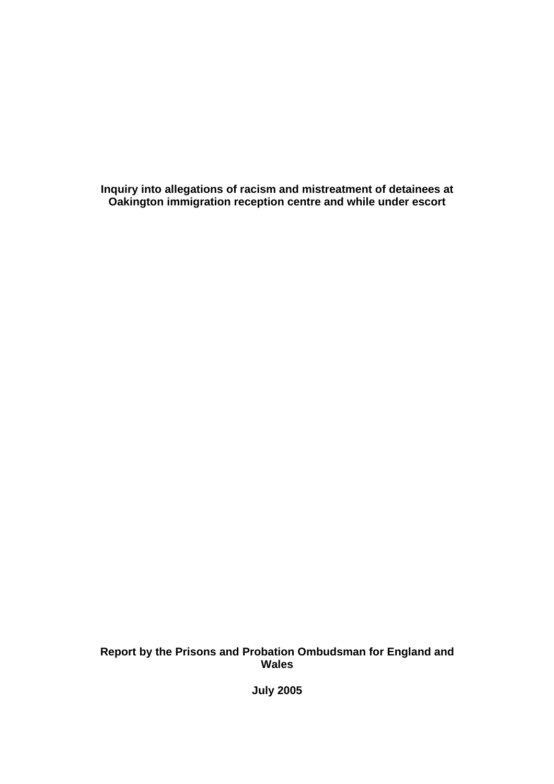**Inquiry into allegations of racism and mistreatment of detainees at Oakington immigration reception centre and while under escort** 

**Report by the Prisons and Probation Ombudsman for England and Wales** 

**July 2005**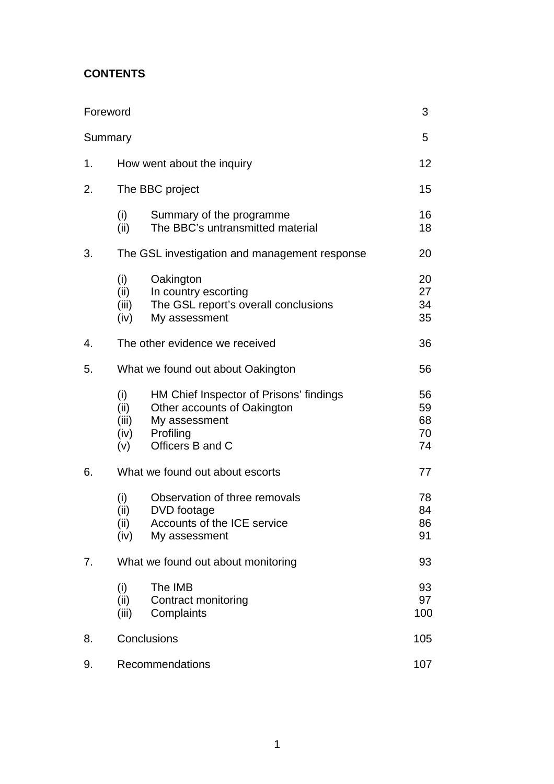# **CONTENTS**

| Foreword |                                               |                                                                                                                          | 3                          |
|----------|-----------------------------------------------|--------------------------------------------------------------------------------------------------------------------------|----------------------------|
| Summary  |                                               |                                                                                                                          | 5                          |
| 1.       |                                               | How went about the inquiry                                                                                               | 12                         |
| 2.       | The BBC project                               |                                                                                                                          |                            |
|          | (i)<br>(ii)                                   | Summary of the programme<br>The BBC's untransmitted material                                                             | 16<br>18                   |
| 3.       | The GSL investigation and management response |                                                                                                                          |                            |
|          | (i)<br>(ii)<br>(iii)<br>(iv)                  | Oakington<br>In country escorting<br>The GSL report's overall conclusions<br>My assessment                               | 20<br>27<br>34<br>35       |
| 4.       | The other evidence we received                |                                                                                                                          | 36                         |
| 5.       | What we found out about Oakington             |                                                                                                                          |                            |
|          | (i)<br>(ii)<br>(iii)<br>(iv)<br>(v)           | HM Chief Inspector of Prisons' findings<br>Other accounts of Oakington<br>My assessment<br>Profiling<br>Officers B and C | 56<br>59<br>68<br>70<br>74 |
| 6.       | What we found out about escorts               |                                                                                                                          |                            |
|          | (i)<br>(ii)<br>(ii)<br>(iv)                   | Observation of three removals<br>DVD footage<br>Accounts of the ICE service<br>My assessment                             | 78<br>84<br>86<br>91       |
| 7.       | What we found out about monitoring            |                                                                                                                          |                            |
|          | (i)<br>(ii)<br>(iii)                          | The IMB<br>Contract monitoring<br>Complaints                                                                             | 93<br>97<br>100            |
| 8.       | Conclusions                                   |                                                                                                                          | 105                        |
| 9.       | Recommendations                               |                                                                                                                          | 107                        |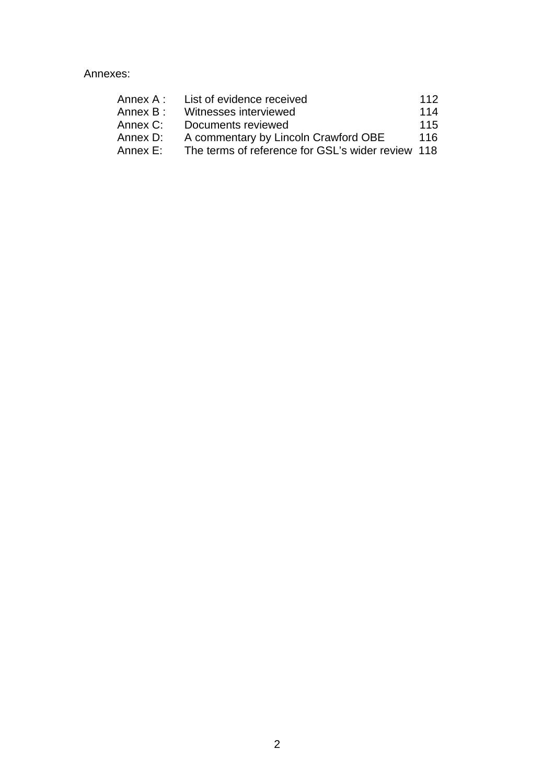Annexes:

| Annex A : | List of evidence received                         | 112 |
|-----------|---------------------------------------------------|-----|
| Annex B : | Witnesses interviewed                             | 114 |
| Annex C:  | Documents reviewed                                | 115 |
| Annex D:  | A commentary by Lincoln Crawford OBE              | 116 |
| Annex E:  | The terms of reference for GSL's wider review 118 |     |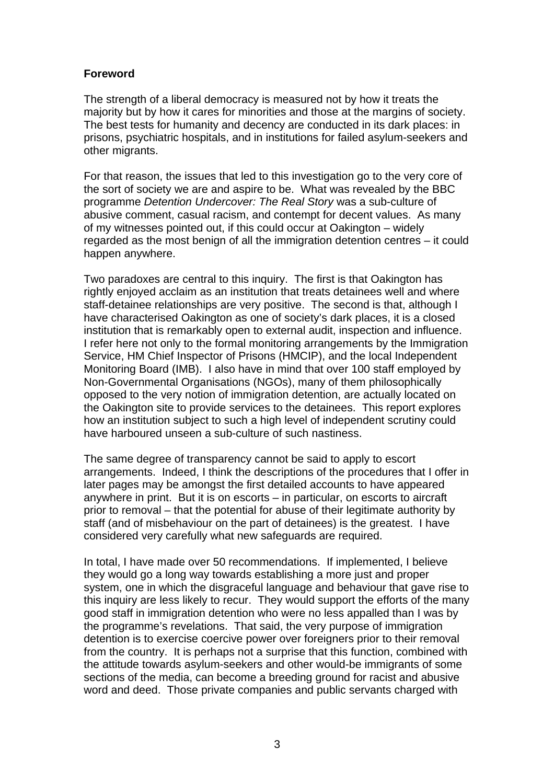### **Foreword**

The strength of a liberal democracy is measured not by how it treats the majority but by how it cares for minorities and those at the margins of society. The best tests for humanity and decency are conducted in its dark places: in prisons, psychiatric hospitals, and in institutions for failed asylum-seekers and other migrants.

For that reason, the issues that led to this investigation go to the very core of the sort of society we are and aspire to be. What was revealed by the BBC programme *Detention Undercover: The Real Story* was a sub-culture of abusive comment, casual racism, and contempt for decent values. As many of my witnesses pointed out, if this could occur at Oakington – widely regarded as the most benign of all the immigration detention centres – it could happen anywhere.

Two paradoxes are central to this inquiry. The first is that Oakington has rightly enjoyed acclaim as an institution that treats detainees well and where staff-detainee relationships are very positive. The second is that, although I have characterised Oakington as one of society's dark places, it is a closed institution that is remarkably open to external audit, inspection and influence. I refer here not only to the formal monitoring arrangements by the Immigration Service, HM Chief Inspector of Prisons (HMCIP), and the local Independent Monitoring Board (IMB). I also have in mind that over 100 staff employed by Non-Governmental Organisations (NGOs), many of them philosophically opposed to the very notion of immigration detention, are actually located on the Oakington site to provide services to the detainees. This report explores how an institution subject to such a high level of independent scrutiny could have harboured unseen a sub-culture of such nastiness.

The same degree of transparency cannot be said to apply to escort arrangements. Indeed, I think the descriptions of the procedures that I offer in later pages may be amongst the first detailed accounts to have appeared anywhere in print. But it is on escorts – in particular, on escorts to aircraft prior to removal – that the potential for abuse of their legitimate authority by staff (and of misbehaviour on the part of detainees) is the greatest. I have considered very carefully what new safeguards are required.

In total, I have made over 50 recommendations. If implemented, I believe they would go a long way towards establishing a more just and proper system, one in which the disgraceful language and behaviour that gave rise to this inquiry are less likely to recur. They would support the efforts of the many good staff in immigration detention who were no less appalled than I was by the programme's revelations. That said, the very purpose of immigration detention is to exercise coercive power over foreigners prior to their removal from the country. It is perhaps not a surprise that this function, combined with the attitude towards asylum-seekers and other would-be immigrants of some sections of the media, can become a breeding ground for racist and abusive word and deed. Those private companies and public servants charged with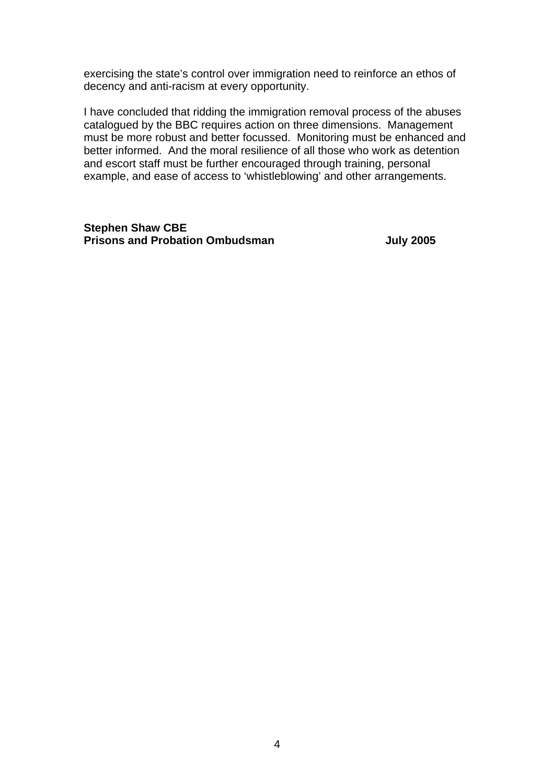exercising the state's control over immigration need to reinforce an ethos of decency and anti-racism at every opportunity.

I have concluded that ridding the immigration removal process of the abuses catalogued by the BBC requires action on three dimensions. Management must be more robust and better focussed. Monitoring must be enhanced and better informed. And the moral resilience of all those who work as detention and escort staff must be further encouraged through training, personal example, and ease of access to 'whistleblowing' and other arrangements.

**Stephen Shaw CBE Prisons and Probation Ombudsman and Strategies 3 and 2005**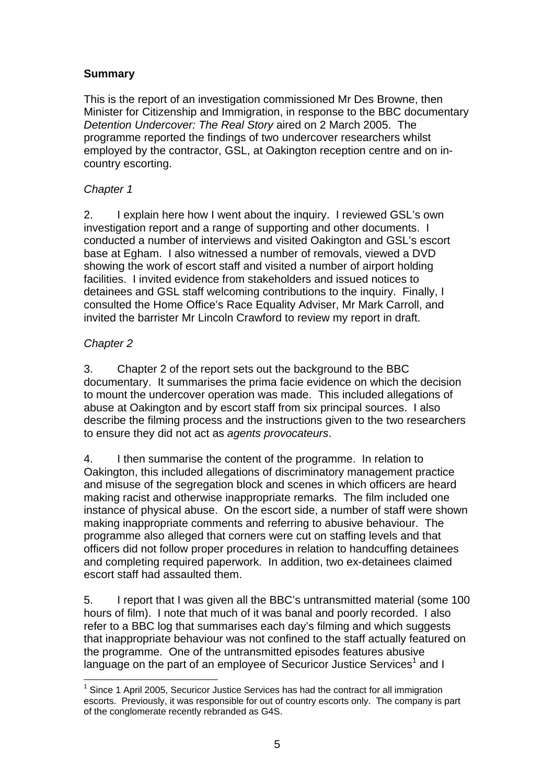## **Summary**

This is the report of an investigation commissioned Mr Des Browne, then Minister for Citizenship and Immigration, in response to the BBC documentary *Detention Undercover: The Real Story* aired on 2 March 2005. The programme reported the findings of two undercover researchers whilst employed by the contractor, GSL, at Oakington reception centre and on incountry escorting.

## *Chapter 1*

2. I explain here how I went about the inquiry. I reviewed GSL's own investigation report and a range of supporting and other documents. I conducted a number of interviews and visited Oakington and GSL's escort base at Egham. I also witnessed a number of removals, viewed a DVD showing the work of escort staff and visited a number of airport holding facilities. I invited evidence from stakeholders and issued notices to detainees and GSL staff welcoming contributions to the inquiry. Finally, I consulted the Home Office's Race Equality Adviser, Mr Mark Carroll, and invited the barrister Mr Lincoln Crawford to review my report in draft.

## *Chapter 2*

3. Chapter 2 of the report sets out the background to the BBC documentary. It summarises the prima facie evidence on which the decision to mount the undercover operation was made. This included allegations of abuse at Oakington and by escort staff from six principal sources. I also describe the filming process and the instructions given to the two researchers to ensure they did not act as *agents provocateurs*.

4. I then summarise the content of the programme. In relation to Oakington, this included allegations of discriminatory management practice and misuse of the segregation block and scenes in which officers are heard making racist and otherwise inappropriate remarks. The film included one instance of physical abuse. On the escort side, a number of staff were shown making inappropriate comments and referring to abusive behaviour. The programme also alleged that corners were cut on staffing levels and that officers did not follow proper procedures in relation to handcuffing detainees and completing required paperwork. In addition, two ex-detainees claimed escort staff had assaulted them.

5. I report that I was given all the BBC's untransmitted material (some 100 hours of film). I note that much of it was banal and poorly recorded. I also refer to a BBC log that summarises each day's filming and which suggests that inappropriate behaviour was not confined to the staff actually featured on the programme. One of the untransmitted episodes features abusive language on the part of an employee of Securicor Justice Services<sup>1</sup> and I

 <sup>1</sup> Since 1 April 2005, Securicor Justice Services has had the contract for all immigration escorts. Previously, it was responsible for out of country escorts only. The company is part of the conglomerate recently rebranded as G4S.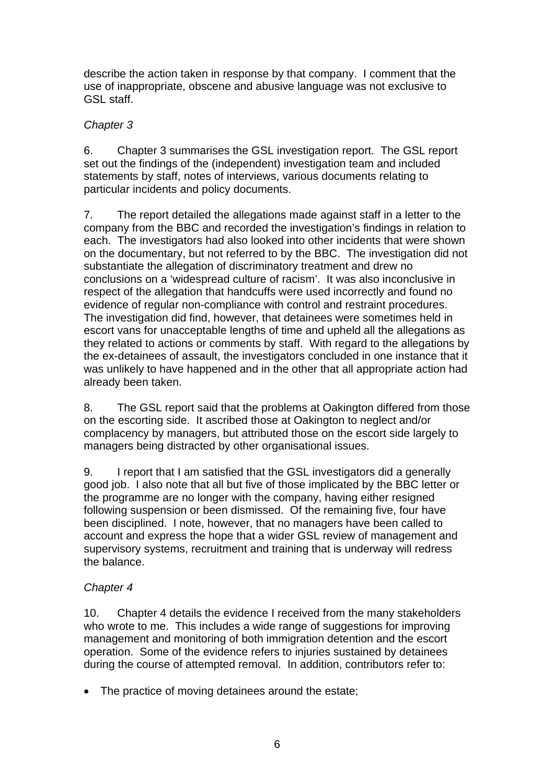describe the action taken in response by that company. I comment that the use of inappropriate, obscene and abusive language was not exclusive to GSL staff.

## *Chapter 3*

6. Chapter 3 summarises the GSL investigation report. The GSL report set out the findings of the (independent) investigation team and included statements by staff, notes of interviews, various documents relating to particular incidents and policy documents.

7. The report detailed the allegations made against staff in a letter to the company from the BBC and recorded the investigation's findings in relation to each. The investigators had also looked into other incidents that were shown on the documentary, but not referred to by the BBC. The investigation did not substantiate the allegation of discriminatory treatment and drew no conclusions on a 'widespread culture of racism'. It was also inconclusive in respect of the allegation that handcuffs were used incorrectly and found no evidence of regular non-compliance with control and restraint procedures. The investigation did find, however, that detainees were sometimes held in escort vans for unacceptable lengths of time and upheld all the allegations as they related to actions or comments by staff. With regard to the allegations by the ex-detainees of assault, the investigators concluded in one instance that it was unlikely to have happened and in the other that all appropriate action had already been taken.

8. The GSL report said that the problems at Oakington differed from those on the escorting side. It ascribed those at Oakington to neglect and/or complacency by managers, but attributed those on the escort side largely to managers being distracted by other organisational issues.

9. I report that I am satisfied that the GSL investigators did a generally good job. I also note that all but five of those implicated by the BBC letter or the programme are no longer with the company, having either resigned following suspension or been dismissed. Of the remaining five, four have been disciplined. I note, however, that no managers have been called to account and express the hope that a wider GSL review of management and supervisory systems, recruitment and training that is underway will redress the balance.

# *Chapter 4*

10. Chapter 4 details the evidence I received from the many stakeholders who wrote to me. This includes a wide range of suggestions for improving management and monitoring of both immigration detention and the escort operation. Some of the evidence refers to injuries sustained by detainees during the course of attempted removal. In addition, contributors refer to:

• The practice of moving detainees around the estate;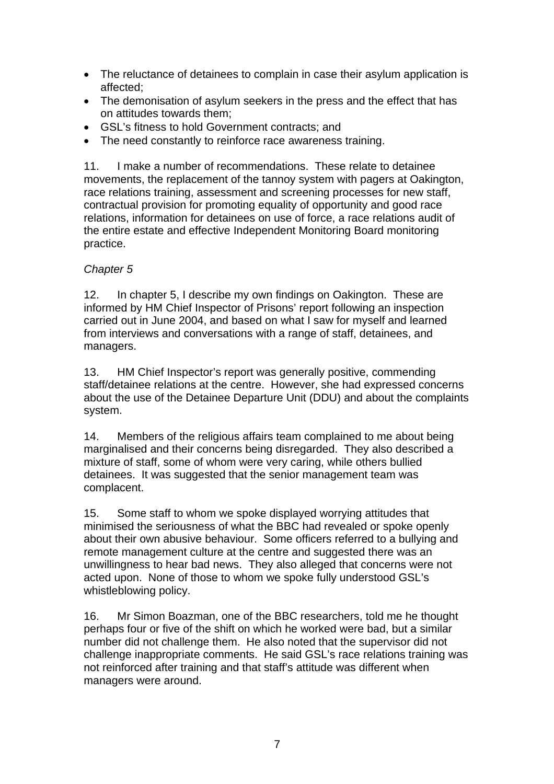- The reluctance of detainees to complain in case their asylum application is affected;
- The demonisation of asylum seekers in the press and the effect that has on attitudes towards them;
- GSL's fitness to hold Government contracts; and
- The need constantly to reinforce race awareness training.

11. I make a number of recommendations. These relate to detainee movements, the replacement of the tannoy system with pagers at Oakington, race relations training, assessment and screening processes for new staff, contractual provision for promoting equality of opportunity and good race relations, information for detainees on use of force, a race relations audit of the entire estate and effective Independent Monitoring Board monitoring practice.

## *Chapter 5*

12. In chapter 5, I describe my own findings on Oakington. These are informed by HM Chief Inspector of Prisons' report following an inspection carried out in June 2004, and based on what I saw for myself and learned from interviews and conversations with a range of staff, detainees, and managers.

13. HM Chief Inspector's report was generally positive, commending staff/detainee relations at the centre. However, she had expressed concerns about the use of the Detainee Departure Unit (DDU) and about the complaints system.

14. Members of the religious affairs team complained to me about being marginalised and their concerns being disregarded. They also described a mixture of staff, some of whom were very caring, while others bullied detainees. It was suggested that the senior management team was complacent.

15. Some staff to whom we spoke displayed worrying attitudes that minimised the seriousness of what the BBC had revealed or spoke openly about their own abusive behaviour. Some officers referred to a bullying and remote management culture at the centre and suggested there was an unwillingness to hear bad news. They also alleged that concerns were not acted upon. None of those to whom we spoke fully understood GSL's whistleblowing policy.

16. Mr Simon Boazman, one of the BBC researchers, told me he thought perhaps four or five of the shift on which he worked were bad, but a similar number did not challenge them. He also noted that the supervisor did not challenge inappropriate comments. He said GSL's race relations training was not reinforced after training and that staff's attitude was different when managers were around.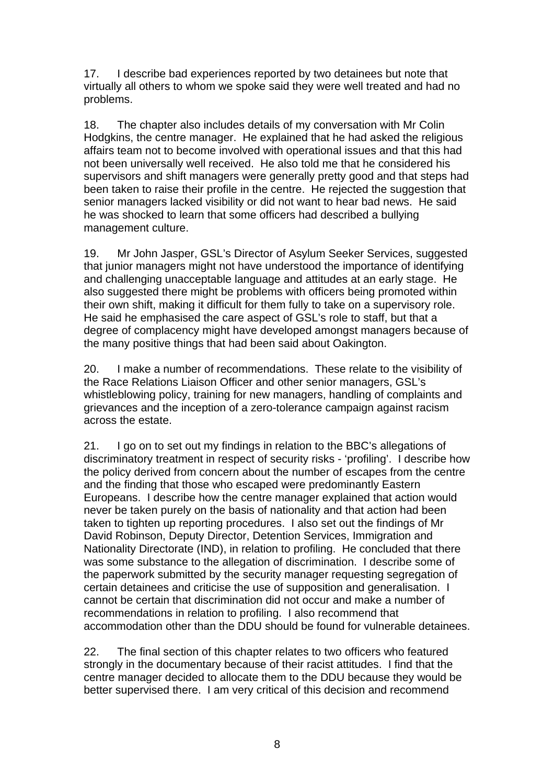17. I describe bad experiences reported by two detainees but note that virtually all others to whom we spoke said they were well treated and had no problems.

18. The chapter also includes details of my conversation with Mr Colin Hodgkins, the centre manager. He explained that he had asked the religious affairs team not to become involved with operational issues and that this had not been universally well received. He also told me that he considered his supervisors and shift managers were generally pretty good and that steps had been taken to raise their profile in the centre. He rejected the suggestion that senior managers lacked visibility or did not want to hear bad news. He said he was shocked to learn that some officers had described a bullying management culture.

19. Mr John Jasper, GSL's Director of Asylum Seeker Services, suggested that junior managers might not have understood the importance of identifying and challenging unacceptable language and attitudes at an early stage. He also suggested there might be problems with officers being promoted within their own shift, making it difficult for them fully to take on a supervisory role. He said he emphasised the care aspect of GSL's role to staff, but that a degree of complacency might have developed amongst managers because of the many positive things that had been said about Oakington.

20. I make a number of recommendations. These relate to the visibility of the Race Relations Liaison Officer and other senior managers, GSL's whistleblowing policy, training for new managers, handling of complaints and grievances and the inception of a zero-tolerance campaign against racism across the estate.

21. I go on to set out my findings in relation to the BBC's allegations of discriminatory treatment in respect of security risks - 'profiling'. I describe how the policy derived from concern about the number of escapes from the centre and the finding that those who escaped were predominantly Eastern Europeans. I describe how the centre manager explained that action would never be taken purely on the basis of nationality and that action had been taken to tighten up reporting procedures. I also set out the findings of Mr David Robinson, Deputy Director, Detention Services, Immigration and Nationality Directorate (IND), in relation to profiling. He concluded that there was some substance to the allegation of discrimination. I describe some of the paperwork submitted by the security manager requesting segregation of certain detainees and criticise the use of supposition and generalisation. I cannot be certain that discrimination did not occur and make a number of recommendations in relation to profiling. I also recommend that accommodation other than the DDU should be found for vulnerable detainees.

22. The final section of this chapter relates to two officers who featured strongly in the documentary because of their racist attitudes. I find that the centre manager decided to allocate them to the DDU because they would be better supervised there. I am very critical of this decision and recommend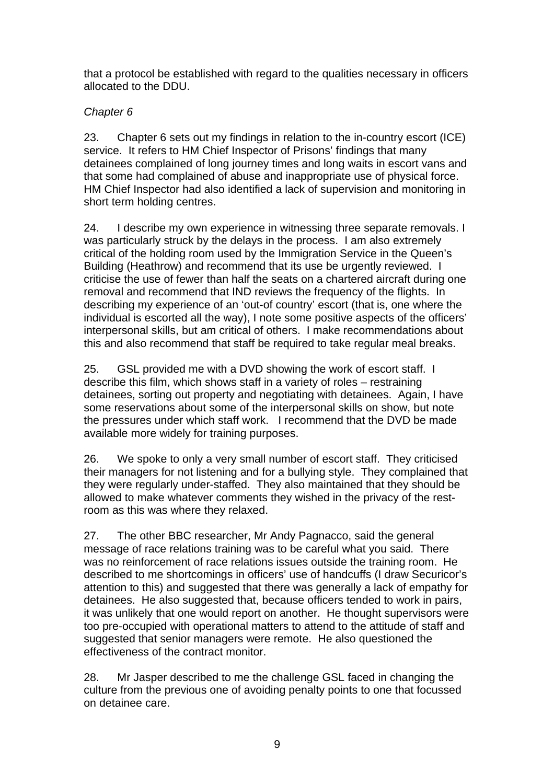that a protocol be established with regard to the qualities necessary in officers allocated to the DDU.

# *Chapter 6*

23. Chapter 6 sets out my findings in relation to the in-country escort (ICE) service. It refers to HM Chief Inspector of Prisons' findings that many detainees complained of long journey times and long waits in escort vans and that some had complained of abuse and inappropriate use of physical force. HM Chief Inspector had also identified a lack of supervision and monitoring in short term holding centres.

24. I describe my own experience in witnessing three separate removals. I was particularly struck by the delays in the process. I am also extremely critical of the holding room used by the Immigration Service in the Queen's Building (Heathrow) and recommend that its use be urgently reviewed. I criticise the use of fewer than half the seats on a chartered aircraft during one removal and recommend that IND reviews the frequency of the flights. In describing my experience of an 'out-of country' escort (that is, one where the individual is escorted all the way), I note some positive aspects of the officers' interpersonal skills, but am critical of others. I make recommendations about this and also recommend that staff be required to take regular meal breaks.

25. GSL provided me with a DVD showing the work of escort staff. I describe this film, which shows staff in a variety of roles – restraining detainees, sorting out property and negotiating with detainees. Again, I have some reservations about some of the interpersonal skills on show, but note the pressures under which staff work. I recommend that the DVD be made available more widely for training purposes.

26. We spoke to only a very small number of escort staff. They criticised their managers for not listening and for a bullying style. They complained that they were regularly under-staffed. They also maintained that they should be allowed to make whatever comments they wished in the privacy of the restroom as this was where they relaxed.

27. The other BBC researcher, Mr Andy Pagnacco, said the general message of race relations training was to be careful what you said. There was no reinforcement of race relations issues outside the training room. He described to me shortcomings in officers' use of handcuffs (I draw Securicor's attention to this) and suggested that there was generally a lack of empathy for detainees. He also suggested that, because officers tended to work in pairs, it was unlikely that one would report on another. He thought supervisors were too pre-occupied with operational matters to attend to the attitude of staff and suggested that senior managers were remote. He also questioned the effectiveness of the contract monitor.

28. Mr Jasper described to me the challenge GSL faced in changing the culture from the previous one of avoiding penalty points to one that focussed on detainee care.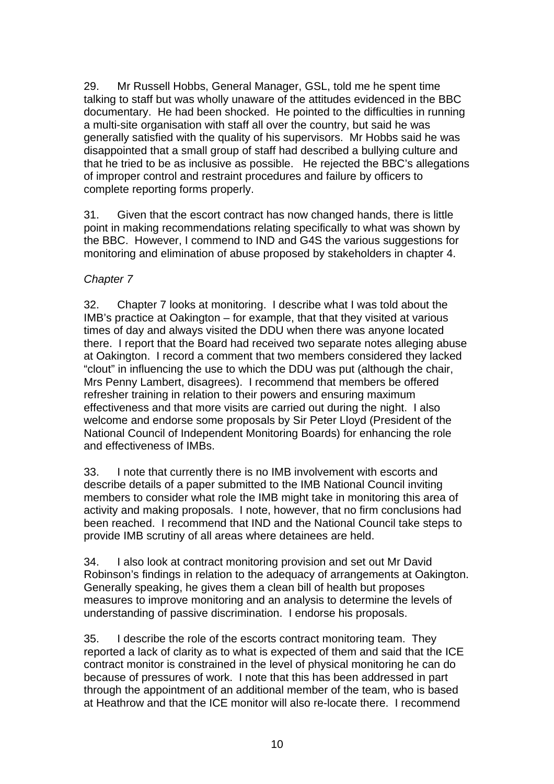29. Mr Russell Hobbs, General Manager, GSL, told me he spent time talking to staff but was wholly unaware of the attitudes evidenced in the BBC documentary. He had been shocked. He pointed to the difficulties in running a multi-site organisation with staff all over the country, but said he was generally satisfied with the quality of his supervisors. Mr Hobbs said he was disappointed that a small group of staff had described a bullying culture and that he tried to be as inclusive as possible. He rejected the BBC's allegations of improper control and restraint procedures and failure by officers to complete reporting forms properly.

31. Given that the escort contract has now changed hands, there is little point in making recommendations relating specifically to what was shown by the BBC. However, I commend to IND and G4S the various suggestions for monitoring and elimination of abuse proposed by stakeholders in chapter 4.

## *Chapter 7*

32. Chapter 7 looks at monitoring. I describe what I was told about the IMB's practice at Oakington – for example, that that they visited at various times of day and always visited the DDU when there was anyone located there. I report that the Board had received two separate notes alleging abuse at Oakington. I record a comment that two members considered they lacked "clout" in influencing the use to which the DDU was put (although the chair, Mrs Penny Lambert, disagrees). I recommend that members be offered refresher training in relation to their powers and ensuring maximum effectiveness and that more visits are carried out during the night. I also welcome and endorse some proposals by Sir Peter Lloyd (President of the National Council of Independent Monitoring Boards) for enhancing the role and effectiveness of IMBs.

33. I note that currently there is no IMB involvement with escorts and describe details of a paper submitted to the IMB National Council inviting members to consider what role the IMB might take in monitoring this area of activity and making proposals. I note, however, that no firm conclusions had been reached. I recommend that IND and the National Council take steps to provide IMB scrutiny of all areas where detainees are held.

34. I also look at contract monitoring provision and set out Mr David Robinson's findings in relation to the adequacy of arrangements at Oakington. Generally speaking, he gives them a clean bill of health but proposes measures to improve monitoring and an analysis to determine the levels of understanding of passive discrimination. I endorse his proposals.

35. I describe the role of the escorts contract monitoring team. They reported a lack of clarity as to what is expected of them and said that the ICE contract monitor is constrained in the level of physical monitoring he can do because of pressures of work. I note that this has been addressed in part through the appointment of an additional member of the team, who is based at Heathrow and that the ICE monitor will also re-locate there. I recommend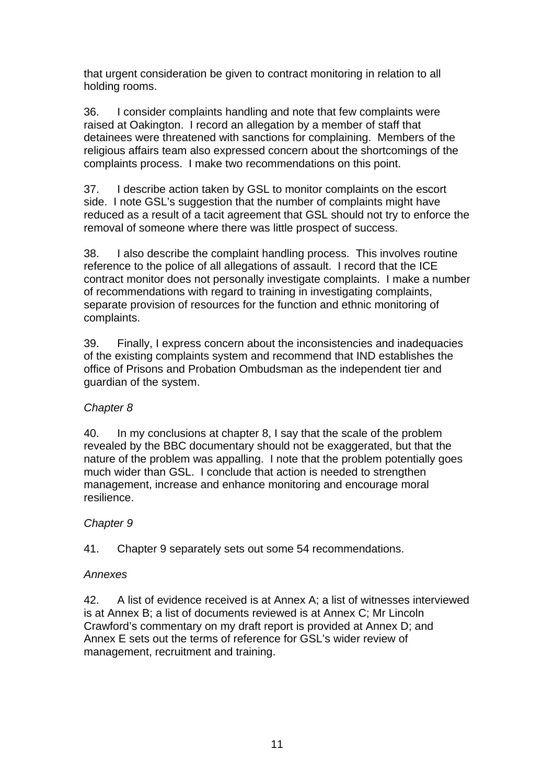that urgent consideration be given to contract monitoring in relation to all holding rooms.

36. I consider complaints handling and note that few complaints were raised at Oakington. I record an allegation by a member of staff that detainees were threatened with sanctions for complaining. Members of the religious affairs team also expressed concern about the shortcomings of the complaints process. I make two recommendations on this point.

37. I describe action taken by GSL to monitor complaints on the escort side. I note GSL's suggestion that the number of complaints might have reduced as a result of a tacit agreement that GSL should not try to enforce the removal of someone where there was little prospect of success.

38. I also describe the complaint handling process. This involves routine reference to the police of all allegations of assault. I record that the ICE contract monitor does not personally investigate complaints. I make a number of recommendations with regard to training in investigating complaints, separate provision of resources for the function and ethnic monitoring of complaints.

39. Finally, I express concern about the inconsistencies and inadequacies of the existing complaints system and recommend that IND establishes the office of Prisons and Probation Ombudsman as the independent tier and guardian of the system.

## *Chapter 8*

40. In my conclusions at chapter 8, I say that the scale of the problem revealed by the BBC documentary should not be exaggerated, but that the nature of the problem was appalling. I note that the problem potentially goes much wider than GSL. I conclude that action is needed to strengthen management, increase and enhance monitoring and encourage moral resilience.

## *Chapter 9*

41. Chapter 9 separately sets out some 54 recommendations.

# *Annexes*

42. A list of evidence received is at Annex A; a list of witnesses interviewed is at Annex B; a list of documents reviewed is at Annex C; Mr Lincoln Crawford's commentary on my draft report is provided at Annex D; and Annex E sets out the terms of reference for GSL's wider review of management, recruitment and training.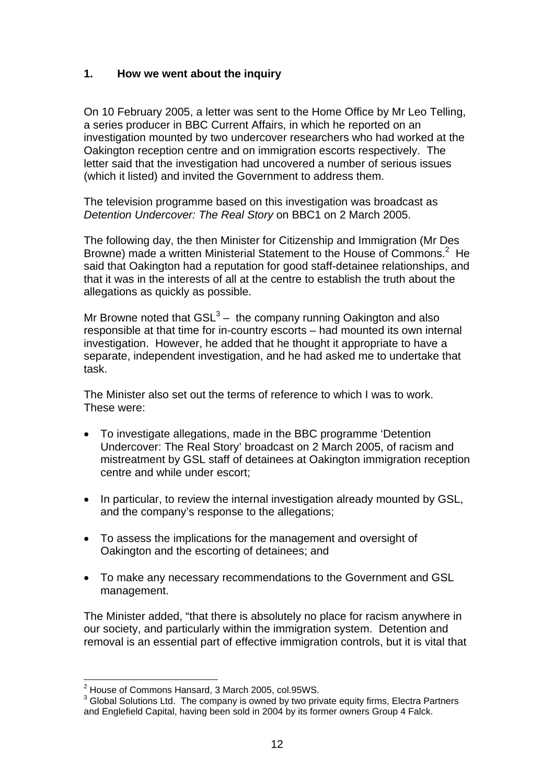### **1. How we went about the inquiry**

On 10 February 2005, a letter was sent to the Home Office by Mr Leo Telling, a series producer in BBC Current Affairs, in which he reported on an investigation mounted by two undercover researchers who had worked at the Oakington reception centre and on immigration escorts respectively. The letter said that the investigation had uncovered a number of serious issues (which it listed) and invited the Government to address them.

The television programme based on this investigation was broadcast as *Detention Undercover: The Real Story* on BBC1 on 2 March 2005.

The following day, the then Minister for Citizenship and Immigration (Mr Des Browne) made a written Ministerial Statement to the House of Commons.<sup>2</sup> He said that Oakington had a reputation for good staff-detainee relationships, and that it was in the interests of all at the centre to establish the truth about the allegations as quickly as possible.

Mr Browne noted that  $GSL^3$  – the company running Oakington and also responsible at that time for in-country escorts – had mounted its own internal investigation. However, he added that he thought it appropriate to have a separate, independent investigation, and he had asked me to undertake that task.

The Minister also set out the terms of reference to which I was to work. These were:

- To investigate allegations, made in the BBC programme 'Detention Undercover: The Real Story' broadcast on 2 March 2005, of racism and mistreatment by GSL staff of detainees at Oakington immigration reception centre and while under escort;
- In particular, to review the internal investigation already mounted by GSL, and the company's response to the allegations;
- To assess the implications for the management and oversight of Oakington and the escorting of detainees; and
- To make any necessary recommendations to the Government and GSL management.

The Minister added, "that there is absolutely no place for racism anywhere in our society, and particularly within the immigration system. Detention and removal is an essential part of effective immigration controls, but it is vital that

 <sup>2</sup> House of Commons Hansard, 3 March 2005, col.95WS.

 $3$  Global Solutions Ltd. The company is owned by two private equity firms, Electra Partners and Englefield Capital, having been sold in 2004 by its former owners Group 4 Falck.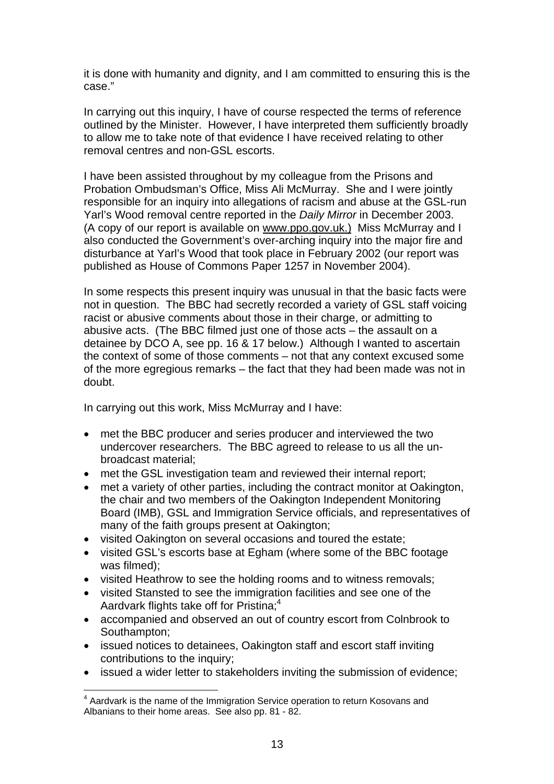it is done with humanity and dignity, and I am committed to ensuring this is the case."

In carrying out this inquiry, I have of course respected the terms of reference outlined by the Minister. However, I have interpreted them sufficiently broadly to allow me to take note of that evidence I have received relating to other removal centres and non-GSL escorts.

I have been assisted throughout by my colleague from the Prisons and Probation Ombudsman's Office, Miss Ali McMurray. She and I were jointly responsible for an inquiry into allegations of racism and abuse at the GSL-run Yarl's Wood removal centre reported in the *Daily Mirror* in December 2003. (A copy of our report is available on www.ppo.gov.uk.) Miss McMurray and I also conducted the Government's over-arching inquiry into the major fire and disturbance at Yarl's Wood that took place in February 2002 (our report was published as House of Commons Paper 1257 in November 2004).

In some respects this present inquiry was unusual in that the basic facts were not in question. The BBC had secretly recorded a variety of GSL staff voicing racist or abusive comments about those in their charge, or admitting to abusive acts. (The BBC filmed just one of those acts – the assault on a detainee by DCO A, see pp. 16 & 17 below.) Although I wanted to ascertain the context of some of those comments – not that any context excused some of the more egregious remarks – the fact that they had been made was not in doubt.

In carrying out this work, Miss McMurray and I have:

- met the BBC producer and series producer and interviewed the two undercover researchers. The BBC agreed to release to us all the unbroadcast material;
- met the GSL investigation team and reviewed their internal report;
- met a variety of other parties, including the contract monitor at Oakington, the chair and two members of the Oakington Independent Monitoring Board (IMB), GSL and Immigration Service officials, and representatives of many of the faith groups present at Oakington;
- visited Oakington on several occasions and toured the estate;
- visited GSL's escorts base at Egham (where some of the BBC footage was filmed);
- visited Heathrow to see the holding rooms and to witness removals;
- visited Stansted to see the immigration facilities and see one of the Aardvark flights take off for Pristina;<sup>4</sup>
- accompanied and observed an out of country escort from Colnbrook to Southampton;
- issued notices to detainees, Oakington staff and escort staff inviting contributions to the inquiry;
- issued a wider letter to stakeholders inviting the submission of evidence;

 <sup>4</sup> Aardvark is the name of the Immigration Service operation to return Kosovans and Albanians to their home areas. See also pp. 81 - 82.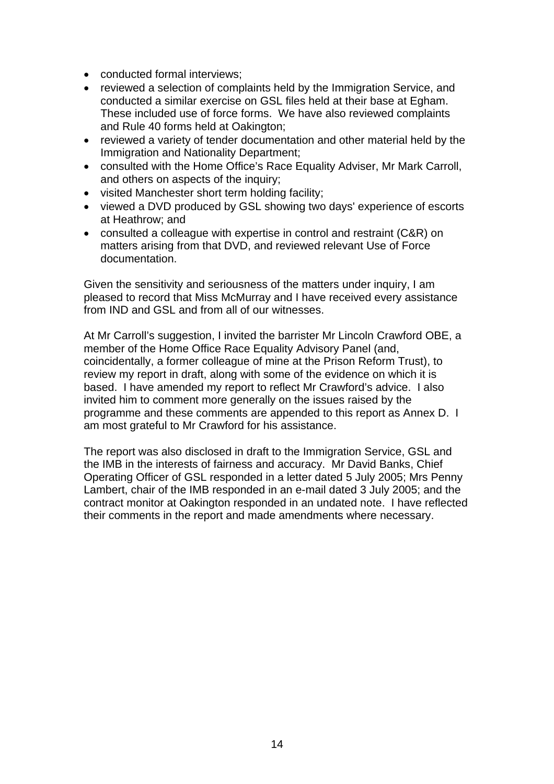- conducted formal interviews;
- reviewed a selection of complaints held by the Immigration Service, and conducted a similar exercise on GSL files held at their base at Egham. These included use of force forms. We have also reviewed complaints and Rule 40 forms held at Oakington;
- reviewed a variety of tender documentation and other material held by the Immigration and Nationality Department;
- consulted with the Home Office's Race Equality Adviser, Mr Mark Carroll, and others on aspects of the inquiry;
- visited Manchester short term holding facility;
- viewed a DVD produced by GSL showing two days' experience of escorts at Heathrow; and
- consulted a colleague with expertise in control and restraint (C&R) on matters arising from that DVD, and reviewed relevant Use of Force documentation.

Given the sensitivity and seriousness of the matters under inquiry, I am pleased to record that Miss McMurray and I have received every assistance from IND and GSL and from all of our witnesses.

At Mr Carroll's suggestion, I invited the barrister Mr Lincoln Crawford OBE, a member of the Home Office Race Equality Advisory Panel (and, coincidentally, a former colleague of mine at the Prison Reform Trust), to review my report in draft, along with some of the evidence on which it is based. I have amended my report to reflect Mr Crawford's advice. I also invited him to comment more generally on the issues raised by the programme and these comments are appended to this report as Annex D. I am most grateful to Mr Crawford for his assistance.

The report was also disclosed in draft to the Immigration Service, GSL and the IMB in the interests of fairness and accuracy. Mr David Banks, Chief Operating Officer of GSL responded in a letter dated 5 July 2005; Mrs Penny Lambert, chair of the IMB responded in an e-mail dated 3 July 2005; and the contract monitor at Oakington responded in an undated note. I have reflected their comments in the report and made amendments where necessary.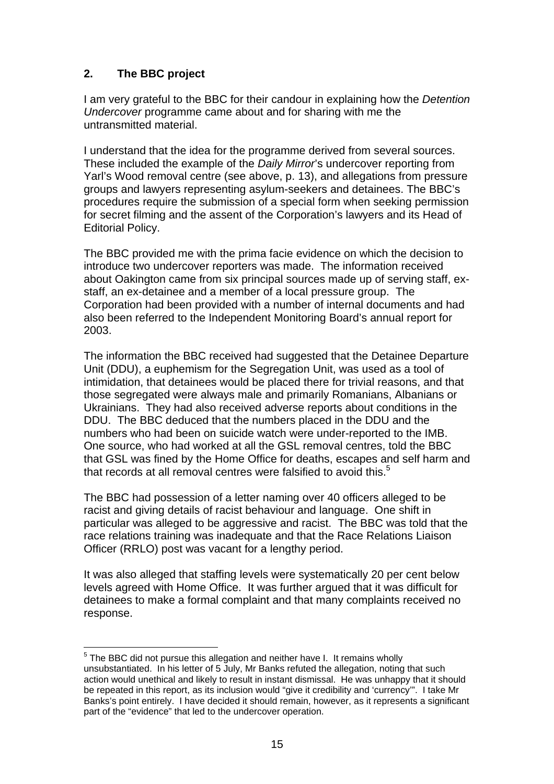## **2. The BBC project**

I am very grateful to the BBC for their candour in explaining how the *Detention Undercover* programme came about and for sharing with me the untransmitted material.

I understand that the idea for the programme derived from several sources. These included the example of the *Daily Mirror*'s undercover reporting from Yarl's Wood removal centre (see above, p. 13), and allegations from pressure groups and lawyers representing asylum-seekers and detainees. The BBC's procedures require the submission of a special form when seeking permission for secret filming and the assent of the Corporation's lawyers and its Head of Editorial Policy.

The BBC provided me with the prima facie evidence on which the decision to introduce two undercover reporters was made. The information received about Oakington came from six principal sources made up of serving staff, exstaff, an ex-detainee and a member of a local pressure group. The Corporation had been provided with a number of internal documents and had also been referred to the Independent Monitoring Board's annual report for 2003.

The information the BBC received had suggested that the Detainee Departure Unit (DDU), a euphemism for the Segregation Unit, was used as a tool of intimidation, that detainees would be placed there for trivial reasons, and that those segregated were always male and primarily Romanians, Albanians or Ukrainians. They had also received adverse reports about conditions in the DDU. The BBC deduced that the numbers placed in the DDU and the numbers who had been on suicide watch were under-reported to the IMB. One source, who had worked at all the GSL removal centres, told the BBC that GSL was fined by the Home Office for deaths, escapes and self harm and that records at all removal centres were falsified to avoid this.<sup>5</sup>

The BBC had possession of a letter naming over 40 officers alleged to be racist and giving details of racist behaviour and language. One shift in particular was alleged to be aggressive and racist. The BBC was told that the race relations training was inadequate and that the Race Relations Liaison Officer (RRLO) post was vacant for a lengthy period.

It was also alleged that staffing levels were systematically 20 per cent below levels agreed with Home Office. It was further argued that it was difficult for detainees to make a formal complaint and that many complaints received no response.

<sup>————————————————————&</sup>lt;br><sup>5</sup> The BBC did not pursue this allegation and neither have I. It remains wholly unsubstantiated. In his letter of 5 July, Mr Banks refuted the allegation, noting that such action would unethical and likely to result in instant dismissal. He was unhappy that it should be repeated in this report, as its inclusion would "give it credibility and 'currency'". I take Mr Banks's point entirely. I have decided it should remain, however, as it represents a significant part of the "evidence" that led to the undercover operation.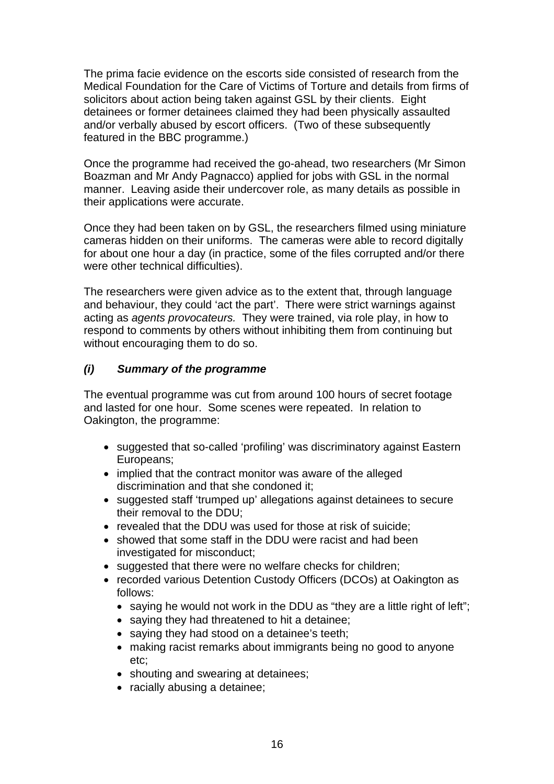The prima facie evidence on the escorts side consisted of research from the Medical Foundation for the Care of Victims of Torture and details from firms of solicitors about action being taken against GSL by their clients. Eight detainees or former detainees claimed they had been physically assaulted and/or verbally abused by escort officers. (Two of these subsequently featured in the BBC programme.)

Once the programme had received the go-ahead, two researchers (Mr Simon Boazman and Mr Andy Pagnacco) applied for jobs with GSL in the normal manner. Leaving aside their undercover role, as many details as possible in their applications were accurate.

Once they had been taken on by GSL, the researchers filmed using miniature cameras hidden on their uniforms. The cameras were able to record digitally for about one hour a day (in practice, some of the files corrupted and/or there were other technical difficulties).

The researchers were given advice as to the extent that, through language and behaviour, they could 'act the part'. There were strict warnings against acting as *agents provocateurs.* They were trained, via role play, in how to respond to comments by others without inhibiting them from continuing but without encouraging them to do so.

### *(i) Summary of the programme*

The eventual programme was cut from around 100 hours of secret footage and lasted for one hour. Some scenes were repeated. In relation to Oakington, the programme:

- suggested that so-called 'profiling' was discriminatory against Eastern Europeans;
- implied that the contract monitor was aware of the alleged discrimination and that she condoned it;
- suggested staff 'trumped up' allegations against detainees to secure their removal to the DDU;
- revealed that the DDU was used for those at risk of suicide:
- showed that some staff in the DDU were racist and had been investigated for misconduct;
- suggested that there were no welfare checks for children;
- recorded various Detention Custody Officers (DCOs) at Oakington as follows:
	- saying he would not work in the DDU as "they are a little right of left";
	- saying they had threatened to hit a detainee;
	- saying they had stood on a detainee's teeth;
	- making racist remarks about immigrants being no good to anyone etc;
	- shouting and swearing at detainees;
	- racially abusing a detainee;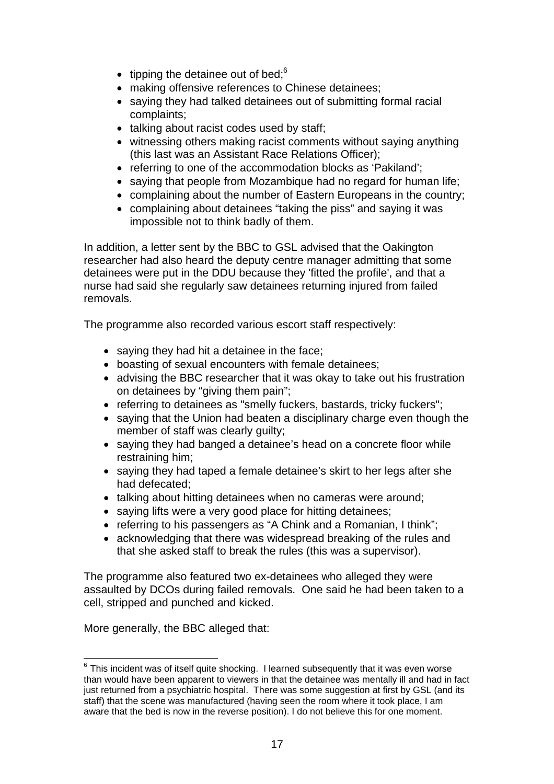- tipping the detainee out of bed; $6$
- making offensive references to Chinese detainees;
- saying they had talked detainees out of submitting formal racial complaints;
- talking about racist codes used by staff:
- witnessing others making racist comments without saying anything (this last was an Assistant Race Relations Officer);
- referring to one of the accommodation blocks as 'Pakiland';
- saying that people from Mozambique had no regard for human life;
- complaining about the number of Eastern Europeans in the country;
- complaining about detainees "taking the piss" and saying it was impossible not to think badly of them.

In addition, a letter sent by the BBC to GSL advised that the Oakington researcher had also heard the deputy centre manager admitting that some detainees were put in the DDU because they 'fitted the profile', and that a nurse had said she regularly saw detainees returning injured from failed removals.

The programme also recorded various escort staff respectively:

- saying they had hit a detainee in the face;
- boasting of sexual encounters with female detainees;
- advising the BBC researcher that it was okay to take out his frustration on detainees by "giving them pain";
- referring to detainees as "smelly fuckers, bastards, tricky fuckers";
- saying that the Union had beaten a disciplinary charge even though the member of staff was clearly guilty;
- saying they had banged a detainee's head on a concrete floor while restraining him;
- saying they had taped a female detainee's skirt to her legs after she had defecated;
- talking about hitting detainees when no cameras were around;
- saying lifts were a very good place for hitting detainees;
- referring to his passengers as "A Chink and a Romanian, I think";
- acknowledging that there was widespread breaking of the rules and that she asked staff to break the rules (this was a supervisor).

The programme also featured two ex-detainees who alleged they were assaulted by DCOs during failed removals. One said he had been taken to a cell, stripped and punched and kicked.

More generally, the BBC alleged that:

 $6$  This incident was of itself quite shocking. I learned subsequently that it was even worse than would have been apparent to viewers in that the detainee was mentally ill and had in fact just returned from a psychiatric hospital. There was some suggestion at first by GSL (and its staff) that the scene was manufactured (having seen the room where it took place, I am aware that the bed is now in the reverse position). I do not believe this for one moment.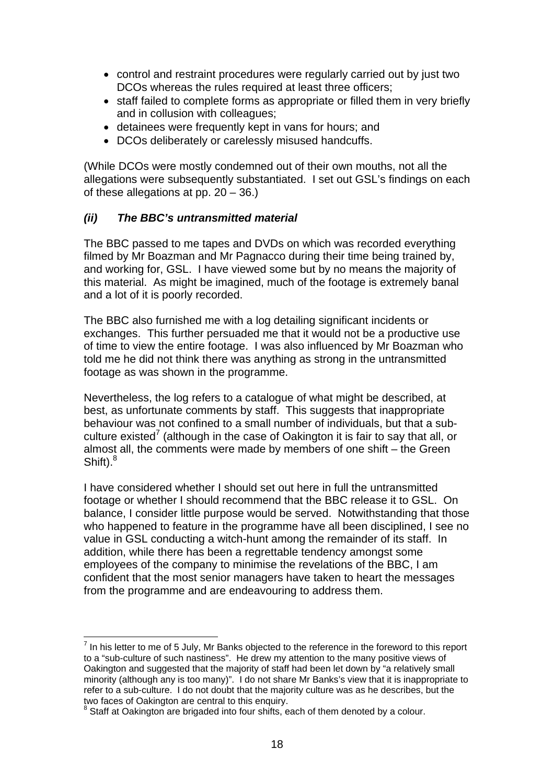- control and restraint procedures were regularly carried out by just two DCOs whereas the rules required at least three officers;
- staff failed to complete forms as appropriate or filled them in very briefly and in collusion with colleagues;
- detainees were frequently kept in vans for hours; and
- DCOs deliberately or carelessly misused handcuffs.

(While DCOs were mostly condemned out of their own mouths, not all the allegations were subsequently substantiated. I set out GSL's findings on each of these allegations at pp. 20 – 36.)

### *(ii) The BBC's untransmitted material*

The BBC passed to me tapes and DVDs on which was recorded everything filmed by Mr Boazman and Mr Pagnacco during their time being trained by, and working for, GSL. I have viewed some but by no means the majority of this material. As might be imagined, much of the footage is extremely banal and a lot of it is poorly recorded.

The BBC also furnished me with a log detailing significant incidents or exchanges. This further persuaded me that it would not be a productive use of time to view the entire footage. I was also influenced by Mr Boazman who told me he did not think there was anything as strong in the untransmitted footage as was shown in the programme.

Nevertheless, the log refers to a catalogue of what might be described, at best, as unfortunate comments by staff. This suggests that inappropriate behaviour was not confined to a small number of individuals, but that a subculture existed<sup>7</sup> (although in the case of Oakington it is fair to say that all, or almost all, the comments were made by members of one shift *–* the Green Shift). $^8$ 

I have considered whether I should set out here in full the untransmitted footage or whether I should recommend that the BBC release it to GSL. On balance, I consider little purpose would be served. Notwithstanding that those who happened to feature in the programme have all been disciplined. I see no value in GSL conducting a witch-hunt among the remainder of its staff. In addition, while there has been a regrettable tendency amongst some employees of the company to minimise the revelations of the BBC, I am confident that the most senior managers have taken to heart the messages from the programme and are endeavouring to address them.

 $\overline{\phantom{a}}$  In his letter to me of 5 July, Mr Banks objected to the reference in the foreword to this report to a "sub-culture of such nastiness". He drew my attention to the many positive views of Oakington and suggested that the majority of staff had been let down by "a relatively small minority (although any is too many)". I do not share Mr Banks's view that it is inappropriate to refer to a sub-culture. I do not doubt that the majority culture was as he describes, but the two faces of Oakington are central to this enquiry.

<sup>&</sup>lt;sup>8</sup> Staff at Oakington are brigaded into four shifts, each of them denoted by a colour.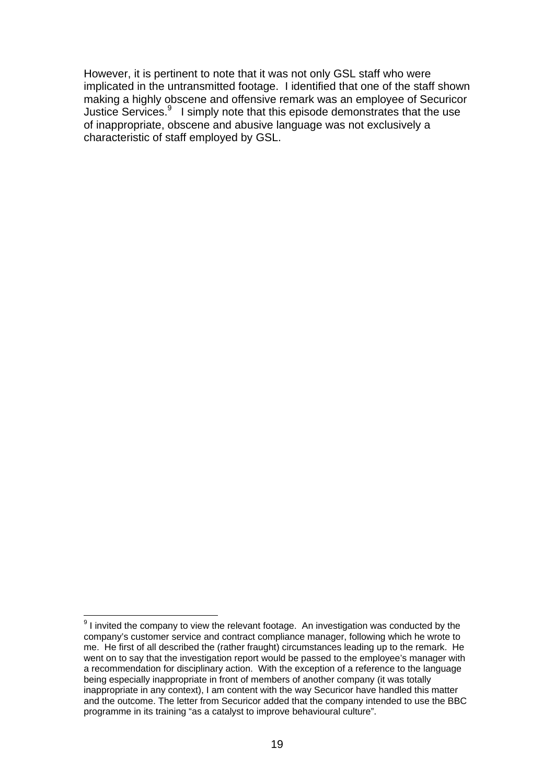However, it is pertinent to note that it was not only GSL staff who were implicated in the untransmitted footage. I identified that one of the staff shown making a highly obscene and offensive remark was an employee of Securicor Justice Services. $9$  I simply note that this episode demonstrates that the use of inappropriate, obscene and abusive language was not exclusively a characteristic of staff employed by GSL.

**EXECUTE:**<br>
<sup>9</sup> I invited the company to view the relevant footage. An investigation was conducted by the company's customer service and contract compliance manager, following which he wrote to me. He first of all described the (rather fraught) circumstances leading up to the remark. He went on to say that the investigation report would be passed to the employee's manager with a recommendation for disciplinary action. With the exception of a reference to the language being especially inappropriate in front of members of another company (it was totally inappropriate in any context), I am content with the way Securicor have handled this matter and the outcome. The letter from Securicor added that the company intended to use the BBC programme in its training "as a catalyst to improve behavioural culture".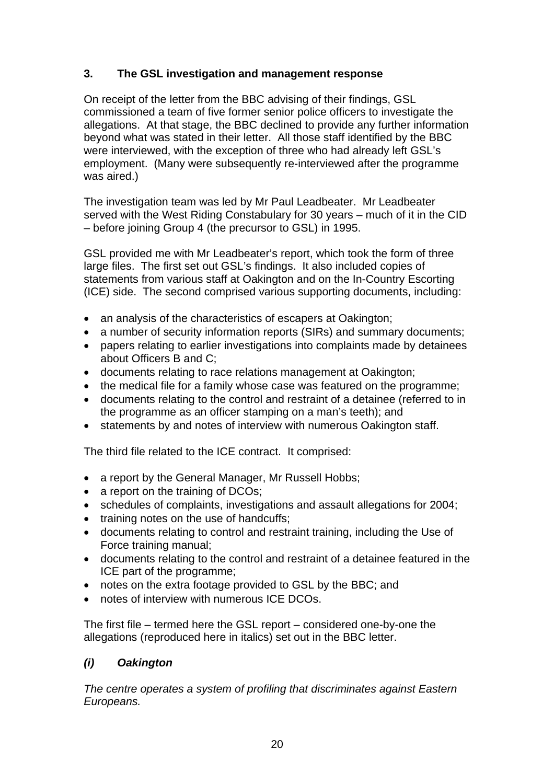## **3. The GSL investigation and management response**

On receipt of the letter from the BBC advising of their findings, GSL commissioned a team of five former senior police officers to investigate the allegations. At that stage, the BBC declined to provide any further information beyond what was stated in their letter. All those staff identified by the BBC were interviewed, with the exception of three who had already left GSL's employment. (Many were subsequently re-interviewed after the programme was aired.)

The investigation team was led by Mr Paul Leadbeater. Mr Leadbeater served with the West Riding Constabulary for 30 years – much of it in the CID – before joining Group 4 (the precursor to GSL) in 1995.

GSL provided me with Mr Leadbeater's report, which took the form of three large files. The first set out GSL's findings. It also included copies of statements from various staff at Oakington and on the In-Country Escorting (ICE) side. The second comprised various supporting documents, including:

- an analysis of the characteristics of escapers at Oakington;
- a number of security information reports (SIRs) and summary documents;
- papers relating to earlier investigations into complaints made by detainees about Officers B and C;
- documents relating to race relations management at Oakington;
- the medical file for a family whose case was featured on the programme;
- documents relating to the control and restraint of a detainee (referred to in the programme as an officer stamping on a man's teeth); and
- statements by and notes of interview with numerous Oakington staff.

The third file related to the ICE contract. It comprised:

- a report by the General Manager, Mr Russell Hobbs;
- a report on the training of DCOs;
- schedules of complaints, investigations and assault allegations for 2004;
- training notes on the use of handcuffs:
- documents relating to control and restraint training, including the Use of Force training manual;
- documents relating to the control and restraint of a detainee featured in the ICE part of the programme;
- notes on the extra footage provided to GSL by the BBC; and
- notes of interview with numerous ICF DCOs.

The first file – termed here the GSL report – considered one-by-one the allegations (reproduced here in italics) set out in the BBC letter.

## *(i) Oakington*

*The centre operates a system of profiling that discriminates against Eastern Europeans.*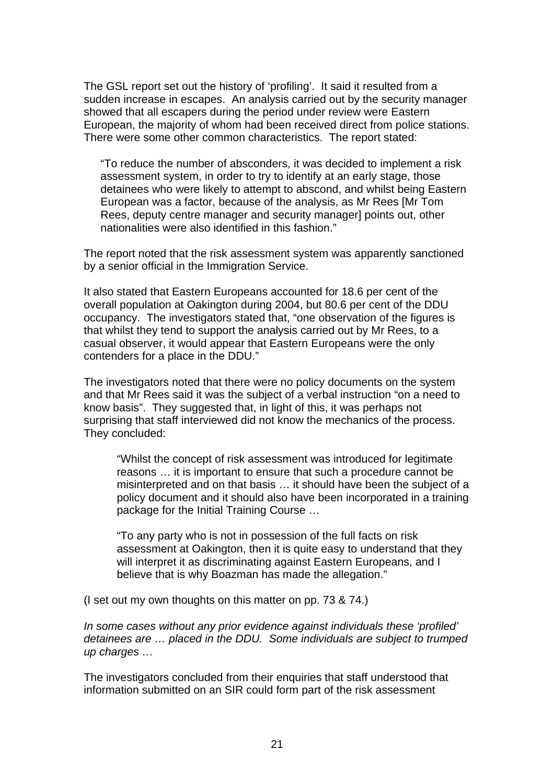The GSL report set out the history of 'profiling'. It said it resulted from a sudden increase in escapes. An analysis carried out by the security manager showed that all escapers during the period under review were Eastern European, the majority of whom had been received direct from police stations. There were some other common characteristics. The report stated:

"To reduce the number of absconders, it was decided to implement a risk assessment system, in order to try to identify at an early stage, those detainees who were likely to attempt to abscond, and whilst being Eastern European was a factor, because of the analysis, as Mr Rees [Mr Tom Rees, deputy centre manager and security manager] points out, other nationalities were also identified in this fashion."

The report noted that the risk assessment system was apparently sanctioned by a senior official in the Immigration Service.

It also stated that Eastern Europeans accounted for 18.6 per cent of the overall population at Oakington during 2004, but 80.6 per cent of the DDU occupancy. The investigators stated that, "one observation of the figures is that whilst they tend to support the analysis carried out by Mr Rees, to a casual observer, it would appear that Eastern Europeans were the only contenders for a place in the DDU."

The investigators noted that there were no policy documents on the system and that Mr Rees said it was the subject of a verbal instruction "on a need to know basis". They suggested that, in light of this, it was perhaps not surprising that staff interviewed did not know the mechanics of the process. They concluded:

"Whilst the concept of risk assessment was introduced for legitimate reasons … it is important to ensure that such a procedure cannot be misinterpreted and on that basis … it should have been the subject of a policy document and it should also have been incorporated in a training package for the Initial Training Course …

"To any party who is not in possession of the full facts on risk assessment at Oakington, then it is quite easy to understand that they will interpret it as discriminating against Eastern Europeans, and I believe that is why Boazman has made the allegation."

(I set out my own thoughts on this matter on pp. 73 & 74.)

*In some cases without any prior evidence against individuals these 'profiled' detainees are … placed in the DDU. Some individuals are subject to trumped up charges …* 

The investigators concluded from their enquiries that staff understood that information submitted on an SIR could form part of the risk assessment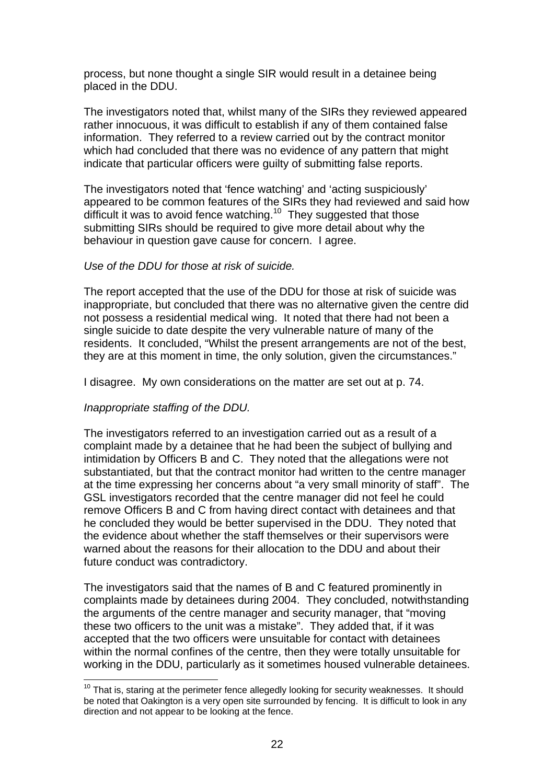process, but none thought a single SIR would result in a detainee being placed in the DDU.

The investigators noted that, whilst many of the SIRs they reviewed appeared rather innocuous, it was difficult to establish if any of them contained false information. They referred to a review carried out by the contract monitor which had concluded that there was no evidence of any pattern that might indicate that particular officers were guilty of submitting false reports.

The investigators noted that 'fence watching' and 'acting suspiciously' appeared to be common features of the SIRs they had reviewed and said how difficult it was to avoid fence watching.<sup>10</sup> They suggested that those submitting SIRs should be required to give more detail about why the behaviour in question gave cause for concern. I agree.

#### *Use of the DDU for those at risk of suicide.*

The report accepted that the use of the DDU for those at risk of suicide was inappropriate, but concluded that there was no alternative given the centre did not possess a residential medical wing. It noted that there had not been a single suicide to date despite the very vulnerable nature of many of the residents. It concluded, "Whilst the present arrangements are not of the best, they are at this moment in time, the only solution, given the circumstances."

I disagree. My own considerations on the matter are set out at p. 74.

#### *Inappropriate staffing of the DDU.*

The investigators referred to an investigation carried out as a result of a complaint made by a detainee that he had been the subject of bullying and intimidation by Officers B and C. They noted that the allegations were not substantiated, but that the contract monitor had written to the centre manager at the time expressing her concerns about "a very small minority of staff". The GSL investigators recorded that the centre manager did not feel he could remove Officers B and C from having direct contact with detainees and that he concluded they would be better supervised in the DDU. They noted that the evidence about whether the staff themselves or their supervisors were warned about the reasons for their allocation to the DDU and about their future conduct was contradictory.

The investigators said that the names of B and C featured prominently in complaints made by detainees during 2004. They concluded, notwithstanding the arguments of the centre manager and security manager, that "moving these two officers to the unit was a mistake". They added that, if it was accepted that the two officers were unsuitable for contact with detainees within the normal confines of the centre, then they were totally unsuitable for working in the DDU, particularly as it sometimes housed vulnerable detainees.

 $10$  That is, staring at the perimeter fence allegedly looking for security weaknesses. It should be noted that Oakington is a very open site surrounded by fencing. It is difficult to look in any direction and not appear to be looking at the fence.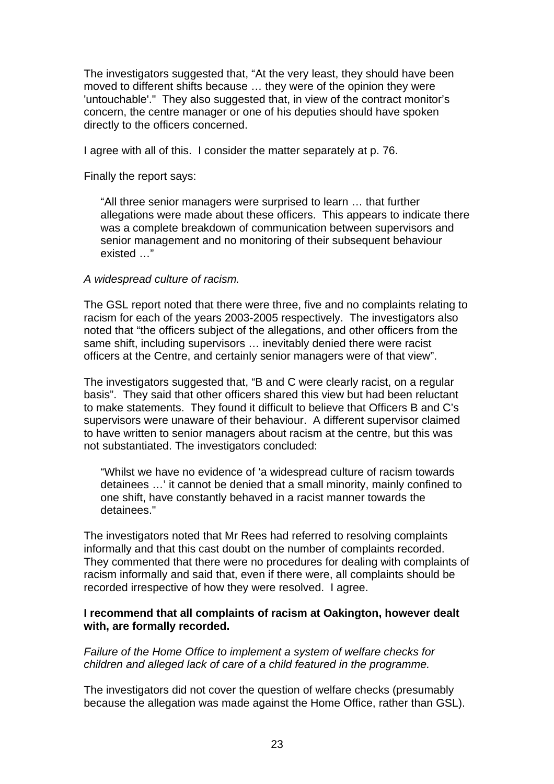The investigators suggested that, "At the very least, they should have been moved to different shifts because … they were of the opinion they were 'untouchable'." They also suggested that, in view of the contract monitor's concern, the centre manager or one of his deputies should have spoken directly to the officers concerned.

I agree with all of this. I consider the matter separately at p. 76.

Finally the report says:

"All three senior managers were surprised to learn … that further allegations were made about these officers. This appears to indicate there was a complete breakdown of communication between supervisors and senior management and no monitoring of their subsequent behaviour existed …"

#### *A widespread culture of racism.*

The GSL report noted that there were three, five and no complaints relating to racism for each of the years 2003-2005 respectively. The investigators also noted that "the officers subject of the allegations, and other officers from the same shift, including supervisors … inevitably denied there were racist officers at the Centre, and certainly senior managers were of that view".

The investigators suggested that, "B and C were clearly racist, on a regular basis". They said that other officers shared this view but had been reluctant to make statements. They found it difficult to believe that Officers B and C's supervisors were unaware of their behaviour. A different supervisor claimed to have written to senior managers about racism at the centre, but this was not substantiated. The investigators concluded:

"Whilst we have no evidence of 'a widespread culture of racism towards detainees …' it cannot be denied that a small minority, mainly confined to one shift, have constantly behaved in a racist manner towards the detainees."

The investigators noted that Mr Rees had referred to resolving complaints informally and that this cast doubt on the number of complaints recorded. They commented that there were no procedures for dealing with complaints of racism informally and said that, even if there were, all complaints should be recorded irrespective of how they were resolved. I agree.

#### **I recommend that all complaints of racism at Oakington, however dealt with, are formally recorded.**

*Failure of the Home Office to implement a system of welfare checks for children and alleged lack of care of a child featured in the programme.* 

The investigators did not cover the question of welfare checks (presumably because the allegation was made against the Home Office, rather than GSL).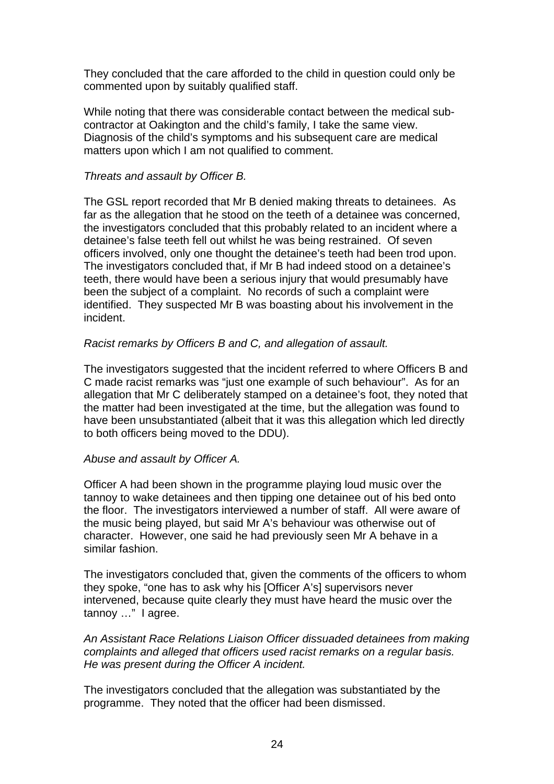They concluded that the care afforded to the child in question could only be commented upon by suitably qualified staff.

While noting that there was considerable contact between the medical subcontractor at Oakington and the child's family, I take the same view. Diagnosis of the child's symptoms and his subsequent care are medical matters upon which I am not qualified to comment.

#### *Threats and assault by Officer B.*

The GSL report recorded that Mr B denied making threats to detainees. As far as the allegation that he stood on the teeth of a detainee was concerned, the investigators concluded that this probably related to an incident where a detainee's false teeth fell out whilst he was being restrained. Of seven officers involved, only one thought the detainee's teeth had been trod upon. The investigators concluded that, if Mr B had indeed stood on a detainee's teeth, there would have been a serious injury that would presumably have been the subject of a complaint. No records of such a complaint were identified. They suspected Mr B was boasting about his involvement in the incident.

#### *Racist remarks by Officers B and C, and allegation of assault.*

The investigators suggested that the incident referred to where Officers B and C made racist remarks was "just one example of such behaviour". As for an allegation that Mr C deliberately stamped on a detainee's foot, they noted that the matter had been investigated at the time, but the allegation was found to have been unsubstantiated (albeit that it was this allegation which led directly to both officers being moved to the DDU).

#### *Abuse and assault by Officer A.*

Officer A had been shown in the programme playing loud music over the tannoy to wake detainees and then tipping one detainee out of his bed onto the floor. The investigators interviewed a number of staff. All were aware of the music being played, but said Mr A's behaviour was otherwise out of character. However, one said he had previously seen Mr A behave in a similar fashion.

The investigators concluded that, given the comments of the officers to whom they spoke, "one has to ask why his [Officer A's] supervisors never intervened, because quite clearly they must have heard the music over the tannoy …" I agree.

*An Assistant Race Relations Liaison Officer dissuaded detainees from making complaints and alleged that officers used racist remarks on a regular basis. He was present during the Officer A incident.* 

The investigators concluded that the allegation was substantiated by the programme. They noted that the officer had been dismissed.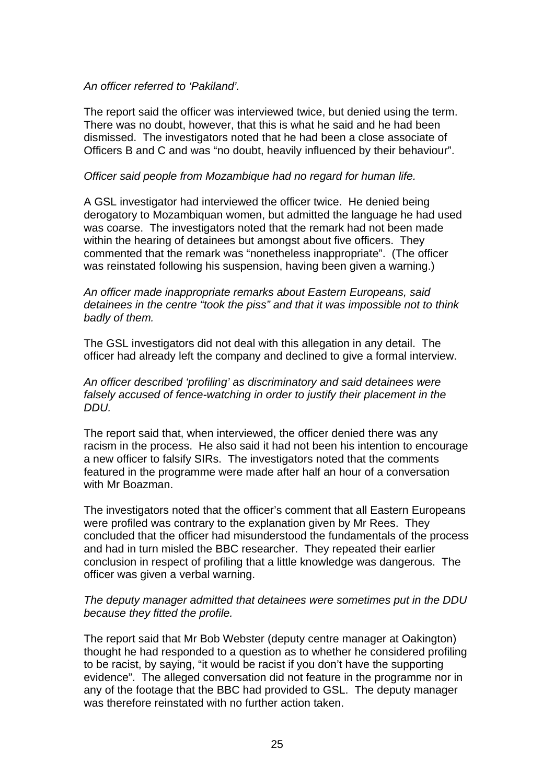#### *An officer referred to 'Pakiland'.*

The report said the officer was interviewed twice, but denied using the term. There was no doubt, however, that this is what he said and he had been dismissed. The investigators noted that he had been a close associate of Officers B and C and was "no doubt, heavily influenced by their behaviour".

#### *Officer said people from Mozambique had no regard for human life.*

A GSL investigator had interviewed the officer twice. He denied being derogatory to Mozambiquan women, but admitted the language he had used was coarse. The investigators noted that the remark had not been made within the hearing of detainees but amongst about five officers. They commented that the remark was "nonetheless inappropriate". (The officer was reinstated following his suspension, having been given a warning.)

*An officer made inappropriate remarks about Eastern Europeans, said detainees in the centre "took the piss" and that it was impossible not to think badly of them.* 

The GSL investigators did not deal with this allegation in any detail. The officer had already left the company and declined to give a formal interview.

*An officer described 'profiling' as discriminatory and said detainees were falsely accused of fence-watching in order to justify their placement in the DDU.* 

The report said that, when interviewed, the officer denied there was any racism in the process. He also said it had not been his intention to encourage a new officer to falsify SIRs. The investigators noted that the comments featured in the programme were made after half an hour of a conversation with Mr Boazman.

The investigators noted that the officer's comment that all Eastern Europeans were profiled was contrary to the explanation given by Mr Rees. They concluded that the officer had misunderstood the fundamentals of the process and had in turn misled the BBC researcher. They repeated their earlier conclusion in respect of profiling that a little knowledge was dangerous. The officer was given a verbal warning.

#### *The deputy manager admitted that detainees were sometimes put in the DDU because they fitted the profile.*

The report said that Mr Bob Webster (deputy centre manager at Oakington) thought he had responded to a question as to whether he considered profiling to be racist, by saying, "it would be racist if you don't have the supporting evidence". The alleged conversation did not feature in the programme nor in any of the footage that the BBC had provided to GSL. The deputy manager was therefore reinstated with no further action taken.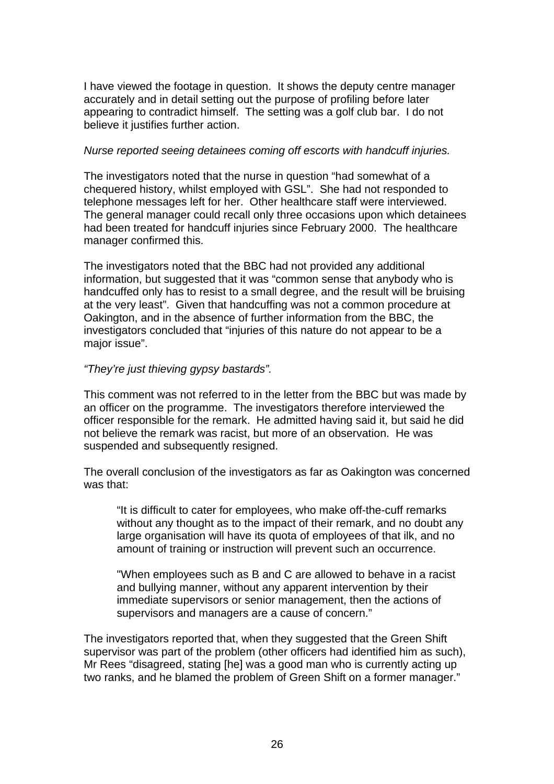I have viewed the footage in question. It shows the deputy centre manager accurately and in detail setting out the purpose of profiling before later appearing to contradict himself. The setting was a golf club bar. I do not believe it justifies further action.

#### *Nurse reported seeing detainees coming off escorts with handcuff injuries.*

The investigators noted that the nurse in question "had somewhat of a chequered history, whilst employed with GSL". She had not responded to telephone messages left for her. Other healthcare staff were interviewed. The general manager could recall only three occasions upon which detainees had been treated for handcuff injuries since February 2000. The healthcare manager confirmed this.

The investigators noted that the BBC had not provided any additional information, but suggested that it was "common sense that anybody who is handcuffed only has to resist to a small degree, and the result will be bruising at the very least". Given that handcuffing was not a common procedure at Oakington, and in the absence of further information from the BBC, the investigators concluded that "injuries of this nature do not appear to be a major issue".

#### *"They're just thieving gypsy bastards".*

This comment was not referred to in the letter from the BBC but was made by an officer on the programme. The investigators therefore interviewed the officer responsible for the remark. He admitted having said it, but said he did not believe the remark was racist, but more of an observation. He was suspended and subsequently resigned.

The overall conclusion of the investigators as far as Oakington was concerned was that:

"It is difficult to cater for employees, who make off-the-cuff remarks without any thought as to the impact of their remark, and no doubt any large organisation will have its quota of employees of that ilk, and no amount of training or instruction will prevent such an occurrence.

"When employees such as B and C are allowed to behave in a racist and bullying manner, without any apparent intervention by their immediate supervisors or senior management, then the actions of supervisors and managers are a cause of concern."

The investigators reported that, when they suggested that the Green Shift supervisor was part of the problem (other officers had identified him as such), Mr Rees "disagreed, stating [he] was a good man who is currently acting up two ranks, and he blamed the problem of Green Shift on a former manager."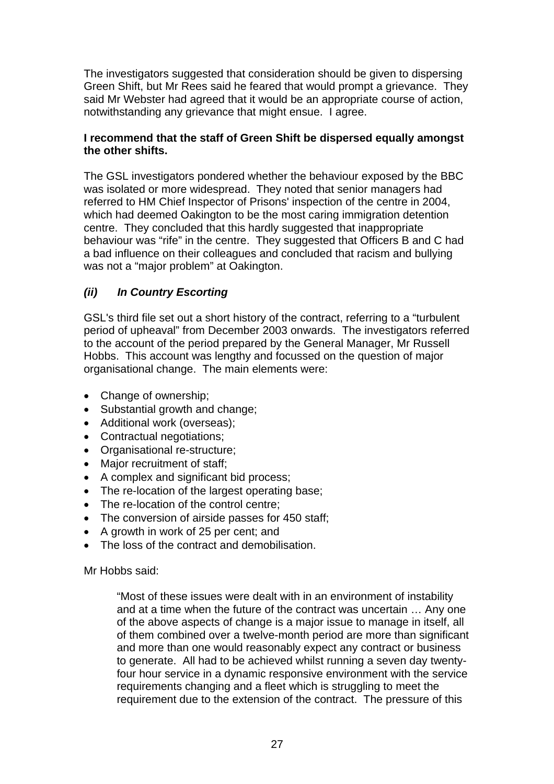The investigators suggested that consideration should be given to dispersing Green Shift, but Mr Rees said he feared that would prompt a grievance. They said Mr Webster had agreed that it would be an appropriate course of action, notwithstanding any grievance that might ensue. I agree.

### **I recommend that the staff of Green Shift be dispersed equally amongst the other shifts.**

The GSL investigators pondered whether the behaviour exposed by the BBC was isolated or more widespread. They noted that senior managers had referred to HM Chief Inspector of Prisons' inspection of the centre in 2004, which had deemed Oakington to be the most caring immigration detention centre. They concluded that this hardly suggested that inappropriate behaviour was "rife" in the centre. They suggested that Officers B and C had a bad influence on their colleagues and concluded that racism and bullying was not a "major problem" at Oakington.

# *(ii) In Country Escorting*

GSL's third file set out a short history of the contract, referring to a "turbulent period of upheaval" from December 2003 onwards. The investigators referred to the account of the period prepared by the General Manager, Mr Russell Hobbs. This account was lengthy and focussed on the question of major organisational change. The main elements were:

- Change of ownership;
- Substantial growth and change;
- Additional work (overseas);
- Contractual negotiations;
- Organisational re-structure;
- Major recruitment of staff;
- A complex and significant bid process;
- The re-location of the largest operating base;
- The re-location of the control centre;
- The conversion of airside passes for 450 staff;
- A growth in work of 25 per cent; and
- The loss of the contract and demobilisation.

Mr Hobbs said:

"Most of these issues were dealt with in an environment of instability and at a time when the future of the contract was uncertain … Any one of the above aspects of change is a major issue to manage in itself, all of them combined over a twelve-month period are more than significant and more than one would reasonably expect any contract or business to generate. All had to be achieved whilst running a seven day twentyfour hour service in a dynamic responsive environment with the service requirements changing and a fleet which is struggling to meet the requirement due to the extension of the contract. The pressure of this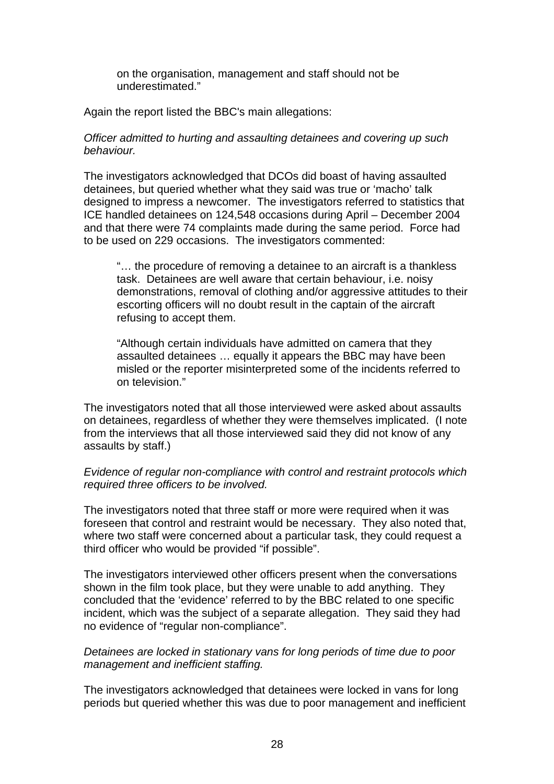on the organisation, management and staff should not be underestimated."

Again the report listed the BBC's main allegations:

#### *Officer admitted to hurting and assaulting detainees and covering up such behaviour.*

The investigators acknowledged that DCOs did boast of having assaulted detainees, but queried whether what they said was true or 'macho' talk designed to impress a newcomer. The investigators referred to statistics that ICE handled detainees on 124,548 occasions during April – December 2004 and that there were 74 complaints made during the same period. Force had to be used on 229 occasions. The investigators commented:

"… the procedure of removing a detainee to an aircraft is a thankless task. Detainees are well aware that certain behaviour, i.e. noisy demonstrations, removal of clothing and/or aggressive attitudes to their escorting officers will no doubt result in the captain of the aircraft refusing to accept them.

"Although certain individuals have admitted on camera that they assaulted detainees … equally it appears the BBC may have been misled or the reporter misinterpreted some of the incidents referred to on television."

The investigators noted that all those interviewed were asked about assaults on detainees, regardless of whether they were themselves implicated. (I note from the interviews that all those interviewed said they did not know of any assaults by staff.)

### *Evidence of regular non-compliance with control and restraint protocols which required three officers to be involved.*

The investigators noted that three staff or more were required when it was foreseen that control and restraint would be necessary. They also noted that, where two staff were concerned about a particular task, they could request a third officer who would be provided "if possible".

The investigators interviewed other officers present when the conversations shown in the film took place, but they were unable to add anything. They concluded that the 'evidence' referred to by the BBC related to one specific incident, which was the subject of a separate allegation. They said they had no evidence of "regular non-compliance".

#### *Detainees are locked in stationary vans for long periods of time due to poor management and inefficient staffing.*

The investigators acknowledged that detainees were locked in vans for long periods but queried whether this was due to poor management and inefficient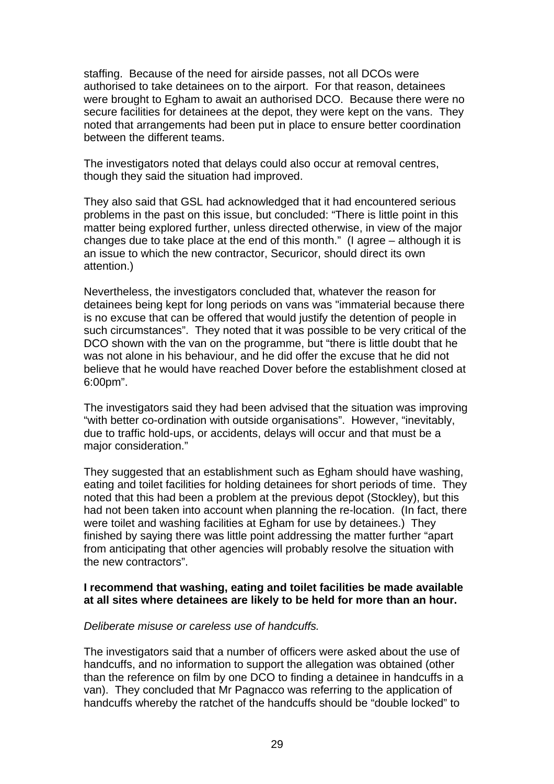staffing. Because of the need for airside passes, not all DCOs were authorised to take detainees on to the airport. For that reason, detainees were brought to Egham to await an authorised DCO. Because there were no secure facilities for detainees at the depot, they were kept on the vans. They noted that arrangements had been put in place to ensure better coordination between the different teams.

The investigators noted that delays could also occur at removal centres, though they said the situation had improved.

They also said that GSL had acknowledged that it had encountered serious problems in the past on this issue, but concluded: "There is little point in this matter being explored further, unless directed otherwise, in view of the major changes due to take place at the end of this month." (I agree *–* although it is an issue to which the new contractor, Securicor, should direct its own attention.)

Nevertheless, the investigators concluded that, whatever the reason for detainees being kept for long periods on vans was "immaterial because there is no excuse that can be offered that would justify the detention of people in such circumstances". They noted that it was possible to be very critical of the DCO shown with the van on the programme, but "there is little doubt that he was not alone in his behaviour, and he did offer the excuse that he did not believe that he would have reached Dover before the establishment closed at 6:00pm".

The investigators said they had been advised that the situation was improving "with better co-ordination with outside organisations". However, "inevitably, due to traffic hold-ups, or accidents, delays will occur and that must be a major consideration."

They suggested that an establishment such as Egham should have washing, eating and toilet facilities for holding detainees for short periods of time. They noted that this had been a problem at the previous depot (Stockley), but this had not been taken into account when planning the re-location. (In fact, there were toilet and washing facilities at Egham for use by detainees.) They finished by saying there was little point addressing the matter further "apart from anticipating that other agencies will probably resolve the situation with the new contractors".

#### **I recommend that washing, eating and toilet facilities be made available at all sites where detainees are likely to be held for more than an hour.**

#### *Deliberate misuse or careless use of handcuffs.*

The investigators said that a number of officers were asked about the use of handcuffs, and no information to support the allegation was obtained (other than the reference on film by one DCO to finding a detainee in handcuffs in a van). They concluded that Mr Pagnacco was referring to the application of handcuffs whereby the ratchet of the handcuffs should be "double locked" to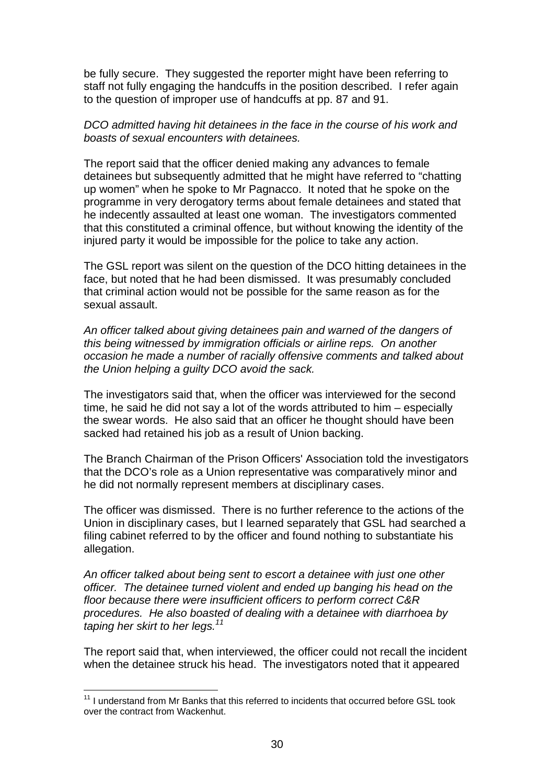be fully secure. They suggested the reporter might have been referring to staff not fully engaging the handcuffs in the position described. I refer again to the question of improper use of handcuffs at pp. 87 and 91.

#### *DCO admitted having hit detainees in the face in the course of his work and boasts of sexual encounters with detainees.*

The report said that the officer denied making any advances to female detainees but subsequently admitted that he might have referred to "chatting up women" when he spoke to Mr Pagnacco. It noted that he spoke on the programme in very derogatory terms about female detainees and stated that he indecently assaulted at least one woman. The investigators commented that this constituted a criminal offence, but without knowing the identity of the injured party it would be impossible for the police to take any action.

The GSL report was silent on the question of the DCO hitting detainees in the face, but noted that he had been dismissed. It was presumably concluded that criminal action would not be possible for the same reason as for the sexual assault.

*An officer talked about giving detainees pain and warned of the dangers of this being witnessed by immigration officials or airline reps. On another occasion he made a number of racially offensive comments and talked about the Union helping a guilty DCO avoid the sack.* 

The investigators said that, when the officer was interviewed for the second time, he said he did not say a lot of the words attributed to him – especially the swear words. He also said that an officer he thought should have been sacked had retained his job as a result of Union backing.

The Branch Chairman of the Prison Officers' Association told the investigators that the DCO's role as a Union representative was comparatively minor and he did not normally represent members at disciplinary cases.

The officer was dismissed. There is no further reference to the actions of the Union in disciplinary cases, but I learned separately that GSL had searched a filing cabinet referred to by the officer and found nothing to substantiate his allegation.

*An officer talked about being sent to escort a detainee with just one other officer. The detainee turned violent and ended up banging his head on the floor because there were insufficient officers to perform correct C&R procedures. He also boasted of dealing with a detainee with diarrhoea by taping her skirt to her legs.<sup>11</sup>*

The report said that, when interviewed, the officer could not recall the incident when the detainee struck his head. The investigators noted that it appeared

 $11$  I understand from Mr Banks that this referred to incidents that occurred before GSL took over the contract from Wackenhut.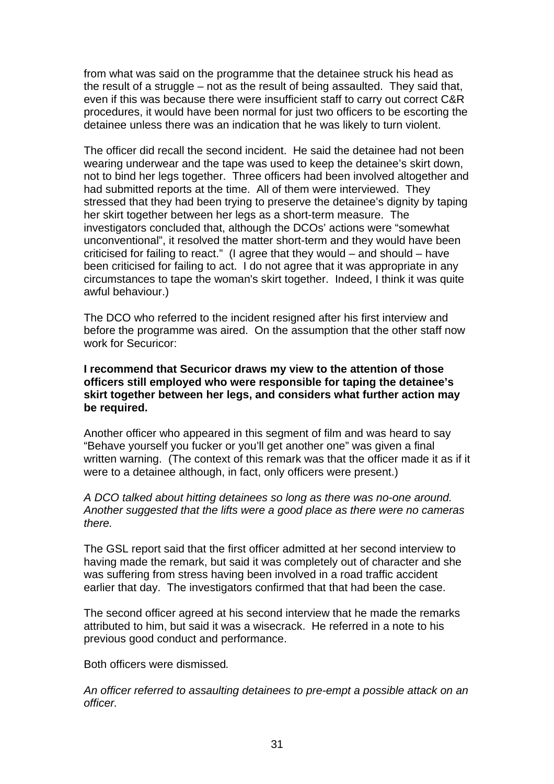from what was said on the programme that the detainee struck his head as the result of a struggle – not as the result of being assaulted. They said that, even if this was because there were insufficient staff to carry out correct C&R procedures, it would have been normal for just two officers to be escorting the detainee unless there was an indication that he was likely to turn violent.

The officer did recall the second incident. He said the detainee had not been wearing underwear and the tape was used to keep the detainee's skirt down, not to bind her legs together. Three officers had been involved altogether and had submitted reports at the time. All of them were interviewed. They stressed that they had been trying to preserve the detainee's dignity by taping her skirt together between her legs as a short-term measure. The investigators concluded that, although the DCOs' actions were "somewhat unconventional", it resolved the matter short-term and they would have been criticised for failing to react." (I agree that they would – and should – have been criticised for failing to act. I do not agree that it was appropriate in any circumstances to tape the woman's skirt together. Indeed, I think it was quite awful behaviour.)

The DCO who referred to the incident resigned after his first interview and before the programme was aired. On the assumption that the other staff now work for Securicor:

**I recommend that Securicor draws my view to the attention of those officers still employed who were responsible for taping the detainee's skirt together between her legs, and considers what further action may be required.** 

Another officer who appeared in this segment of film and was heard to say "Behave yourself you fucker or you'll get another one" was given a final written warning. (The context of this remark was that the officer made it as if it were to a detainee although, in fact, only officers were present.)

#### *A DCO talked about hitting detainees so long as there was no-one around. Another suggested that the lifts were a good place as there were no cameras there.*

The GSL report said that the first officer admitted at her second interview to having made the remark, but said it was completely out of character and she was suffering from stress having been involved in a road traffic accident earlier that day. The investigators confirmed that that had been the case.

The second officer agreed at his second interview that he made the remarks attributed to him, but said it was a wisecrack. He referred in a note to his previous good conduct and performance.

Both officers were dismissed*.* 

*An officer referred to assaulting detainees to pre-empt a possible attack on an officer.*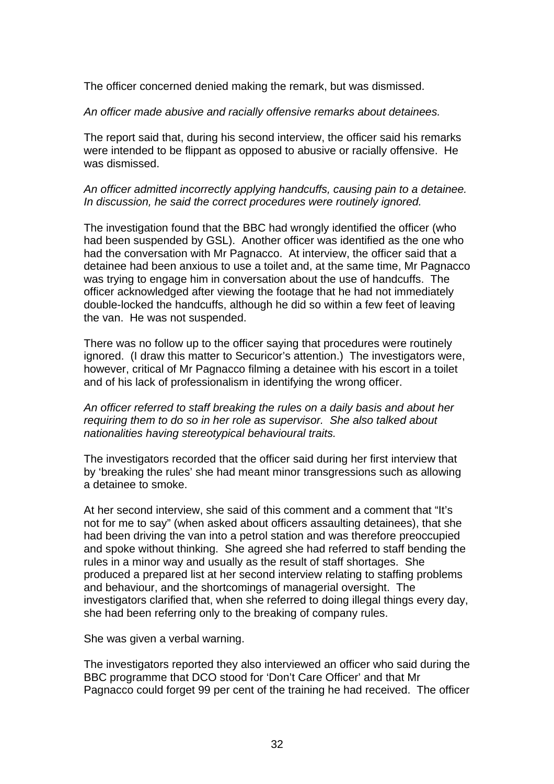The officer concerned denied making the remark, but was dismissed.

#### *An officer made abusive and racially offensive remarks about detainees.*

The report said that, during his second interview, the officer said his remarks were intended to be flippant as opposed to abusive or racially offensive. He was dismissed.

#### *An officer admitted incorrectly applying handcuffs, causing pain to a detainee. In discussion, he said the correct procedures were routinely ignored.*

The investigation found that the BBC had wrongly identified the officer (who had been suspended by GSL). Another officer was identified as the one who had the conversation with Mr Pagnacco. At interview, the officer said that a detainee had been anxious to use a toilet and, at the same time, Mr Pagnacco was trying to engage him in conversation about the use of handcuffs. The officer acknowledged after viewing the footage that he had not immediately double-locked the handcuffs, although he did so within a few feet of leaving the van. He was not suspended.

There was no follow up to the officer saying that procedures were routinely ignored. (I draw this matter to Securicor's attention.) The investigators were, however, critical of Mr Pagnacco filming a detainee with his escort in a toilet and of his lack of professionalism in identifying the wrong officer.

#### *An officer referred to staff breaking the rules on a daily basis and about her requiring them to do so in her role as supervisor. She also talked about nationalities having stereotypical behavioural traits.*

The investigators recorded that the officer said during her first interview that by 'breaking the rules' she had meant minor transgressions such as allowing a detainee to smoke.

At her second interview, she said of this comment and a comment that "It's not for me to say" (when asked about officers assaulting detainees), that she had been driving the van into a petrol station and was therefore preoccupied and spoke without thinking. She agreed she had referred to staff bending the rules in a minor way and usually as the result of staff shortages. She produced a prepared list at her second interview relating to staffing problems and behaviour, and the shortcomings of managerial oversight. The investigators clarified that, when she referred to doing illegal things every day, she had been referring only to the breaking of company rules.

She was given a verbal warning.

The investigators reported they also interviewed an officer who said during the BBC programme that DCO stood for 'Don't Care Officer' and that Mr Pagnacco could forget 99 per cent of the training he had received. The officer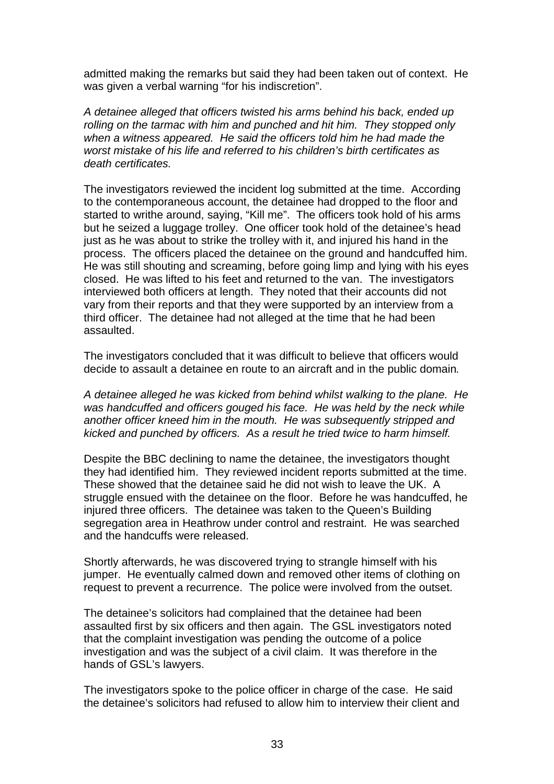admitted making the remarks but said they had been taken out of context. He was given a verbal warning "for his indiscretion".

*A detainee alleged that officers twisted his arms behind his back, ended up rolling on the tarmac with him and punched and hit him. They stopped only when a witness appeared. He said the officers told him he had made the worst mistake of his life and referred to his children's birth certificates as death certificates.* 

The investigators reviewed the incident log submitted at the time. According to the contemporaneous account, the detainee had dropped to the floor and started to writhe around, saying, "Kill me". The officers took hold of his arms but he seized a luggage trolley. One officer took hold of the detainee's head just as he was about to strike the trolley with it, and injured his hand in the process. The officers placed the detainee on the ground and handcuffed him. He was still shouting and screaming, before going limp and lying with his eyes closed. He was lifted to his feet and returned to the van. The investigators interviewed both officers at length. They noted that their accounts did not vary from their reports and that they were supported by an interview from a third officer. The detainee had not alleged at the time that he had been assaulted.

The investigators concluded that it was difficult to believe that officers would decide to assault a detainee en route to an aircraft and in the public domain*.* 

*A detainee alleged he was kicked from behind whilst walking to the plane. He*  was handcuffed and officers gouged his face. He was held by the neck while *another officer kneed him in the mouth. He was subsequently stripped and kicked and punched by officers. As a result he tried twice to harm himself.* 

Despite the BBC declining to name the detainee, the investigators thought they had identified him. They reviewed incident reports submitted at the time. These showed that the detainee said he did not wish to leave the UK. A struggle ensued with the detainee on the floor. Before he was handcuffed, he injured three officers. The detainee was taken to the Queen's Building segregation area in Heathrow under control and restraint. He was searched and the handcuffs were released.

Shortly afterwards, he was discovered trying to strangle himself with his jumper. He eventually calmed down and removed other items of clothing on request to prevent a recurrence. The police were involved from the outset.

The detainee's solicitors had complained that the detainee had been assaulted first by six officers and then again. The GSL investigators noted that the complaint investigation was pending the outcome of a police investigation and was the subject of a civil claim. It was therefore in the hands of GSL's lawyers.

The investigators spoke to the police officer in charge of the case. He said the detainee's solicitors had refused to allow him to interview their client and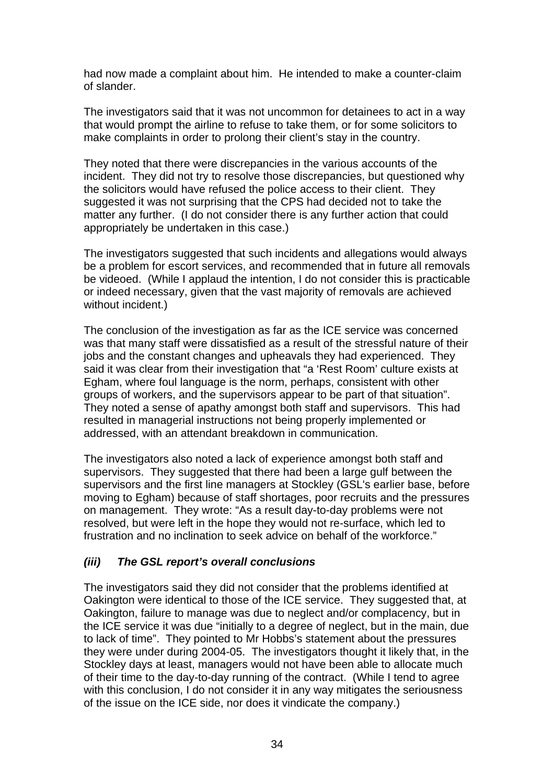had now made a complaint about him. He intended to make a counter-claim of slander.

The investigators said that it was not uncommon for detainees to act in a way that would prompt the airline to refuse to take them, or for some solicitors to make complaints in order to prolong their client's stay in the country.

They noted that there were discrepancies in the various accounts of the incident. They did not try to resolve those discrepancies, but questioned why the solicitors would have refused the police access to their client. They suggested it was not surprising that the CPS had decided not to take the matter any further. (I do not consider there is any further action that could appropriately be undertaken in this case.)

The investigators suggested that such incidents and allegations would always be a problem for escort services, and recommended that in future all removals be videoed. (While I applaud the intention, I do not consider this is practicable or indeed necessary, given that the vast majority of removals are achieved without incident.)

The conclusion of the investigation as far as the ICE service was concerned was that many staff were dissatisfied as a result of the stressful nature of their jobs and the constant changes and upheavals they had experienced. They said it was clear from their investigation that "a 'Rest Room' culture exists at Egham, where foul language is the norm, perhaps, consistent with other groups of workers, and the supervisors appear to be part of that situation". They noted a sense of apathy amongst both staff and supervisors. This had resulted in managerial instructions not being properly implemented or addressed, with an attendant breakdown in communication.

The investigators also noted a lack of experience amongst both staff and supervisors. They suggested that there had been a large gulf between the supervisors and the first line managers at Stockley (GSL's earlier base, before moving to Egham) because of staff shortages, poor recruits and the pressures on management. They wrote: "As a result day-to-day problems were not resolved, but were left in the hope they would not re-surface, which led to frustration and no inclination to seek advice on behalf of the workforce."

#### *(iii) The GSL report's overall conclusions*

The investigators said they did not consider that the problems identified at Oakington were identical to those of the ICE service. They suggested that, at Oakington, failure to manage was due to neglect and/or complacency, but in the ICE service it was due "initially to a degree of neglect, but in the main, due to lack of time". They pointed to Mr Hobbs's statement about the pressures they were under during 2004-05. The investigators thought it likely that, in the Stockley days at least, managers would not have been able to allocate much of their time to the day-to-day running of the contract. (While I tend to agree with this conclusion, I do not consider it in any way mitigates the seriousness of the issue on the ICE side, nor does it vindicate the company.)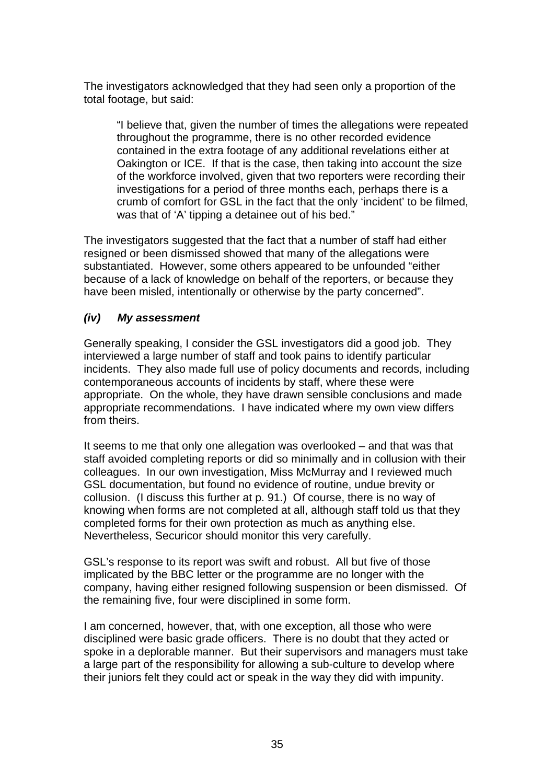The investigators acknowledged that they had seen only a proportion of the total footage, but said:

"I believe that, given the number of times the allegations were repeated throughout the programme, there is no other recorded evidence contained in the extra footage of any additional revelations either at Oakington or ICE. If that is the case, then taking into account the size of the workforce involved, given that two reporters were recording their investigations for a period of three months each, perhaps there is a crumb of comfort for GSL in the fact that the only 'incident' to be filmed, was that of 'A' tipping a detainee out of his bed."

The investigators suggested that the fact that a number of staff had either resigned or been dismissed showed that many of the allegations were substantiated. However, some others appeared to be unfounded "either because of a lack of knowledge on behalf of the reporters, or because they have been misled, intentionally or otherwise by the party concerned".

## *(iv) My assessment*

Generally speaking, I consider the GSL investigators did a good job. They interviewed a large number of staff and took pains to identify particular incidents. They also made full use of policy documents and records, including contemporaneous accounts of incidents by staff, where these were appropriate. On the whole, they have drawn sensible conclusions and made appropriate recommendations. I have indicated where my own view differs from theirs.

It seems to me that only one allegation was overlooked – and that was that staff avoided completing reports or did so minimally and in collusion with their colleagues. In our own investigation, Miss McMurray and I reviewed much GSL documentation, but found no evidence of routine, undue brevity or collusion. (I discuss this further at p. 91.) Of course, there is no way of knowing when forms are not completed at all, although staff told us that they completed forms for their own protection as much as anything else. Nevertheless, Securicor should monitor this very carefully.

GSL's response to its report was swift and robust. All but five of those implicated by the BBC letter or the programme are no longer with the company, having either resigned following suspension or been dismissed. Of the remaining five, four were disciplined in some form.

I am concerned, however, that, with one exception, all those who were disciplined were basic grade officers. There is no doubt that they acted or spoke in a deplorable manner. But their supervisors and managers must take a large part of the responsibility for allowing a sub-culture to develop where their juniors felt they could act or speak in the way they did with impunity.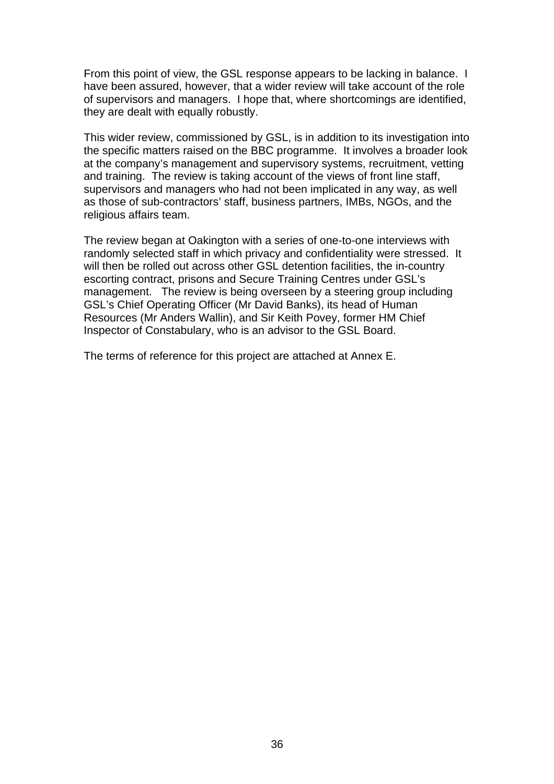From this point of view, the GSL response appears to be lacking in balance. I have been assured, however, that a wider review will take account of the role of supervisors and managers. I hope that, where shortcomings are identified, they are dealt with equally robustly.

This wider review, commissioned by GSL, is in addition to its investigation into the specific matters raised on the BBC programme. It involves a broader look at the company's management and supervisory systems, recruitment, vetting and training. The review is taking account of the views of front line staff, supervisors and managers who had not been implicated in any way, as well as those of sub-contractors' staff, business partners, IMBs, NGOs, and the religious affairs team.

The review began at Oakington with a series of one-to-one interviews with randomly selected staff in which privacy and confidentiality were stressed. It will then be rolled out across other GSL detention facilities, the in-country escorting contract, prisons and Secure Training Centres under GSL's management. The review is being overseen by a steering group including GSL's Chief Operating Officer (Mr David Banks), its head of Human Resources (Mr Anders Wallin), and Sir Keith Povey, former HM Chief Inspector of Constabulary, who is an advisor to the GSL Board.

The terms of reference for this project are attached at Annex E.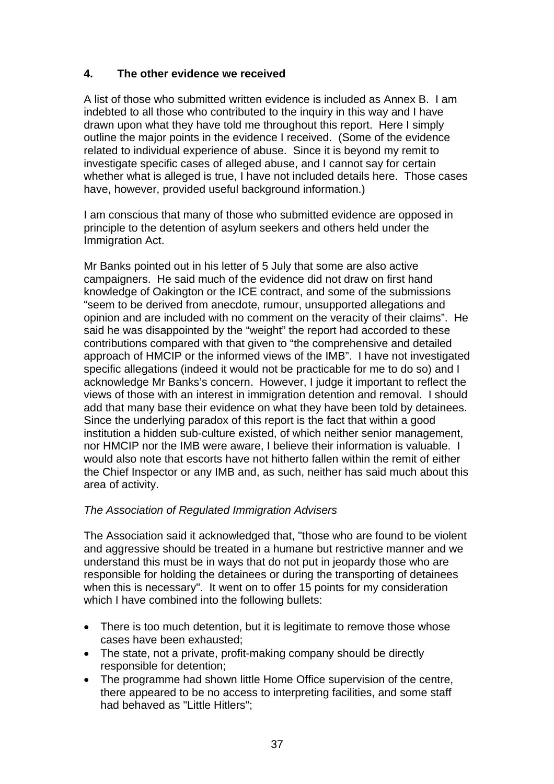# **4. The other evidence we received**

A list of those who submitted written evidence is included as Annex B. I am indebted to all those who contributed to the inquiry in this way and I have drawn upon what they have told me throughout this report. Here I simply outline the major points in the evidence I received. (Some of the evidence related to individual experience of abuse. Since it is beyond my remit to investigate specific cases of alleged abuse, and I cannot say for certain whether what is alleged is true, I have not included details here. Those cases have, however, provided useful background information.)

I am conscious that many of those who submitted evidence are opposed in principle to the detention of asylum seekers and others held under the Immigration Act.

Mr Banks pointed out in his letter of 5 July that some are also active campaigners. He said much of the evidence did not draw on first hand knowledge of Oakington or the ICE contract, and some of the submissions "seem to be derived from anecdote, rumour, unsupported allegations and opinion and are included with no comment on the veracity of their claims". He said he was disappointed by the "weight" the report had accorded to these contributions compared with that given to "the comprehensive and detailed approach of HMCIP or the informed views of the IMB". I have not investigated specific allegations (indeed it would not be practicable for me to do so) and I acknowledge Mr Banks's concern. However, I judge it important to reflect the views of those with an interest in immigration detention and removal. I should add that many base their evidence on what they have been told by detainees. Since the underlying paradox of this report is the fact that within a good institution a hidden sub-culture existed, of which neither senior management, nor HMCIP nor the IMB were aware, I believe their information is valuable. I would also note that escorts have not hitherto fallen within the remit of either the Chief Inspector or any IMB and, as such, neither has said much about this area of activity.

## *The Association of Regulated Immigration Advisers*

The Association said it acknowledged that, "those who are found to be violent and aggressive should be treated in a humane but restrictive manner and we understand this must be in ways that do not put in jeopardy those who are responsible for holding the detainees or during the transporting of detainees when this is necessary". It went on to offer 15 points for my consideration which I have combined into the following bullets:

- There is too much detention, but it is legitimate to remove those whose cases have been exhausted;
- The state, not a private, profit-making company should be directly responsible for detention;
- The programme had shown little Home Office supervision of the centre, there appeared to be no access to interpreting facilities, and some staff had behaved as "Little Hitlers";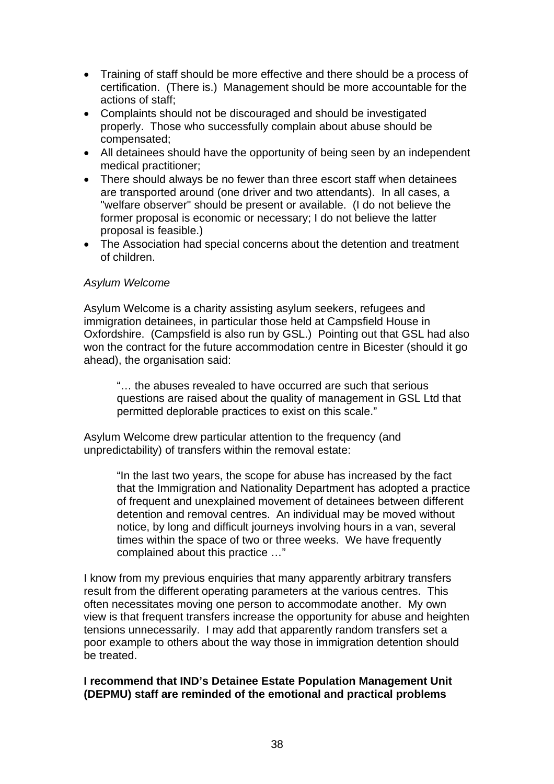- Training of staff should be more effective and there should be a process of certification. (There is.) Management should be more accountable for the actions of staff;
- Complaints should not be discouraged and should be investigated properly. Those who successfully complain about abuse should be compensated;
- All detainees should have the opportunity of being seen by an independent medical practitioner;
- There should always be no fewer than three escort staff when detainees are transported around (one driver and two attendants). In all cases, a "welfare observer" should be present or available. (I do not believe the former proposal is economic or necessary; I do not believe the latter proposal is feasible.)
- The Association had special concerns about the detention and treatment of children.

## *Asylum Welcome*

Asylum Welcome is a charity assisting asylum seekers, refugees and immigration detainees, in particular those held at Campsfield House in Oxfordshire. (Campsfield is also run by GSL.) Pointing out that GSL had also won the contract for the future accommodation centre in Bicester (should it go ahead), the organisation said:

"… the abuses revealed to have occurred are such that serious questions are raised about the quality of management in GSL Ltd that permitted deplorable practices to exist on this scale."

Asylum Welcome drew particular attention to the frequency (and unpredictability) of transfers within the removal estate:

> "In the last two years, the scope for abuse has increased by the fact that the Immigration and Nationality Department has adopted a practice of frequent and unexplained movement of detainees between different detention and removal centres. An individual may be moved without notice, by long and difficult journeys involving hours in a van, several times within the space of two or three weeks. We have frequently complained about this practice …"

I know from my previous enquiries that many apparently arbitrary transfers result from the different operating parameters at the various centres. This often necessitates moving one person to accommodate another. My own view is that frequent transfers increase the opportunity for abuse and heighten tensions unnecessarily. I may add that apparently random transfers set a poor example to others about the way those in immigration detention should be treated.

## **I recommend that IND's Detainee Estate Population Management Unit (DEPMU) staff are reminded of the emotional and practical problems**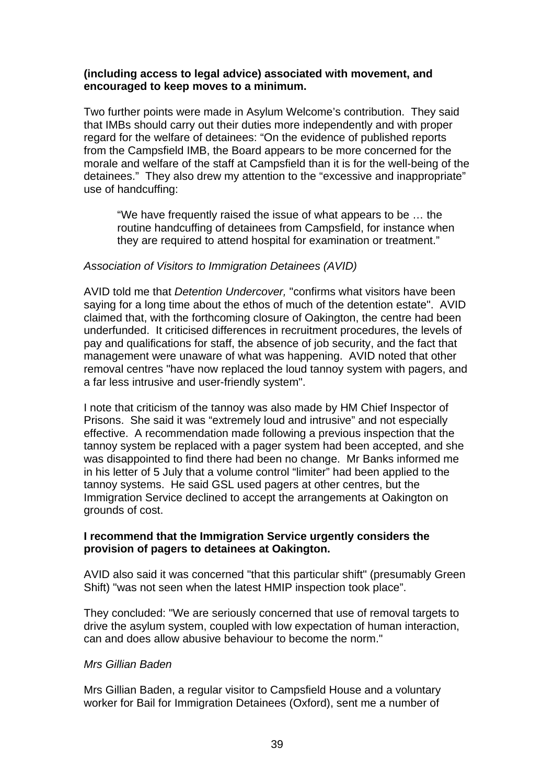## **(including access to legal advice) associated with movement, and encouraged to keep moves to a minimum.**

Two further points were made in Asylum Welcome's contribution. They said that IMBs should carry out their duties more independently and with proper regard for the welfare of detainees: "On the evidence of published reports from the Campsfield IMB, the Board appears to be more concerned for the morale and welfare of the staff at Campsfield than it is for the well-being of the detainees." They also drew my attention to the "excessive and inappropriate" use of handcuffing:

"We have frequently raised the issue of what appears to be … the routine handcuffing of detainees from Campsfield, for instance when they are required to attend hospital for examination or treatment."

## *Association of Visitors to Immigration Detainees (AVID)*

AVID told me that *Detention Undercover,* "confirms what visitors have been saying for a long time about the ethos of much of the detention estate". AVID claimed that, with the forthcoming closure of Oakington, the centre had been underfunded. It criticised differences in recruitment procedures, the levels of pay and qualifications for staff, the absence of job security, and the fact that management were unaware of what was happening. AVID noted that other removal centres "have now replaced the loud tannoy system with pagers, and a far less intrusive and user-friendly system".

I note that criticism of the tannoy was also made by HM Chief Inspector of Prisons. She said it was "extremely loud and intrusive" and not especially effective. A recommendation made following a previous inspection that the tannoy system be replaced with a pager system had been accepted, and she was disappointed to find there had been no change. Mr Banks informed me in his letter of 5 July that a volume control "limiter" had been applied to the tannoy systems. He said GSL used pagers at other centres, but the Immigration Service declined to accept the arrangements at Oakington on grounds of cost.

## **I recommend that the Immigration Service urgently considers the provision of pagers to detainees at Oakington.**

AVID also said it was concerned "that this particular shift" (presumably Green Shift) "was not seen when the latest HMIP inspection took place".

They concluded: "We are seriously concerned that use of removal targets to drive the asylum system, coupled with low expectation of human interaction, can and does allow abusive behaviour to become the norm."

## *Mrs Gillian Baden*

Mrs Gillian Baden, a regular visitor to Campsfield House and a voluntary worker for Bail for Immigration Detainees (Oxford), sent me a number of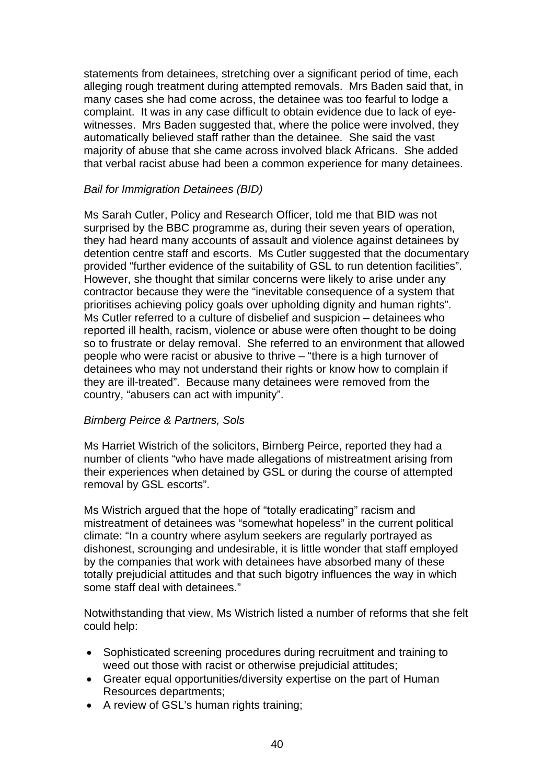statements from detainees, stretching over a significant period of time, each alleging rough treatment during attempted removals. Mrs Baden said that, in many cases she had come across, the detainee was too fearful to lodge a complaint. It was in any case difficult to obtain evidence due to lack of eyewitnesses. Mrs Baden suggested that, where the police were involved, they automatically believed staff rather than the detainee. She said the vast majority of abuse that she came across involved black Africans. She added that verbal racist abuse had been a common experience for many detainees.

## *Bail for Immigration Detainees (BID)*

Ms Sarah Cutler, Policy and Research Officer, told me that BID was not surprised by the BBC programme as, during their seven years of operation, they had heard many accounts of assault and violence against detainees by detention centre staff and escorts. Ms Cutler suggested that the documentary provided "further evidence of the suitability of GSL to run detention facilities". However, she thought that similar concerns were likely to arise under any contractor because they were the "inevitable consequence of a system that prioritises achieving policy goals over upholding dignity and human rights". Ms Cutler referred to a culture of disbelief and suspicion – detainees who reported ill health, racism, violence or abuse were often thought to be doing so to frustrate or delay removal. She referred to an environment that allowed people who were racist or abusive to thrive – "there is a high turnover of detainees who may not understand their rights or know how to complain if they are ill-treated". Because many detainees were removed from the country, "abusers can act with impunity".

# *Birnberg Peirce & Partners, Sols*

Ms Harriet Wistrich of the solicitors, Birnberg Peirce, reported they had a number of clients "who have made allegations of mistreatment arising from their experiences when detained by GSL or during the course of attempted removal by GSL escorts".

Ms Wistrich argued that the hope of "totally eradicating" racism and mistreatment of detainees was "somewhat hopeless" in the current political climate: "In a country where asylum seekers are regularly portrayed as dishonest, scrounging and undesirable, it is little wonder that staff employed by the companies that work with detainees have absorbed many of these totally prejudicial attitudes and that such bigotry influences the way in which some staff deal with detainees."

Notwithstanding that view, Ms Wistrich listed a number of reforms that she felt could help:

- Sophisticated screening procedures during recruitment and training to weed out those with racist or otherwise prejudicial attitudes;
- Greater equal opportunities/diversity expertise on the part of Human Resources departments;
- A review of GSL's human rights training;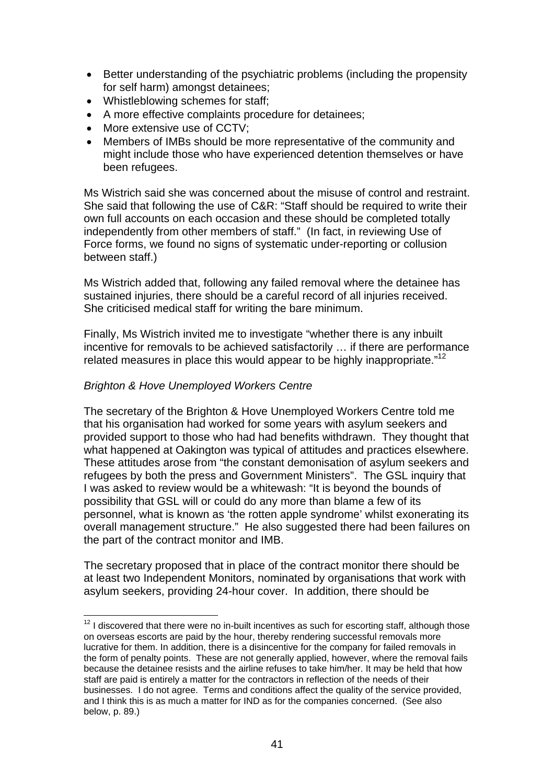- Better understanding of the psychiatric problems (including the propensity for self harm) amongst detainees;
- Whistleblowing schemes for staff;
- A more effective complaints procedure for detainees;
- More extensive use of CCTV:
- Members of IMBs should be more representative of the community and might include those who have experienced detention themselves or have been refugees.

Ms Wistrich said she was concerned about the misuse of control and restraint. She said that following the use of C&R: "Staff should be required to write their own full accounts on each occasion and these should be completed totally independently from other members of staff." (In fact, in reviewing Use of Force forms, we found no signs of systematic under-reporting or collusion between staff.)

Ms Wistrich added that, following any failed removal where the detainee has sustained injuries, there should be a careful record of all injuries received. She criticised medical staff for writing the bare minimum.

Finally, Ms Wistrich invited me to investigate "whether there is any inbuilt incentive for removals to be achieved satisfactorily … if there are performance related measures in place this would appear to be highly inappropriate."<sup>12</sup>

## *Brighton & Hove Unemployed Workers Centre*

The secretary of the Brighton & Hove Unemployed Workers Centre told me that his organisation had worked for some years with asylum seekers and provided support to those who had had benefits withdrawn. They thought that what happened at Oakington was typical of attitudes and practices elsewhere. These attitudes arose from "the constant demonisation of asylum seekers and refugees by both the press and Government Ministers". The GSL inquiry that I was asked to review would be a whitewash: "It is beyond the bounds of possibility that GSL will or could do any more than blame a few of its personnel, what is known as 'the rotten apple syndrome' whilst exonerating its overall management structure." He also suggested there had been failures on the part of the contract monitor and IMB.

The secretary proposed that in place of the contract monitor there should be at least two Independent Monitors, nominated by organisations that work with asylum seekers, providing 24-hour cover. In addition, there should be

 $12$  I discovered that there were no in-built incentives as such for escorting staff, although those on overseas escorts are paid by the hour, thereby rendering successful removals more lucrative for them. In addition, there is a disincentive for the company for failed removals in the form of penalty points. These are not generally applied, however, where the removal fails because the detainee resists and the airline refuses to take him/her. It may be held that how staff are paid is entirely a matter for the contractors in reflection of the needs of their businesses. I do not agree. Terms and conditions affect the quality of the service provided, and I think this is as much a matter for IND as for the companies concerned. (See also below, p. 89.)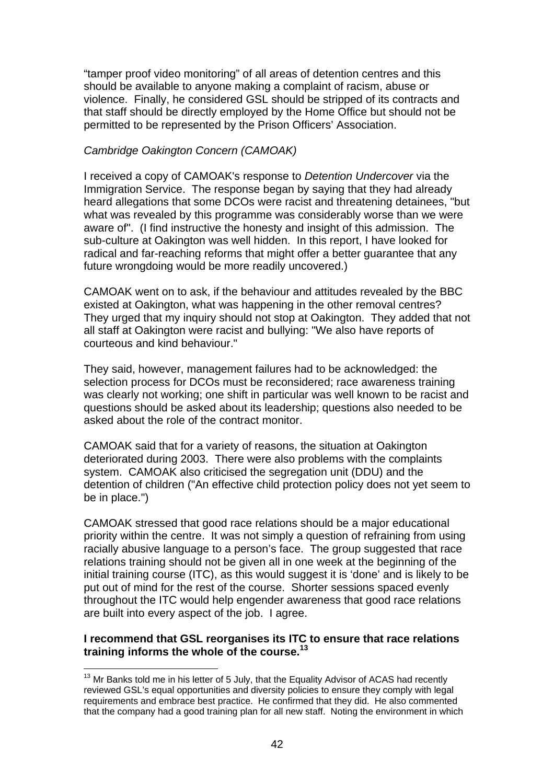"tamper proof video monitoring" of all areas of detention centres and this should be available to anyone making a complaint of racism, abuse or violence. Finally, he considered GSL should be stripped of its contracts and that staff should be directly employed by the Home Office but should not be permitted to be represented by the Prison Officers' Association.

#### *Cambridge Oakington Concern (CAMOAK)*

I received a copy of CAMOAK's response to *Detention Undercover* via the Immigration Service. The response began by saying that they had already heard allegations that some DCOs were racist and threatening detainees, "but what was revealed by this programme was considerably worse than we were aware of". (I find instructive the honesty and insight of this admission. The sub-culture at Oakington was well hidden. In this report, I have looked for radical and far-reaching reforms that might offer a better guarantee that any future wrongdoing would be more readily uncovered.)

CAMOAK went on to ask, if the behaviour and attitudes revealed by the BBC existed at Oakington, what was happening in the other removal centres? They urged that my inquiry should not stop at Oakington. They added that not all staff at Oakington were racist and bullying: "We also have reports of courteous and kind behaviour."

They said, however, management failures had to be acknowledged: the selection process for DCOs must be reconsidered; race awareness training was clearly not working; one shift in particular was well known to be racist and questions should be asked about its leadership; questions also needed to be asked about the role of the contract monitor.

CAMOAK said that for a variety of reasons, the situation at Oakington deteriorated during 2003. There were also problems with the complaints system. CAMOAK also criticised the segregation unit (DDU) and the detention of children ("An effective child protection policy does not yet seem to be in place.")

CAMOAK stressed that good race relations should be a major educational priority within the centre. It was not simply a question of refraining from using racially abusive language to a person's face. The group suggested that race relations training should not be given all in one week at the beginning of the initial training course (ITC), as this would suggest it is 'done' and is likely to be put out of mind for the rest of the course. Shorter sessions spaced evenly throughout the ITC would help engender awareness that good race relations are built into every aspect of the job. I agree.

### **I recommend that GSL reorganises its ITC to ensure that race relations training informs the whole of the course.<sup>13</sup>**

 $13$  Mr Banks told me in his letter of 5 July, that the Equality Advisor of ACAS had recently reviewed GSL's equal opportunities and diversity policies to ensure they comply with legal requirements and embrace best practice. He confirmed that they did. He also commented that the company had a good training plan for all new staff. Noting the environment in which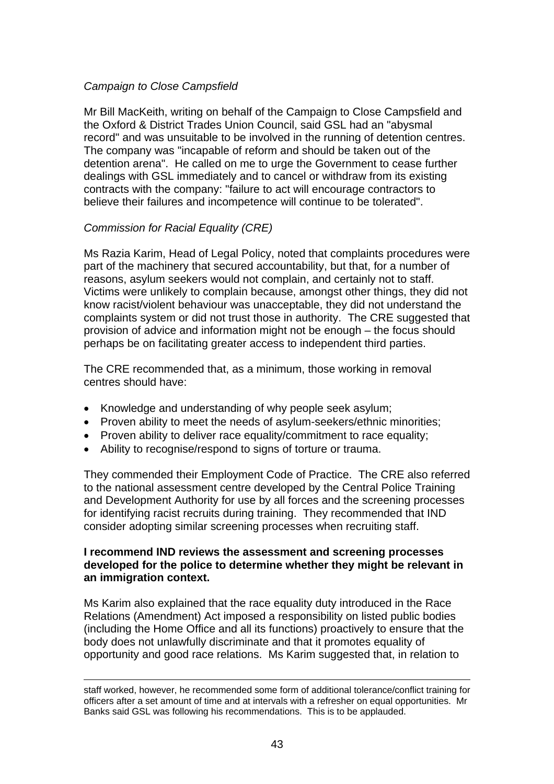## *Campaign to Close Campsfield*

Mr Bill MacKeith, writing on behalf of the Campaign to Close Campsfield and the Oxford & District Trades Union Council, said GSL had an "abysmal record" and was unsuitable to be involved in the running of detention centres. The company was "incapable of reform and should be taken out of the detention arena". He called on me to urge the Government to cease further dealings with GSL immediately and to cancel or withdraw from its existing contracts with the company: "failure to act will encourage contractors to believe their failures and incompetence will continue to be tolerated".

## *Commission for Racial Equality (CRE)*

Ms Razia Karim, Head of Legal Policy, noted that complaints procedures were part of the machinery that secured accountability, but that, for a number of reasons, asylum seekers would not complain, and certainly not to staff. Victims were unlikely to complain because, amongst other things, they did not know racist/violent behaviour was unacceptable, they did not understand the complaints system or did not trust those in authority. The CRE suggested that provision of advice and information might not be enough – the focus should perhaps be on facilitating greater access to independent third parties.

The CRE recommended that, as a minimum, those working in removal centres should have:

- Knowledge and understanding of why people seek asylum;
- Proven ability to meet the needs of asylum-seekers/ethnic minorities;
- Proven ability to deliver race equality/commitment to race equality:
- Ability to recognise/respond to signs of torture or trauma.

They commended their Employment Code of Practice. The CRE also referred to the national assessment centre developed by the Central Police Training and Development Authority for use by all forces and the screening processes for identifying racist recruits during training. They recommended that IND consider adopting similar screening processes when recruiting staff.

## **I recommend IND reviews the assessment and screening processes developed for the police to determine whether they might be relevant in an immigration context.**

Ms Karim also explained that the race equality duty introduced in the Race Relations (Amendment) Act imposed a responsibility on listed public bodies (including the Home Office and all its functions) proactively to ensure that the body does not unlawfully discriminate and that it promotes equality of opportunity and good race relations. Ms Karim suggested that, in relation to

staff worked, however, he recommended some form of additional tolerance/conflict training for officers after a set amount of time and at intervals with a refresher on equal opportunities. Mr Banks said GSL was following his recommendations. This is to be applauded.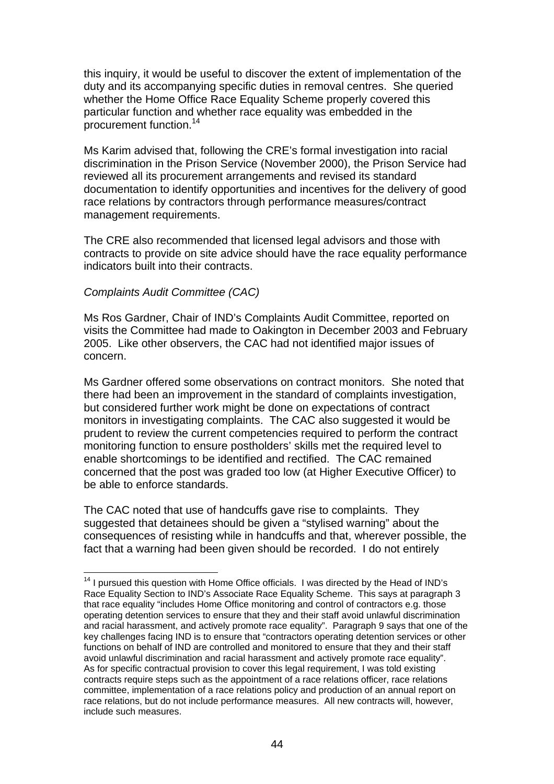this inquiry, it would be useful to discover the extent of implementation of the duty and its accompanying specific duties in removal centres. She queried whether the Home Office Race Equality Scheme properly covered this particular function and whether race equality was embedded in the procurement function.14

Ms Karim advised that, following the CRE's formal investigation into racial discrimination in the Prison Service (November 2000), the Prison Service had reviewed all its procurement arrangements and revised its standard documentation to identify opportunities and incentives for the delivery of good race relations by contractors through performance measures/contract management requirements.

The CRE also recommended that licensed legal advisors and those with contracts to provide on site advice should have the race equality performance indicators built into their contracts.

### *Complaints Audit Committee (CAC)*

Ms Ros Gardner, Chair of IND's Complaints Audit Committee, reported on visits the Committee had made to Oakington in December 2003 and February 2005. Like other observers, the CAC had not identified major issues of concern.

Ms Gardner offered some observations on contract monitors. She noted that there had been an improvement in the standard of complaints investigation, but considered further work might be done on expectations of contract monitors in investigating complaints. The CAC also suggested it would be prudent to review the current competencies required to perform the contract monitoring function to ensure postholders' skills met the required level to enable shortcomings to be identified and rectified. The CAC remained concerned that the post was graded too low (at Higher Executive Officer) to be able to enforce standards.

The CAC noted that use of handcuffs gave rise to complaints. They suggested that detainees should be given a "stylised warning" about the consequences of resisting while in handcuffs and that, wherever possible, the fact that a warning had been given should be recorded. I do not entirely

<sup>&</sup>lt;sup>14</sup> I pursued this question with Home Office officials. I was directed by the Head of IND's Race Equality Section to IND's Associate Race Equality Scheme. This says at paragraph 3 that race equality "includes Home Office monitoring and control of contractors e.g. those operating detention services to ensure that they and their staff avoid unlawful discrimination and racial harassment, and actively promote race equality". Paragraph 9 says that one of the key challenges facing IND is to ensure that "contractors operating detention services or other functions on behalf of IND are controlled and monitored to ensure that they and their staff avoid unlawful discrimination and racial harassment and actively promote race equality". As for specific contractual provision to cover this legal requirement, I was told existing contracts require steps such as the appointment of a race relations officer, race relations committee, implementation of a race relations policy and production of an annual report on race relations, but do not include performance measures. All new contracts will, however, include such measures.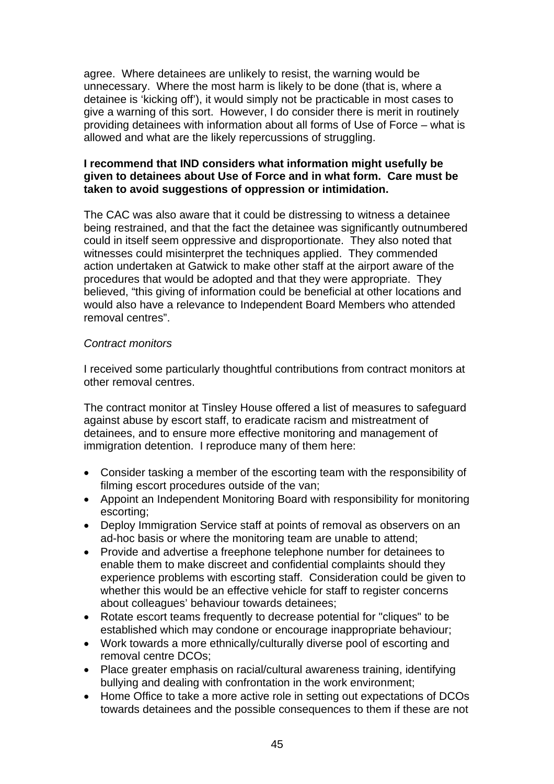agree. Where detainees are unlikely to resist, the warning would be unnecessary. Where the most harm is likely to be done (that is, where a detainee is 'kicking off'), it would simply not be practicable in most cases to give a warning of this sort. However, I do consider there is merit in routinely providing detainees with information about all forms of Use of Force *–* what is allowed and what are the likely repercussions of struggling.

## **I recommend that IND considers what information might usefully be given to detainees about Use of Force and in what form. Care must be taken to avoid suggestions of oppression or intimidation.**

The CAC was also aware that it could be distressing to witness a detainee being restrained, and that the fact the detainee was significantly outnumbered could in itself seem oppressive and disproportionate. They also noted that witnesses could misinterpret the techniques applied. They commended action undertaken at Gatwick to make other staff at the airport aware of the procedures that would be adopted and that they were appropriate. They believed, "this giving of information could be beneficial at other locations and would also have a relevance to Independent Board Members who attended removal centres".

## *Contract monitors*

I received some particularly thoughtful contributions from contract monitors at other removal centres.

The contract monitor at Tinsley House offered a list of measures to safeguard against abuse by escort staff, to eradicate racism and mistreatment of detainees, and to ensure more effective monitoring and management of immigration detention. I reproduce many of them here:

- Consider tasking a member of the escorting team with the responsibility of filming escort procedures outside of the van;
- Appoint an Independent Monitoring Board with responsibility for monitoring escorting;
- Deploy Immigration Service staff at points of removal as observers on an ad-hoc basis or where the monitoring team are unable to attend;
- Provide and advertise a freephone telephone number for detainees to enable them to make discreet and confidential complaints should they experience problems with escorting staff. Consideration could be given to whether this would be an effective vehicle for staff to register concerns about colleagues' behaviour towards detainees;
- Rotate escort teams frequently to decrease potential for "cliques" to be established which may condone or encourage inappropriate behaviour;
- Work towards a more ethnically/culturally diverse pool of escorting and removal centre DCOs;
- Place greater emphasis on racial/cultural awareness training, identifying bullying and dealing with confrontation in the work environment;
- Home Office to take a more active role in setting out expectations of DCOs towards detainees and the possible consequences to them if these are not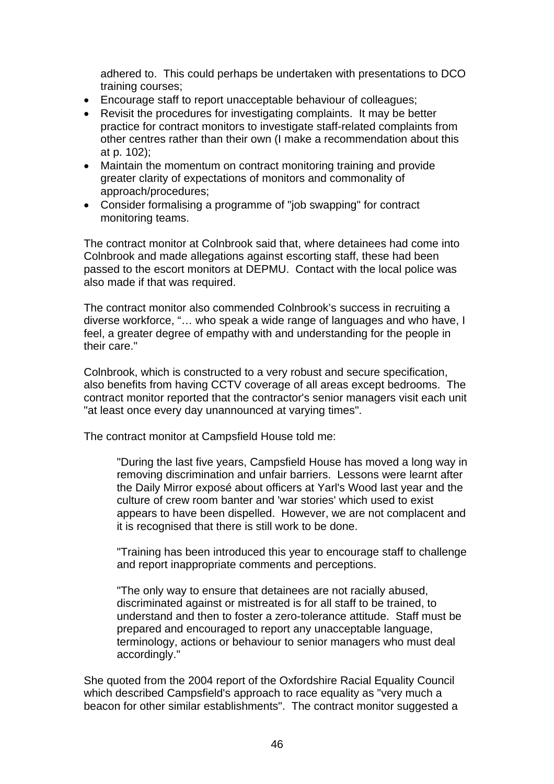adhered to. This could perhaps be undertaken with presentations to DCO training courses;

- Encourage staff to report unacceptable behaviour of colleagues;
- Revisit the procedures for investigating complaints. It may be better practice for contract monitors to investigate staff-related complaints from other centres rather than their own (I make a recommendation about this at p. 102);
- Maintain the momentum on contract monitoring training and provide greater clarity of expectations of monitors and commonality of approach/procedures;
- Consider formalising a programme of "job swapping" for contract monitoring teams.

The contract monitor at Colnbrook said that, where detainees had come into Colnbrook and made allegations against escorting staff, these had been passed to the escort monitors at DEPMU. Contact with the local police was also made if that was required.

The contract monitor also commended Colnbrook's success in recruiting a diverse workforce, "… who speak a wide range of languages and who have, I feel, a greater degree of empathy with and understanding for the people in their care."

Colnbrook, which is constructed to a very robust and secure specification, also benefits from having CCTV coverage of all areas except bedrooms. The contract monitor reported that the contractor's senior managers visit each unit "at least once every day unannounced at varying times".

The contract monitor at Campsfield House told me:

"During the last five years, Campsfield House has moved a long way in removing discrimination and unfair barriers. Lessons were learnt after the Daily Mirror exposé about officers at Yarl's Wood last year and the culture of crew room banter and 'war stories' which used to exist appears to have been dispelled. However, we are not complacent and it is recognised that there is still work to be done.

"Training has been introduced this year to encourage staff to challenge and report inappropriate comments and perceptions.

"The only way to ensure that detainees are not racially abused, discriminated against or mistreated is for all staff to be trained, to understand and then to foster a zero-tolerance attitude. Staff must be prepared and encouraged to report any unacceptable language, terminology, actions or behaviour to senior managers who must deal accordingly."

She quoted from the 2004 report of the Oxfordshire Racial Equality Council which described Campsfield's approach to race equality as "very much a beacon for other similar establishments". The contract monitor suggested a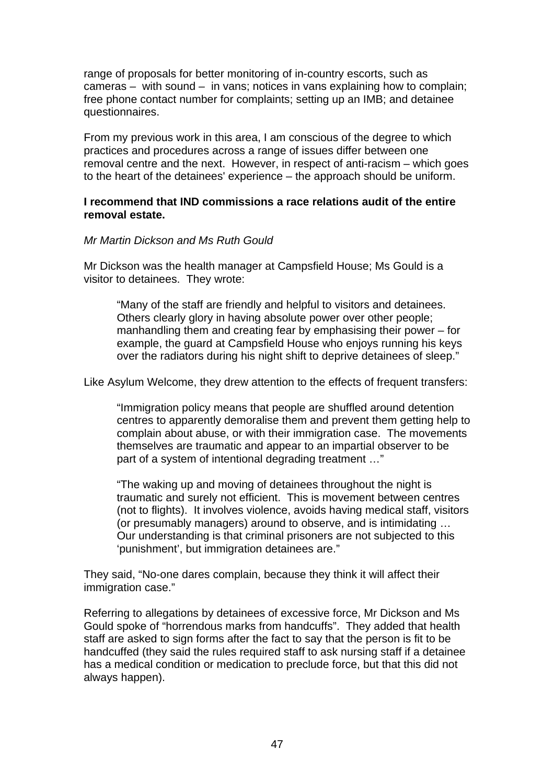range of proposals for better monitoring of in-country escorts, such as cameras *–* with sound *–* in vans; notices in vans explaining how to complain; free phone contact number for complaints; setting up an IMB; and detainee questionnaires.

From my previous work in this area, I am conscious of the degree to which practices and procedures across a range of issues differ between one removal centre and the next. However, in respect of anti-racism *–* which goes to the heart of the detainees' experience – the approach should be uniform.

## **I recommend that IND commissions a race relations audit of the entire removal estate.**

### *Mr Martin Dickson and Ms Ruth Gould*

Mr Dickson was the health manager at Campsfield House; Ms Gould is a visitor to detainees. They wrote:

"Many of the staff are friendly and helpful to visitors and detainees. Others clearly glory in having absolute power over other people; manhandling them and creating fear by emphasising their power – for example, the guard at Campsfield House who enjoys running his keys over the radiators during his night shift to deprive detainees of sleep."

Like Asylum Welcome, they drew attention to the effects of frequent transfers:

"Immigration policy means that people are shuffled around detention centres to apparently demoralise them and prevent them getting help to complain about abuse, or with their immigration case. The movements themselves are traumatic and appear to an impartial observer to be part of a system of intentional degrading treatment …"

"The waking up and moving of detainees throughout the night is traumatic and surely not efficient. This is movement between centres (not to flights). It involves violence, avoids having medical staff, visitors (or presumably managers) around to observe, and is intimidating … Our understanding is that criminal prisoners are not subjected to this 'punishment', but immigration detainees are."

They said, "No-one dares complain, because they think it will affect their immigration case."

Referring to allegations by detainees of excessive force, Mr Dickson and Ms Gould spoke of "horrendous marks from handcuffs". They added that health staff are asked to sign forms after the fact to say that the person is fit to be handcuffed (they said the rules required staff to ask nursing staff if a detainee has a medical condition or medication to preclude force, but that this did not always happen).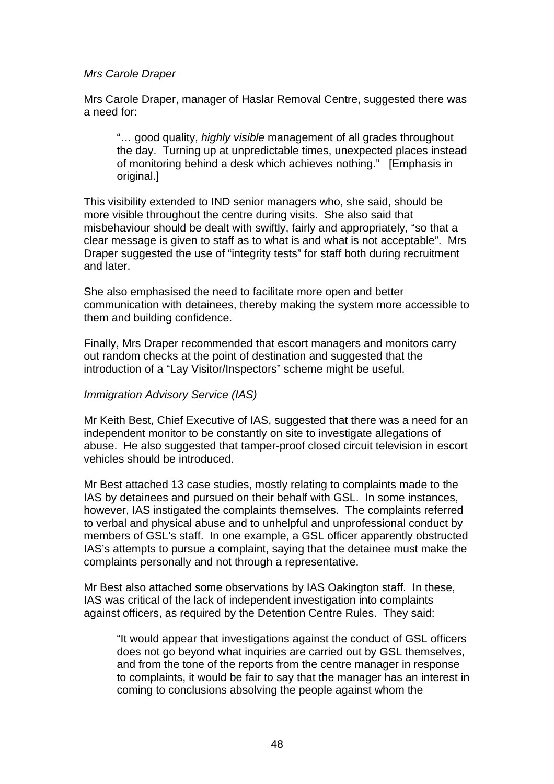### *Mrs Carole Draper*

Mrs Carole Draper, manager of Haslar Removal Centre, suggested there was a need for:

"… good quality, *highly visible* management of all grades throughout the day. Turning up at unpredictable times, unexpected places instead of monitoring behind a desk which achieves nothing." [Emphasis in original.]

This visibility extended to IND senior managers who, she said, should be more visible throughout the centre during visits. She also said that misbehaviour should be dealt with swiftly, fairly and appropriately, "so that a clear message is given to staff as to what is and what is not acceptable". Mrs Draper suggested the use of "integrity tests" for staff both during recruitment and later.

She also emphasised the need to facilitate more open and better communication with detainees, thereby making the system more accessible to them and building confidence.

Finally, Mrs Draper recommended that escort managers and monitors carry out random checks at the point of destination and suggested that the introduction of a "Lay Visitor/Inspectors" scheme might be useful.

#### *Immigration Advisory Service (IAS)*

Mr Keith Best, Chief Executive of IAS, suggested that there was a need for an independent monitor to be constantly on site to investigate allegations of abuse. He also suggested that tamper-proof closed circuit television in escort vehicles should be introduced.

Mr Best attached 13 case studies, mostly relating to complaints made to the IAS by detainees and pursued on their behalf with GSL. In some instances, however, IAS instigated the complaints themselves. The complaints referred to verbal and physical abuse and to unhelpful and unprofessional conduct by members of GSL's staff. In one example, a GSL officer apparently obstructed IAS's attempts to pursue a complaint, saying that the detainee must make the complaints personally and not through a representative.

Mr Best also attached some observations by IAS Oakington staff. In these, IAS was critical of the lack of independent investigation into complaints against officers, as required by the Detention Centre Rules. They said:

"It would appear that investigations against the conduct of GSL officers does not go beyond what inquiries are carried out by GSL themselves, and from the tone of the reports from the centre manager in response to complaints, it would be fair to say that the manager has an interest in coming to conclusions absolving the people against whom the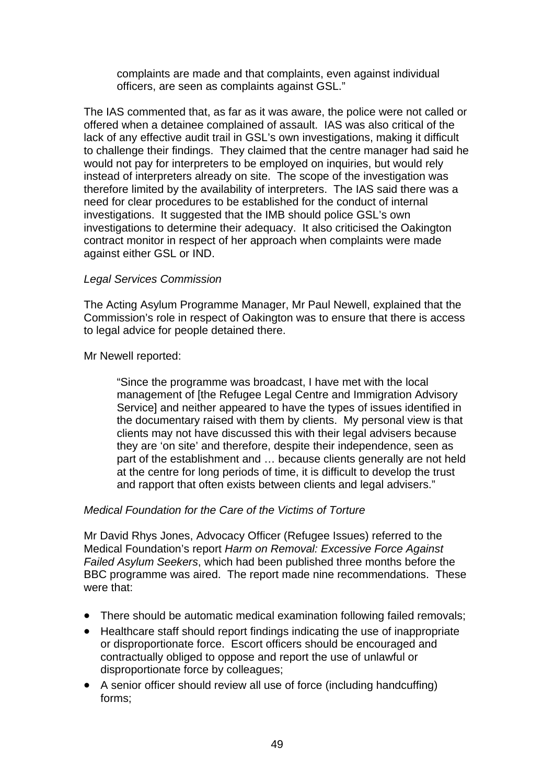complaints are made and that complaints, even against individual officers, are seen as complaints against GSL."

The IAS commented that, as far as it was aware, the police were not called or offered when a detainee complained of assault. IAS was also critical of the lack of any effective audit trail in GSL's own investigations, making it difficult to challenge their findings. They claimed that the centre manager had said he would not pay for interpreters to be employed on inquiries, but would rely instead of interpreters already on site. The scope of the investigation was therefore limited by the availability of interpreters. The IAS said there was a need for clear procedures to be established for the conduct of internal investigations. It suggested that the IMB should police GSL's own investigations to determine their adequacy. It also criticised the Oakington contract monitor in respect of her approach when complaints were made against either GSL or IND.

## *Legal Services Commission*

The Acting Asylum Programme Manager, Mr Paul Newell, explained that the Commission's role in respect of Oakington was to ensure that there is access to legal advice for people detained there.

Mr Newell reported:

"Since the programme was broadcast, I have met with the local management of [the Refugee Legal Centre and Immigration Advisory Service] and neither appeared to have the types of issues identified in the documentary raised with them by clients. My personal view is that clients may not have discussed this with their legal advisers because they are 'on site' and therefore, despite their independence, seen as part of the establishment and … because clients generally are not held at the centre for long periods of time, it is difficult to develop the trust and rapport that often exists between clients and legal advisers."

## *Medical Foundation for the Care of the Victims of Torture*

Mr David Rhys Jones, Advocacy Officer (Refugee Issues) referred to the Medical Foundation's report *Harm on Removal: Excessive Force Against Failed Asylum Seekers*, which had been published three months before the BBC programme was aired. The report made nine recommendations. These were that:

- There should be automatic medical examination following failed removals;
- $\bullet$ Healthcare staff should report findings indicating the use of inappropriate or disproportionate force. Escort officers should be encouraged and contractually obliged to oppose and report the use of unlawful or disproportionate force by colleagues;
- A senior officer should review all use of force (including handcuffing) forms;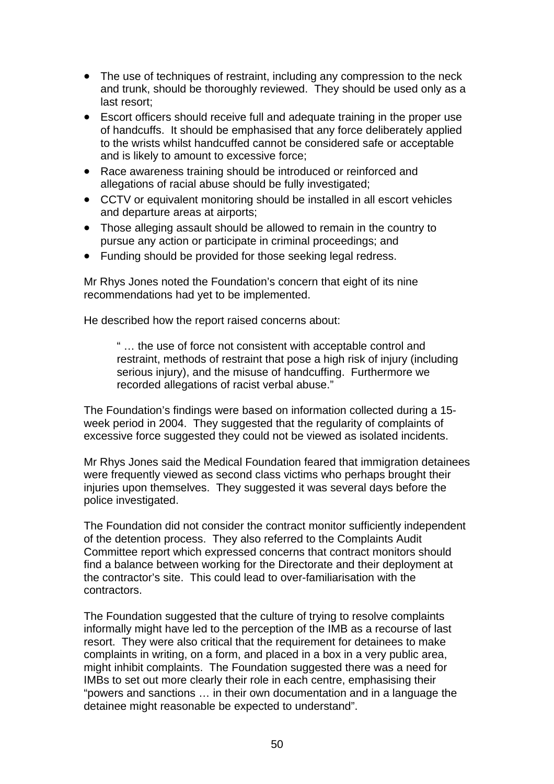- The use of techniques of restraint, including any compression to the neck and trunk, should be thoroughly reviewed. They should be used only as a last resort;
- Escort officers should receive full and adequate training in the proper use of handcuffs. It should be emphasised that any force deliberately applied to the wrists whilst handcuffed cannot be considered safe or acceptable and is likely to amount to excessive force;
- Race awareness training should be introduced or reinforced and allegations of racial abuse should be fully investigated;
- CCTV or equivalent monitoring should be installed in all escort vehicles and departure areas at airports;
- Those alleging assault should be allowed to remain in the country to pursue any action or participate in criminal proceedings; and
- Funding should be provided for those seeking legal redress.

Mr Rhys Jones noted the Foundation's concern that eight of its nine recommendations had yet to be implemented.

He described how the report raised concerns about:

" … the use of force not consistent with acceptable control and restraint, methods of restraint that pose a high risk of injury (including serious injury), and the misuse of handcuffing. Furthermore we recorded allegations of racist verbal abuse."

The Foundation's findings were based on information collected during a 15 week period in 2004. They suggested that the regularity of complaints of excessive force suggested they could not be viewed as isolated incidents.

Mr Rhys Jones said the Medical Foundation feared that immigration detainees were frequently viewed as second class victims who perhaps brought their injuries upon themselves. They suggested it was several days before the police investigated.

The Foundation did not consider the contract monitor sufficiently independent of the detention process. They also referred to the Complaints Audit Committee report which expressed concerns that contract monitors should find a balance between working for the Directorate and their deployment at the contractor's site. This could lead to over-familiarisation with the contractors.

The Foundation suggested that the culture of trying to resolve complaints informally might have led to the perception of the IMB as a recourse of last resort. They were also critical that the requirement for detainees to make complaints in writing, on a form, and placed in a box in a very public area, might inhibit complaints. The Foundation suggested there was a need for IMBs to set out more clearly their role in each centre, emphasising their "powers and sanctions … in their own documentation and in a language the detainee might reasonable be expected to understand".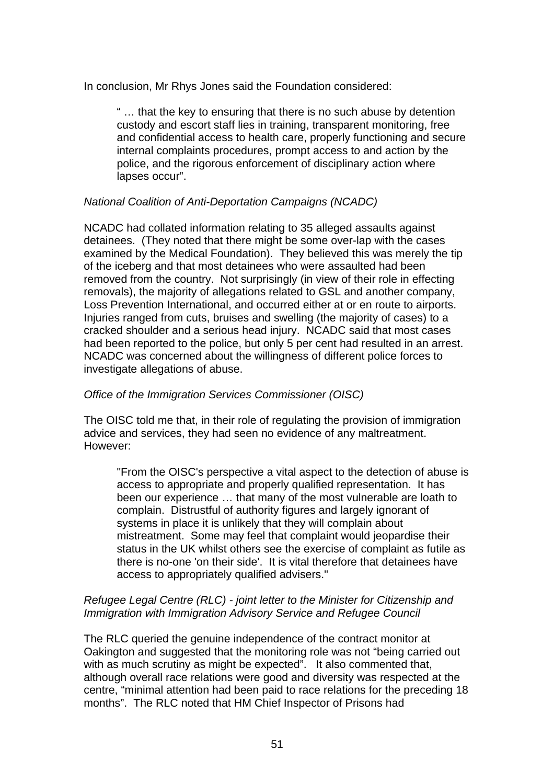In conclusion, Mr Rhys Jones said the Foundation considered:

" … that the key to ensuring that there is no such abuse by detention custody and escort staff lies in training, transparent monitoring, free and confidential access to health care, properly functioning and secure internal complaints procedures, prompt access to and action by the police, and the rigorous enforcement of disciplinary action where lapses occur".

## *National Coalition of Anti-Deportation Campaigns (NCADC)*

NCADC had collated information relating to 35 alleged assaults against detainees. (They noted that there might be some over-lap with the cases examined by the Medical Foundation). They believed this was merely the tip of the iceberg and that most detainees who were assaulted had been removed from the country. Not surprisingly (in view of their role in effecting removals), the majority of allegations related to GSL and another company, Loss Prevention International, and occurred either at or en route to airports. Injuries ranged from cuts, bruises and swelling (the majority of cases) to a cracked shoulder and a serious head injury. NCADC said that most cases had been reported to the police, but only 5 per cent had resulted in an arrest. NCADC was concerned about the willingness of different police forces to investigate allegations of abuse.

## *Office of the Immigration Services Commissioner (OISC)*

The OISC told me that, in their role of regulating the provision of immigration advice and services, they had seen no evidence of any maltreatment. However:

"From the OISC's perspective a vital aspect to the detection of abuse is access to appropriate and properly qualified representation. It has been our experience … that many of the most vulnerable are loath to complain. Distrustful of authority figures and largely ignorant of systems in place it is unlikely that they will complain about mistreatment. Some may feel that complaint would jeopardise their status in the UK whilst others see the exercise of complaint as futile as there is no-one 'on their side'. It is vital therefore that detainees have access to appropriately qualified advisers."

## *Refugee Legal Centre (RLC) - joint letter to the Minister for Citizenship and*  **Immigration with Immigration Advisory Service and Refugee Council**

The RLC queried the genuine independence of the contract monitor at Oakington and suggested that the monitoring role was not "being carried out with as much scrutiny as might be expected". It also commented that, although overall race relations were good and diversity was respected at the centre, "minimal attention had been paid to race relations for the preceding 18 months". The RLC noted that HM Chief Inspector of Prisons had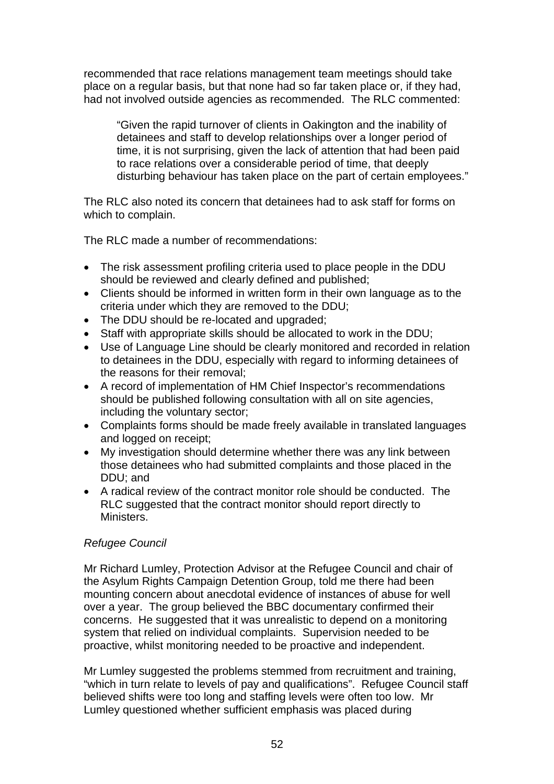recommended that race relations management team meetings should take place on a regular basis, but that none had so far taken place or, if they had, had not involved outside agencies as recommended. The RLC commented:

"Given the rapid turnover of clients in Oakington and the inability of detainees and staff to develop relationships over a longer period of time, it is not surprising, given the lack of attention that had been paid to race relations over a considerable period of time, that deeply disturbing behaviour has taken place on the part of certain employees."

The RLC also noted its concern that detainees had to ask staff for forms on which to complain.

The RLC made a number of recommendations:

- The risk assessment profiling criteria used to place people in the DDU should be reviewed and clearly defined and published;
- Clients should be informed in written form in their own language as to the criteria under which they are removed to the DDU;
- The DDU should be re-located and upgraded;
- Staff with appropriate skills should be allocated to work in the DDU;
- Use of Language Line should be clearly monitored and recorded in relation to detainees in the DDU, especially with regard to informing detainees of the reasons for their removal;
- A record of implementation of HM Chief Inspector's recommendations should be published following consultation with all on site agencies, including the voluntary sector;
- Complaints forms should be made freely available in translated languages and logged on receipt;
- My investigation should determine whether there was any link between those detainees who had submitted complaints and those placed in the DDU; and
- A radical review of the contract monitor role should be conducted. The RLC suggested that the contract monitor should report directly to **Ministers**

## *Refugee Council*

Mr Richard Lumley, Protection Advisor at the Refugee Council and chair of the Asylum Rights Campaign Detention Group, told me there had been mounting concern about anecdotal evidence of instances of abuse for well over a year. The group believed the BBC documentary confirmed their concerns. He suggested that it was unrealistic to depend on a monitoring system that relied on individual complaints. Supervision needed to be proactive, whilst monitoring needed to be proactive and independent.

Mr Lumley suggested the problems stemmed from recruitment and training, "which in turn relate to levels of pay and qualifications". Refugee Council staff believed shifts were too long and staffing levels were often too low. Mr Lumley questioned whether sufficient emphasis was placed during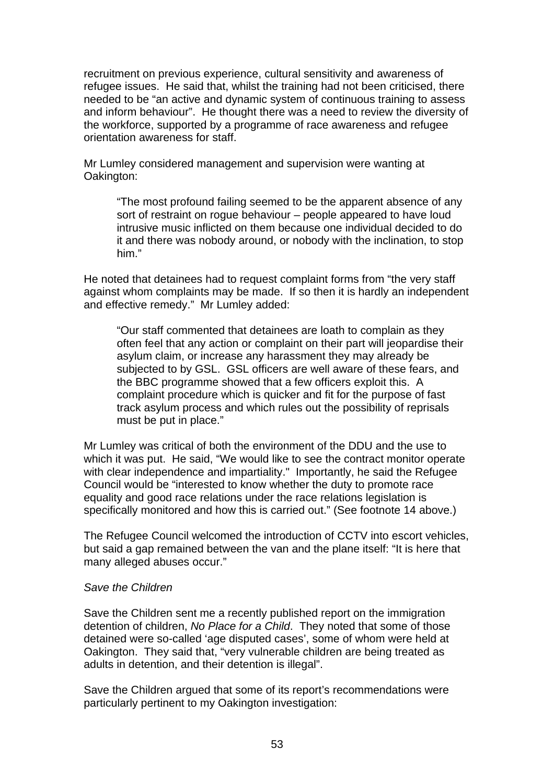recruitment on previous experience, cultural sensitivity and awareness of refugee issues. He said that, whilst the training had not been criticised, there needed to be "an active and dynamic system of continuous training to assess and inform behaviour". He thought there was a need to review the diversity of the workforce, supported by a programme of race awareness and refugee orientation awareness for staff.

Mr Lumley considered management and supervision were wanting at Oakington:

"The most profound failing seemed to be the apparent absence of any sort of restraint on rogue behaviour – people appeared to have loud intrusive music inflicted on them because one individual decided to do it and there was nobody around, or nobody with the inclination, to stop him."

He noted that detainees had to request complaint forms from "the very staff against whom complaints may be made. If so then it is hardly an independent and effective remedy." Mr Lumley added:

"Our staff commented that detainees are loath to complain as they often feel that any action or complaint on their part will jeopardise their asylum claim, or increase any harassment they may already be subjected to by GSL. GSL officers are well aware of these fears, and the BBC programme showed that a few officers exploit this. A complaint procedure which is quicker and fit for the purpose of fast track asylum process and which rules out the possibility of reprisals must be put in place."

Mr Lumley was critical of both the environment of the DDU and the use to which it was put. He said, "We would like to see the contract monitor operate with clear independence and impartiality." Importantly, he said the Refugee Council would be "interested to know whether the duty to promote race equality and good race relations under the race relations legislation is specifically monitored and how this is carried out." (See footnote 14 above.)

The Refugee Council welcomed the introduction of CCTV into escort vehicles, but said a gap remained between the van and the plane itself: "It is here that many alleged abuses occur."

#### *Save the Children*

Save the Children sent me a recently published report on the immigration detention of children, *No Place for a Child*. They noted that some of those detained were so-called 'age disputed cases', some of whom were held at Oakington. They said that, "very vulnerable children are being treated as adults in detention, and their detention is illegal".

Save the Children argued that some of its report's recommendations were particularly pertinent to my Oakington investigation: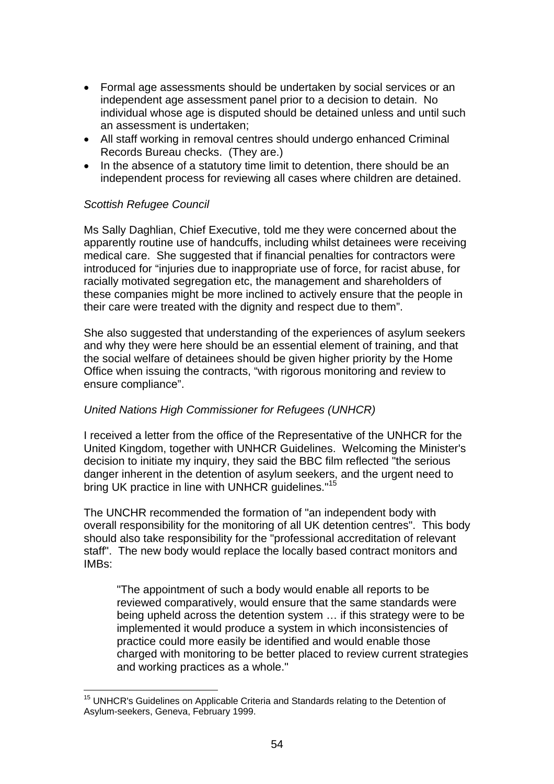- Formal age assessments should be undertaken by social services or an independent age assessment panel prior to a decision to detain. No individual whose age is disputed should be detained unless and until such an assessment is undertaken;
- All staff working in removal centres should undergo enhanced Criminal Records Bureau checks. (They are.)
- In the absence of a statutory time limit to detention, there should be an independent process for reviewing all cases where children are detained.

## *Scottish Refugee Council*

Ms Sally Daghlian, Chief Executive, told me they were concerned about the apparently routine use of handcuffs, including whilst detainees were receiving medical care. She suggested that if financial penalties for contractors were introduced for "injuries due to inappropriate use of force, for racist abuse, for racially motivated segregation etc, the management and shareholders of these companies might be more inclined to actively ensure that the people in their care were treated with the dignity and respect due to them".

She also suggested that understanding of the experiences of asylum seekers and why they were here should be an essential element of training, and that the social welfare of detainees should be given higher priority by the Home Office when issuing the contracts, "with rigorous monitoring and review to ensure compliance".

## *United Nations High Commissioner for Refugees (UNHCR)*

I received a letter from the office of the Representative of the UNHCR for the United Kingdom, together with UNHCR Guidelines. Welcoming the Minister's decision to initiate my inquiry, they said the BBC film reflected "the serious danger inherent in the detention of asylum seekers, and the urgent need to bring UK practice in line with UNHCR quidelines."<sup>15</sup>

The UNCHR recommended the formation of "an independent body with overall responsibility for the monitoring of all UK detention centres". This body should also take responsibility for the "professional accreditation of relevant staff". The new body would replace the locally based contract monitors and IMBs:

"The appointment of such a body would enable all reports to be reviewed comparatively, would ensure that the same standards were being upheld across the detention system … if this strategy were to be implemented it would produce a system in which inconsistencies of practice could more easily be identified and would enable those charged with monitoring to be better placed to review current strategies and working practices as a whole."

<sup>&</sup>lt;sup>15</sup> UNHCR's Guidelines on Applicable Criteria and Standards relating to the Detention of Asylum-seekers, Geneva, February 1999.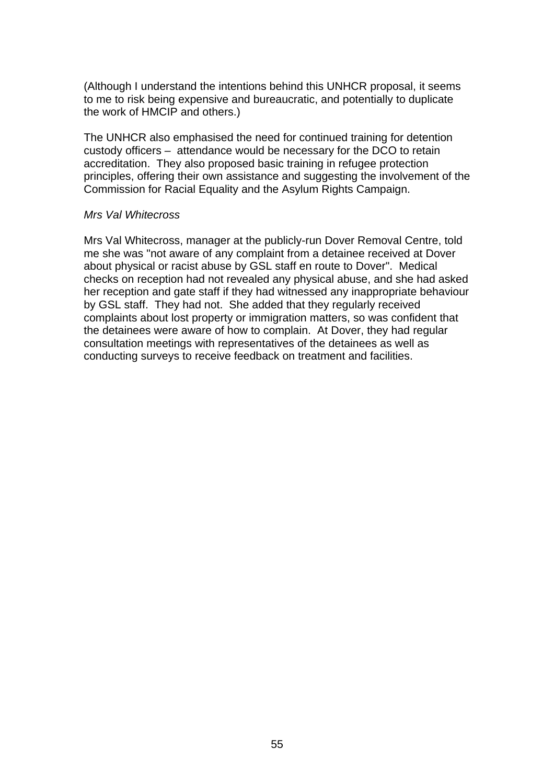(Although I understand the intentions behind this UNHCR proposal, it seems to me to risk being expensive and bureaucratic, and potentially to duplicate the work of HMCIP and others.)

The UNHCR also emphasised the need for continued training for detention custody officers *–* attendance would be necessary for the DCO to retain accreditation. They also proposed basic training in refugee protection principles, offering their own assistance and suggesting the involvement of the Commission for Racial Equality and the Asylum Rights Campaign.

#### *Mrs Val Whitecross*

Mrs Val Whitecross, manager at the publicly-run Dover Removal Centre, told me she was "not aware of any complaint from a detainee received at Dover about physical or racist abuse by GSL staff en route to Dover". Medical checks on reception had not revealed any physical abuse, and she had asked her reception and gate staff if they had witnessed any inappropriate behaviour by GSL staff. They had not. She added that they regularly received complaints about lost property or immigration matters, so was confident that the detainees were aware of how to complain. At Dover, they had regular consultation meetings with representatives of the detainees as well as conducting surveys to receive feedback on treatment and facilities.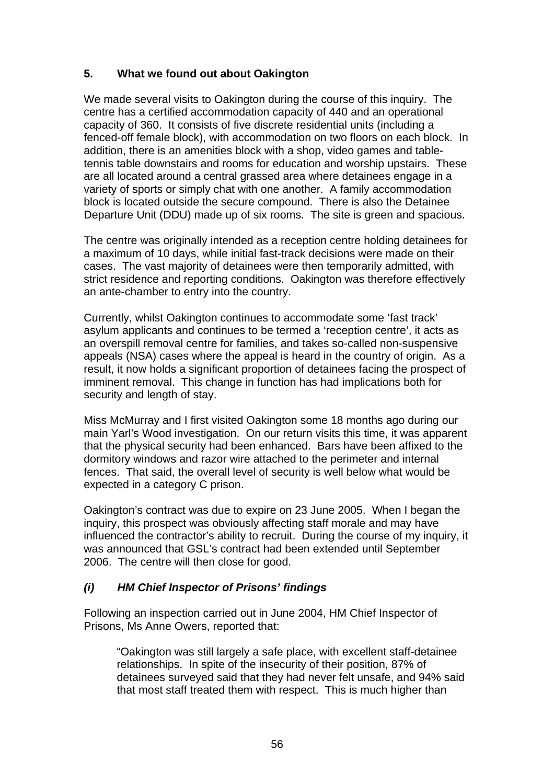# **5. What we found out about Oakington**

We made several visits to Oakington during the course of this inquiry. The centre has a certified accommodation capacity of 440 and an operational capacity of 360. It consists of five discrete residential units (including a fenced-off female block), with accommodation on two floors on each block. In addition, there is an amenities block with a shop, video games and tabletennis table downstairs and rooms for education and worship upstairs. These are all located around a central grassed area where detainees engage in a variety of sports or simply chat with one another. A family accommodation block is located outside the secure compound. There is also the Detainee Departure Unit (DDU) made up of six rooms. The site is green and spacious.

The centre was originally intended as a reception centre holding detainees for a maximum of 10 days, while initial fast-track decisions were made on their cases. The vast majority of detainees were then temporarily admitted, with strict residence and reporting conditions. Oakington was therefore effectively an ante-chamber to entry into the country.

Currently, whilst Oakington continues to accommodate some 'fast track' asylum applicants and continues to be termed a 'reception centre', it acts as an overspill removal centre for families, and takes so-called non-suspensive appeals (NSA) cases where the appeal is heard in the country of origin. As a result, it now holds a significant proportion of detainees facing the prospect of imminent removal. This change in function has had implications both for security and length of stay.

Miss McMurray and I first visited Oakington some 18 months ago during our main Yarl's Wood investigation. On our return visits this time, it was apparent that the physical security had been enhanced. Bars have been affixed to the dormitory windows and razor wire attached to the perimeter and internal fences. That said, the overall level of security is well below what would be expected in a category C prison.

Oakington's contract was due to expire on 23 June 2005. When I began the inquiry, this prospect was obviously affecting staff morale and may have influenced the contractor's ability to recruit. During the course of my inquiry, it was announced that GSL's contract had been extended until September 2006. The centre will then close for good.

# *(i) HM Chief Inspector of Prisons' findings*

Following an inspection carried out in June 2004, HM Chief Inspector of Prisons, Ms Anne Owers, reported that:

"Oakington was still largely a safe place, with excellent staff-detainee relationships. In spite of the insecurity of their position, 87% of detainees surveyed said that they had never felt unsafe, and 94% said that most staff treated them with respect. This is much higher than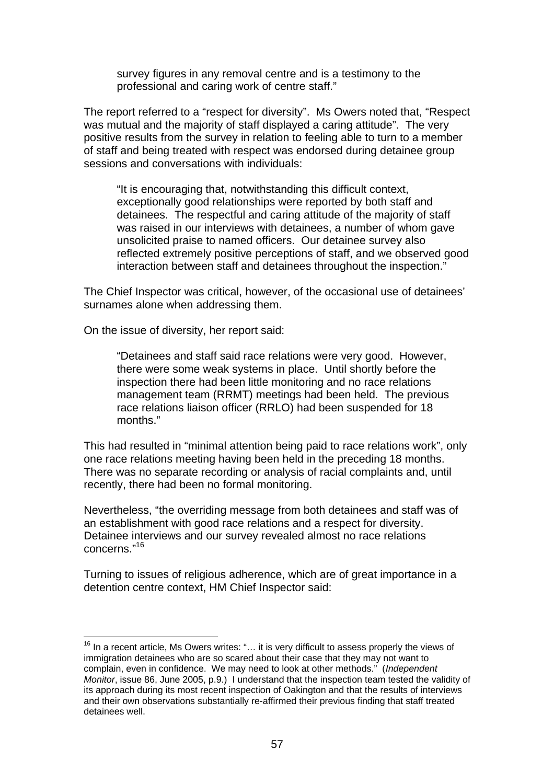survey figures in any removal centre and is a testimony to the professional and caring work of centre staff."

The report referred to a "respect for diversity". Ms Owers noted that, "Respect was mutual and the majority of staff displayed a caring attitude". The very positive results from the survey in relation to feeling able to turn to a member of staff and being treated with respect was endorsed during detainee group sessions and conversations with individuals:

"It is encouraging that, notwithstanding this difficult context, exceptionally good relationships were reported by both staff and detainees. The respectful and caring attitude of the majority of staff was raised in our interviews with detainees, a number of whom gave unsolicited praise to named officers. Our detainee survey also reflected extremely positive perceptions of staff, and we observed good interaction between staff and detainees throughout the inspection."

The Chief Inspector was critical, however, of the occasional use of detainees' surnames alone when addressing them.

On the issue of diversity, her report said:

"Detainees and staff said race relations were very good. However, there were some weak systems in place. Until shortly before the inspection there had been little monitoring and no race relations management team (RRMT) meetings had been held. The previous race relations liaison officer (RRLO) had been suspended for 18 months."

This had resulted in "minimal attention being paid to race relations work", only one race relations meeting having been held in the preceding 18 months. There was no separate recording or analysis of racial complaints and, until recently, there had been no formal monitoring.

Nevertheless, "the overriding message from both detainees and staff was of an establishment with good race relations and a respect for diversity. Detainee interviews and our survey revealed almost no race relations concerns."<sup>16</sup>

Turning to issues of religious adherence, which are of great importance in a detention centre context, HM Chief Inspector said:

<sup>&</sup>lt;sup>16</sup> In a recent article, Ms Owers writes: "... it is very difficult to assess properly the views of immigration detainees who are so scared about their case that they may not want to complain, even in confidence. We may need to look at other methods." (*Independent Monitor*, issue 86, June 2005, p.9.) I understand that the inspection team tested the validity of its approach during its most recent inspection of Oakington and that the results of interviews and their own observations substantially re-affirmed their previous finding that staff treated detainees well.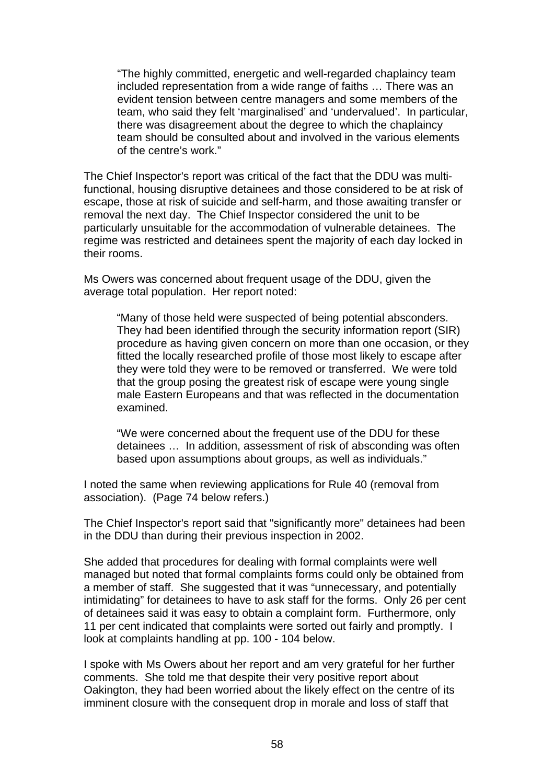"The highly committed, energetic and well-regarded chaplaincy team included representation from a wide range of faiths … There was an evident tension between centre managers and some members of the team, who said they felt 'marginalised' and 'undervalued'. In particular, there was disagreement about the degree to which the chaplaincy team should be consulted about and involved in the various elements of the centre's work."

The Chief Inspector's report was critical of the fact that the DDU was multifunctional, housing disruptive detainees and those considered to be at risk of escape, those at risk of suicide and self-harm, and those awaiting transfer or removal the next day. The Chief Inspector considered the unit to be particularly unsuitable for the accommodation of vulnerable detainees. The regime was restricted and detainees spent the majority of each day locked in their rooms.

Ms Owers was concerned about frequent usage of the DDU, given the average total population. Her report noted:

"Many of those held were suspected of being potential absconders. They had been identified through the security information report (SIR) procedure as having given concern on more than one occasion, or they fitted the locally researched profile of those most likely to escape after they were told they were to be removed or transferred. We were told that the group posing the greatest risk of escape were young single male Eastern Europeans and that was reflected in the documentation examined.

"We were concerned about the frequent use of the DDU for these detainees … In addition, assessment of risk of absconding was often based upon assumptions about groups, as well as individuals."

I noted the same when reviewing applications for Rule 40 (removal from association). (Page 74 below refers.)

The Chief Inspector's report said that "significantly more" detainees had been in the DDU than during their previous inspection in 2002.

She added that procedures for dealing with formal complaints were well managed but noted that formal complaints forms could only be obtained from a member of staff. She suggested that it was "unnecessary, and potentially intimidating" for detainees to have to ask staff for the forms. Only 26 per cent of detainees said it was easy to obtain a complaint form. Furthermore, only 11 per cent indicated that complaints were sorted out fairly and promptly. I look at complaints handling at pp. 100 - 104 below.

I spoke with Ms Owers about her report and am very grateful for her further comments. She told me that despite their very positive report about Oakington, they had been worried about the likely effect on the centre of its imminent closure with the consequent drop in morale and loss of staff that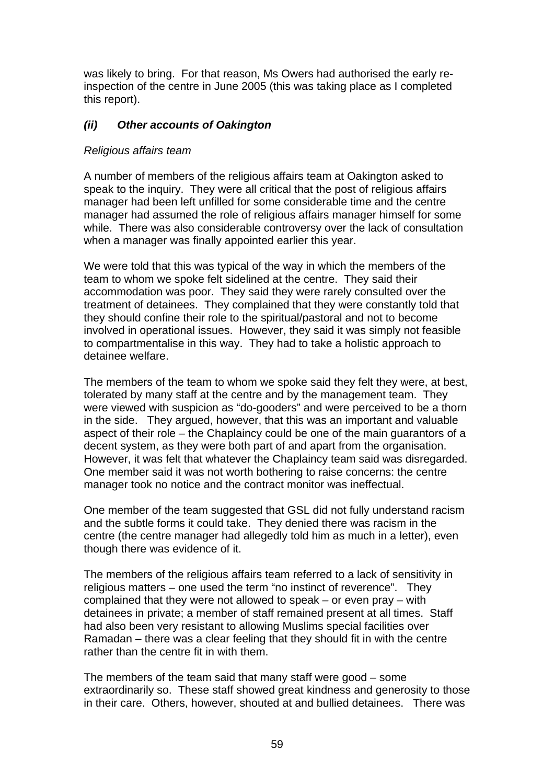was likely to bring. For that reason, Ms Owers had authorised the early reinspection of the centre in June 2005 (this was taking place as I completed this report).

# *(ii) Other accounts of Oakington*

## *Religious affairs team*

A number of members of the religious affairs team at Oakington asked to speak to the inquiry. They were all critical that the post of religious affairs manager had been left unfilled for some considerable time and the centre manager had assumed the role of religious affairs manager himself for some while. There was also considerable controversy over the lack of consultation when a manager was finally appointed earlier this year.

We were told that this was typical of the way in which the members of the team to whom we spoke felt sidelined at the centre. They said their accommodation was poor. They said they were rarely consulted over the treatment of detainees. They complained that they were constantly told that they should confine their role to the spiritual/pastoral and not to become involved in operational issues. However, they said it was simply not feasible to compartmentalise in this way. They had to take a holistic approach to detainee welfare.

The members of the team to whom we spoke said they felt they were, at best, tolerated by many staff at the centre and by the management team. They were viewed with suspicion as "do-gooders" and were perceived to be a thorn in the side. They argued, however, that this was an important and valuable aspect of their role *–* the Chaplaincy could be one of the main guarantors of a decent system, as they were both part of and apart from the organisation. However, it was felt that whatever the Chaplaincy team said was disregarded. One member said it was not worth bothering to raise concerns: the centre manager took no notice and the contract monitor was ineffectual.

One member of the team suggested that GSL did not fully understand racism and the subtle forms it could take. They denied there was racism in the centre (the centre manager had allegedly told him as much in a letter), even though there was evidence of it.

The members of the religious affairs team referred to a lack of sensitivity in religious matters *–* one used the term "no instinct of reverence". They complained that they were not allowed to speak *–* or even pray *–* with detainees in private; a member of staff remained present at all times. Staff had also been very resistant to allowing Muslims special facilities over Ramadan *–* there was a clear feeling that they should fit in with the centre rather than the centre fit in with them.

The members of the team said that many staff were good *–* some extraordinarily so. These staff showed great kindness and generosity to those in their care. Others, however, shouted at and bullied detainees. There was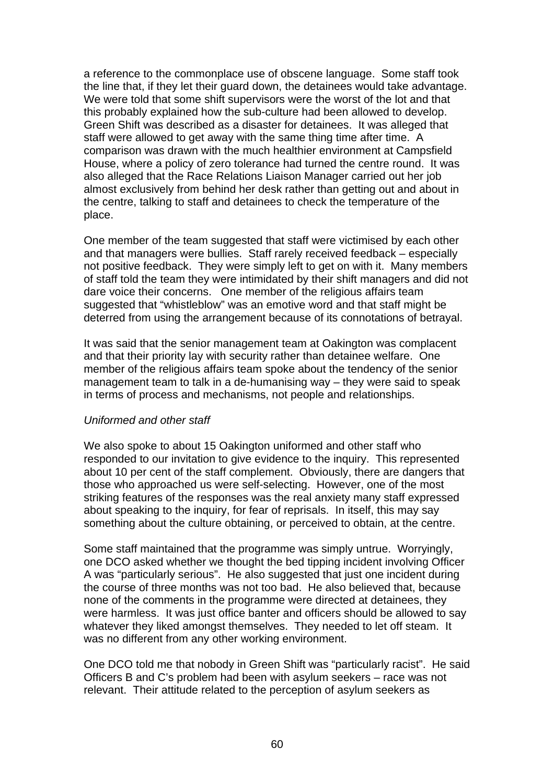a reference to the commonplace use of obscene language. Some staff took the line that, if they let their guard down, the detainees would take advantage. We were told that some shift supervisors were the worst of the lot and that this probably explained how the sub-culture had been allowed to develop. Green Shift was described as a disaster for detainees. It was alleged that staff were allowed to get away with the same thing time after time. A comparison was drawn with the much healthier environment at Campsfield House, where a policy of zero tolerance had turned the centre round. It was also alleged that the Race Relations Liaison Manager carried out her job almost exclusively from behind her desk rather than getting out and about in the centre, talking to staff and detainees to check the temperature of the place.

One member of the team suggested that staff were victimised by each other and that managers were bullies. Staff rarely received feedback – especially not positive feedback. They were simply left to get on with it. Many members of staff told the team they were intimidated by their shift managers and did not dare voice their concerns. One member of the religious affairs team suggested that "whistleblow" was an emotive word and that staff might be deterred from using the arrangement because of its connotations of betrayal.

It was said that the senior management team at Oakington was complacent and that their priority lay with security rather than detainee welfare. One member of the religious affairs team spoke about the tendency of the senior management team to talk in a de-humanising way *–* they were said to speak in terms of process and mechanisms, not people and relationships.

## *Uniformed and other staff*

We also spoke to about 15 Oakington uniformed and other staff who responded to our invitation to give evidence to the inquiry. This represented about 10 per cent of the staff complement. Obviously, there are dangers that those who approached us were self-selecting. However, one of the most striking features of the responses was the real anxiety many staff expressed about speaking to the inquiry, for fear of reprisals. In itself, this may say something about the culture obtaining, or perceived to obtain, at the centre.

Some staff maintained that the programme was simply untrue. Worryingly, one DCO asked whether we thought the bed tipping incident involving Officer A was "particularly serious". He also suggested that just one incident during the course of three months was not too bad. He also believed that, because none of the comments in the programme were directed at detainees, they were harmless. It was just office banter and officers should be allowed to say whatever they liked amongst themselves. They needed to let off steam. It was no different from any other working environment.

One DCO told me that nobody in Green Shift was "particularly racist". He said Officers B and C's problem had been with asylum seekers – race was not relevant. Their attitude related to the perception of asylum seekers as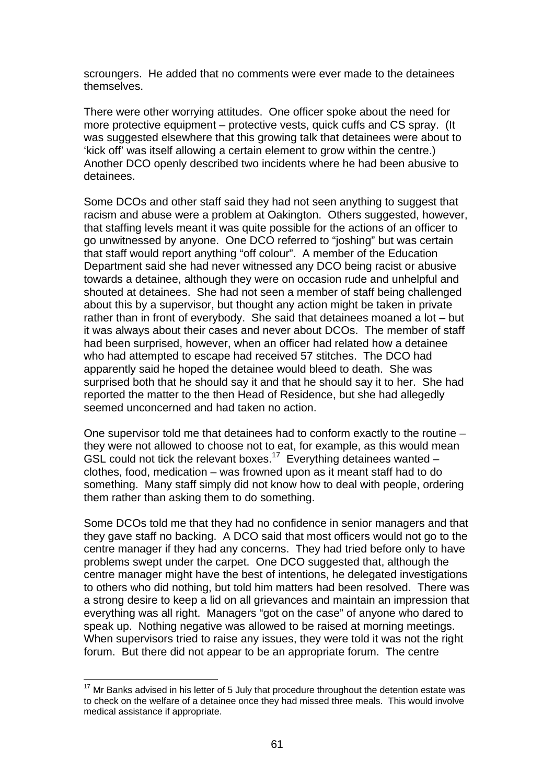scroungers. He added that no comments were ever made to the detainees themselves.

There were other worrying attitudes. One officer spoke about the need for more protective equipment – protective vests, quick cuffs and CS spray. (It was suggested elsewhere that this growing talk that detainees were about to 'kick off' was itself allowing a certain element to grow within the centre.) Another DCO openly described two incidents where he had been abusive to detainees.

Some DCOs and other staff said they had not seen anything to suggest that racism and abuse were a problem at Oakington. Others suggested, however, that staffing levels meant it was quite possible for the actions of an officer to go unwitnessed by anyone. One DCO referred to "joshing" but was certain that staff would report anything "off colour". A member of the Education Department said she had never witnessed any DCO being racist or abusive towards a detainee, although they were on occasion rude and unhelpful and shouted at detainees. She had not seen a member of staff being challenged about this by a supervisor, but thought any action might be taken in private rather than in front of everybody. She said that detainees moaned a lot – but it was always about their cases and never about DCOs. The member of staff had been surprised, however, when an officer had related how a detainee who had attempted to escape had received 57 stitches. The DCO had apparently said he hoped the detainee would bleed to death. She was surprised both that he should say it and that he should say it to her. She had reported the matter to the then Head of Residence, but she had allegedly seemed unconcerned and had taken no action.

One supervisor told me that detainees had to conform exactly to the routine – they were not allowed to choose not to eat, for example, as this would mean GSL could not tick the relevant boxes.<sup>17</sup> Everything detainees wanted – clothes, food, medication – was frowned upon as it meant staff had to do something. Many staff simply did not know how to deal with people, ordering them rather than asking them to do something.

Some DCOs told me that they had no confidence in senior managers and that they gave staff no backing. A DCO said that most officers would not go to the centre manager if they had any concerns. They had tried before only to have problems swept under the carpet. One DCO suggested that, although the centre manager might have the best of intentions, he delegated investigations to others who did nothing, but told him matters had been resolved. There was a strong desire to keep a lid on all grievances and maintain an impression that everything was all right. Managers "got on the case" of anyone who dared to speak up. Nothing negative was allowed to be raised at morning meetings. When supervisors tried to raise any issues, they were told it was not the right forum. But there did not appear to be an appropriate forum. The centre

 $17$  Mr Banks advised in his letter of 5 July that procedure throughout the detention estate was to check on the welfare of a detainee once they had missed three meals. This would involve medical assistance if appropriate.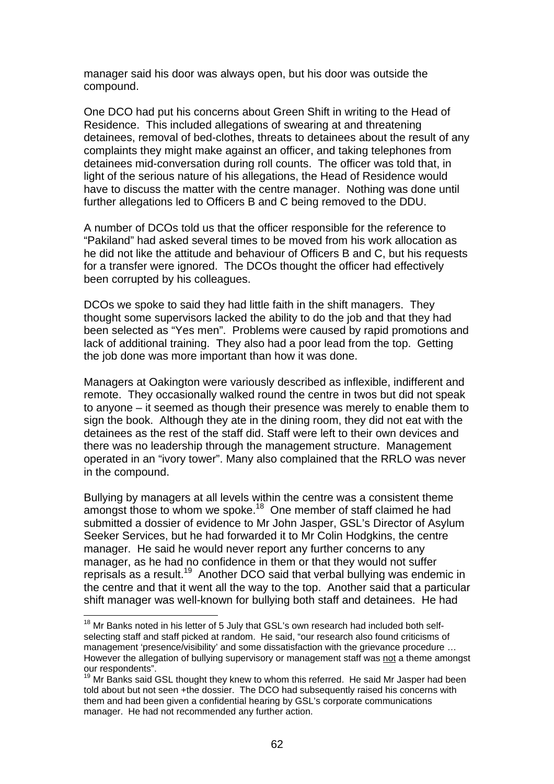manager said his door was always open, but his door was outside the compound.

One DCO had put his concerns about Green Shift in writing to the Head of Residence. This included allegations of swearing at and threatening detainees, removal of bed-clothes, threats to detainees about the result of any complaints they might make against an officer, and taking telephones from detainees mid-conversation during roll counts. The officer was told that, in light of the serious nature of his allegations, the Head of Residence would have to discuss the matter with the centre manager. Nothing was done until further allegations led to Officers B and C being removed to the DDU.

A number of DCOs told us that the officer responsible for the reference to "Pakiland" had asked several times to be moved from his work allocation as he did not like the attitude and behaviour of Officers B and C, but his requests for a transfer were ignored. The DCOs thought the officer had effectively been corrupted by his colleagues.

DCOs we spoke to said they had little faith in the shift managers. They thought some supervisors lacked the ability to do the job and that they had been selected as "Yes men". Problems were caused by rapid promotions and lack of additional training. They also had a poor lead from the top. Getting the job done was more important than how it was done.

Managers at Oakington were variously described as inflexible, indifferent and remote. They occasionally walked round the centre in twos but did not speak to anyone – it seemed as though their presence was merely to enable them to sign the book. Although they ate in the dining room, they did not eat with the detainees as the rest of the staff did. Staff were left to their own devices and there was no leadership through the management structure. Management operated in an "ivory tower". Many also complained that the RRLO was never in the compound.

Bullying by managers at all levels within the centre was a consistent theme amongst those to whom we spoke.<sup>18</sup> One member of staff claimed he had submitted a dossier of evidence to Mr John Jasper, GSL's Director of Asylum Seeker Services, but he had forwarded it to Mr Colin Hodgkins, the centre manager. He said he would never report any further concerns to any manager, as he had no confidence in them or that they would not suffer reprisals as a result.19 Another DCO said that verbal bullying was endemic in the centre and that it went all the way to the top. Another said that a particular shift manager was well-known for bullying both staff and detainees. He had

 $18$  Mr Banks noted in his letter of 5 July that GSL's own research had included both selfselecting staff and staff picked at random. He said, "our research also found criticisms of management 'presence/visibility' and some dissatisfaction with the grievance procedure … However the allegation of bullying supervisory or management staff was not a theme amongst our respondents".

 $19$  Mr Banks said GSL thought they knew to whom this referred. He said Mr Jasper had been told about but not seen +the dossier. The DCO had subsequently raised his concerns with them and had been given a confidential hearing by GSL's corporate communications manager. He had not recommended any further action.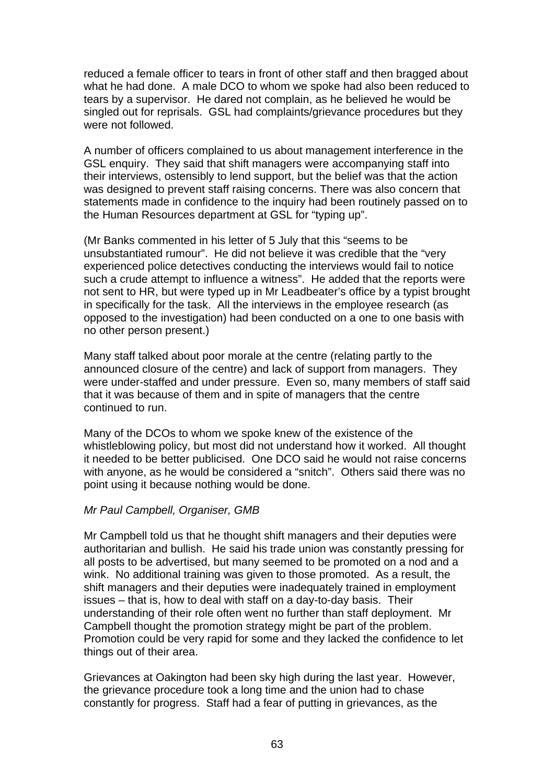reduced a female officer to tears in front of other staff and then bragged about what he had done. A male DCO to whom we spoke had also been reduced to tears by a supervisor. He dared not complain, as he believed he would be singled out for reprisals.GSL had complaints/grievance procedures but they were not followed.

A number of officers complained to us about management interference in the GSL enquiry. They said that shift managers were accompanying staff into their interviews, ostensibly to lend support, but the belief was that the action was designed to prevent staff raising concerns. There was also concern that statements made in confidence to the inquiry had been routinely passed on to the Human Resources department at GSL for "typing up".

(Mr Banks commented in his letter of 5 July that this "seems to be unsubstantiated rumour". He did not believe it was credible that the "very experienced police detectives conducting the interviews would fail to notice such a crude attempt to influence a witness". He added that the reports were not sent to HR, but were typed up in Mr Leadbeater's office by a typist brought in specifically for the task. All the interviews in the employee research (as opposed to the investigation) had been conducted on a one to one basis with no other person present.)

Many staff talked about poor morale at the centre (relating partly to the announced closure of the centre) and lack of support from managers. They were under-staffed and under pressure. Even so, many members of staff said that it was because of them and in spite of managers that the centre continued to run.

Many of the DCOs to whom we spoke knew of the existence of the whistleblowing policy, but most did not understand how it worked. All thought it needed to be better publicised. One DCO said he would not raise concerns with anyone, as he would be considered a "snitch". Others said there was no point using it because nothing would be done.

## *Mr Paul Campbell, Organiser, GMB*

Mr Campbell told us that he thought shift managers and their deputies were authoritarian and bullish. He said his trade union was constantly pressing for all posts to be advertised, but many seemed to be promoted on a nod and a wink. No additional training was given to those promoted. As a result, the shift managers and their deputies were inadequately trained in employment issues – that is, how to deal with staff on a day-to-day basis. Their understanding of their role often went no further than staff deployment. Mr Campbell thought the promotion strategy might be part of the problem. Promotion could be very rapid for some and they lacked the confidence to let things out of their area.

Grievances at Oakington had been sky high during the last year. However, the grievance procedure took a long time and the union had to chase constantly for progress. Staff had a fear of putting in grievances, as the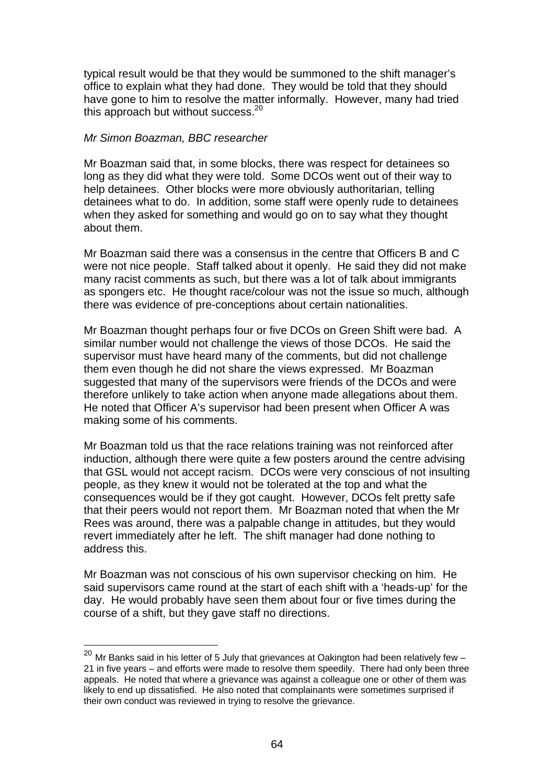typical result would be that they would be summoned to the shift manager's office to explain what they had done. They would be told that they should have gone to him to resolve the matter informally. However, many had tried this approach but without success. $20$ 

### *Mr Simon Boazman, BBC researcher*

Mr Boazman said that, in some blocks, there was respect for detainees so long as they did what they were told. Some DCOs went out of their way to help detainees. Other blocks were more obviously authoritarian, telling detainees what to do. In addition, some staff were openly rude to detainees when they asked for something and would go on to say what they thought about them.

Mr Boazman said there was a consensus in the centre that Officers B and C were not nice people. Staff talked about it openly. He said they did not make many racist comments as such, but there was a lot of talk about immigrants as spongers etc. He thought race/colour was not the issue so much, although there was evidence of pre-conceptions about certain nationalities.

Mr Boazman thought perhaps four or five DCOs on Green Shift were bad. A similar number would not challenge the views of those DCOs. He said the supervisor must have heard many of the comments, but did not challenge them even though he did not share the views expressed. Mr Boazman suggested that many of the supervisors were friends of the DCOs and were therefore unlikely to take action when anyone made allegations about them. He noted that Officer A's supervisor had been present when Officer A was making some of his comments.

Mr Boazman told us that the race relations training was not reinforced after induction, although there were quite a few posters around the centre advising that GSL would not accept racism. DCOs were very conscious of not insulting people, as they knew it would not be tolerated at the top and what the consequences would be if they got caught. However, DCOs felt pretty safe that their peers would not report them. Mr Boazman noted that when the Mr Rees was around, there was a palpable change in attitudes, but they would revert immediately after he left. The shift manager had done nothing to address this.

Mr Boazman was not conscious of his own supervisor checking on him. He said supervisors came round at the start of each shift with a 'heads-up' for the day. He would probably have seen them about four or five times during the course of a shift, but they gave staff no directions.

 $20$  Mr Banks said in his letter of 5 July that grievances at Oakington had been relatively few  $-$ 21 in five years – and efforts were made to resolve them speedily. There had only been three appeals. He noted that where a grievance was against a colleague one or other of them was likely to end up dissatisfied. He also noted that complainants were sometimes surprised if their own conduct was reviewed in trying to resolve the grievance.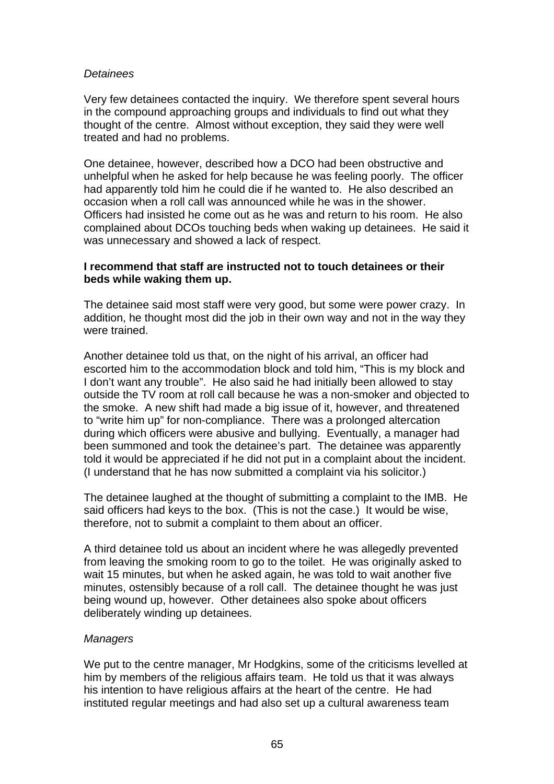## *Detainees*

Very few detainees contacted the inquiry. We therefore spent several hours in the compound approaching groups and individuals to find out what they thought of the centre. Almost without exception, they said they were well treated and had no problems.

One detainee, however, described how a DCO had been obstructive and unhelpful when he asked for help because he was feeling poorly. The officer had apparently told him he could die if he wanted to. He also described an occasion when a roll call was announced while he was in the shower. Officers had insisted he come out as he was and return to his room. He also complained about DCOs touching beds when waking up detainees. He said it was unnecessary and showed a lack of respect.

## **I recommend that staff are instructed not to touch detainees or their beds while waking them up.**

The detainee said most staff were very good, but some were power crazy. In addition, he thought most did the job in their own way and not in the way they were trained.

Another detainee told us that, on the night of his arrival, an officer had escorted him to the accommodation block and told him, "This is my block and I don't want any trouble". He also said he had initially been allowed to stay outside the TV room at roll call because he was a non-smoker and objected to the smoke. A new shift had made a big issue of it, however, and threatened to "write him up" for non-compliance. There was a prolonged altercation during which officers were abusive and bullying. Eventually, a manager had been summoned and took the detainee's part. The detainee was apparently told it would be appreciated if he did not put in a complaint about the incident. (I understand that he has now submitted a complaint via his solicitor.)

The detainee laughed at the thought of submitting a complaint to the IMB. He said officers had keys to the box. (This is not the case.) It would be wise, therefore, not to submit a complaint to them about an officer.

A third detainee told us about an incident where he was allegedly prevented from leaving the smoking room to go to the toilet. He was originally asked to wait 15 minutes, but when he asked again, he was told to wait another five minutes, ostensibly because of a roll call. The detainee thought he was just being wound up, however. Other detainees also spoke about officers deliberately winding up detainees.

## *Managers*

We put to the centre manager, Mr Hodgkins, some of the criticisms levelled at him by members of the religious affairs team. He told us that it was always his intention to have religious affairs at the heart of the centre. He had instituted regular meetings and had also set up a cultural awareness team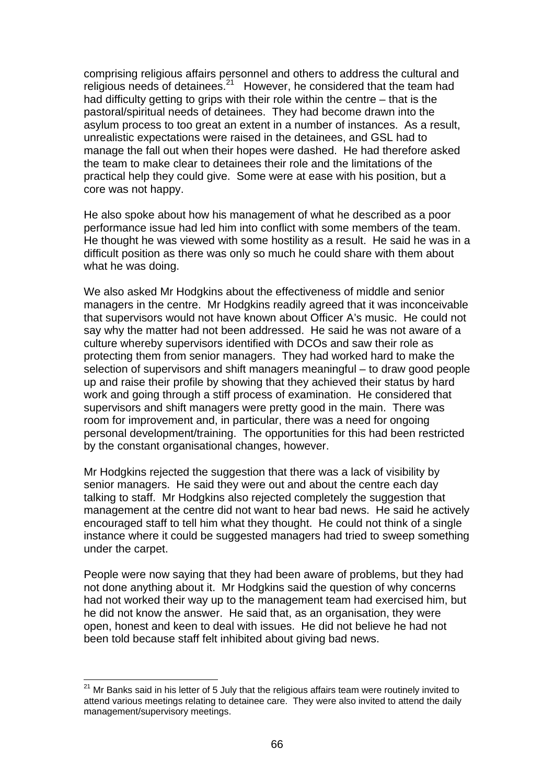comprising religious affairs personnel and others to address the cultural and religious needs of detainees.<sup>21</sup> However, he considered that the team had had difficulty getting to grips with their role within the centre – that is the pastoral/spiritual needs of detainees. They had become drawn into the asylum process to too great an extent in a number of instances. As a result, unrealistic expectations were raised in the detainees, and GSL had to manage the fall out when their hopes were dashed. He had therefore asked the team to make clear to detainees their role and the limitations of the practical help they could give. Some were at ease with his position, but a core was not happy.

He also spoke about how his management of what he described as a poor performance issue had led him into conflict with some members of the team. He thought he was viewed with some hostility as a result. He said he was in a difficult position as there was only so much he could share with them about what he was doing.

We also asked Mr Hodgkins about the effectiveness of middle and senior managers in the centre. Mr Hodgkins readily agreed that it was inconceivable that supervisors would not have known about Officer A's music. He could not say why the matter had not been addressed. He said he was not aware of a culture whereby supervisors identified with DCOs and saw their role as protecting them from senior managers. They had worked hard to make the selection of supervisors and shift managers meaningful – to draw good people up and raise their profile by showing that they achieved their status by hard work and going through a stiff process of examination. He considered that supervisors and shift managers were pretty good in the main. There was room for improvement and, in particular, there was a need for ongoing personal development/training. The opportunities for this had been restricted by the constant organisational changes, however.

Mr Hodgkins rejected the suggestion that there was a lack of visibility by senior managers. He said they were out and about the centre each day talking to staff. Mr Hodgkins also rejected completely the suggestion that management at the centre did not want to hear bad news. He said he actively encouraged staff to tell him what they thought. He could not think of a single instance where it could be suggested managers had tried to sweep something under the carpet.

People were now saying that they had been aware of problems, but they had not done anything about it. Mr Hodgkins said the question of why concerns had not worked their way up to the management team had exercised him, but he did not know the answer. He said that, as an organisation, they were open, honest and keen to deal with issues. He did not believe he had not been told because staff felt inhibited about giving bad news.

 $21$  Mr Banks said in his letter of 5 July that the religious affairs team were routinely invited to attend various meetings relating to detainee care. They were also invited to attend the daily management/supervisory meetings.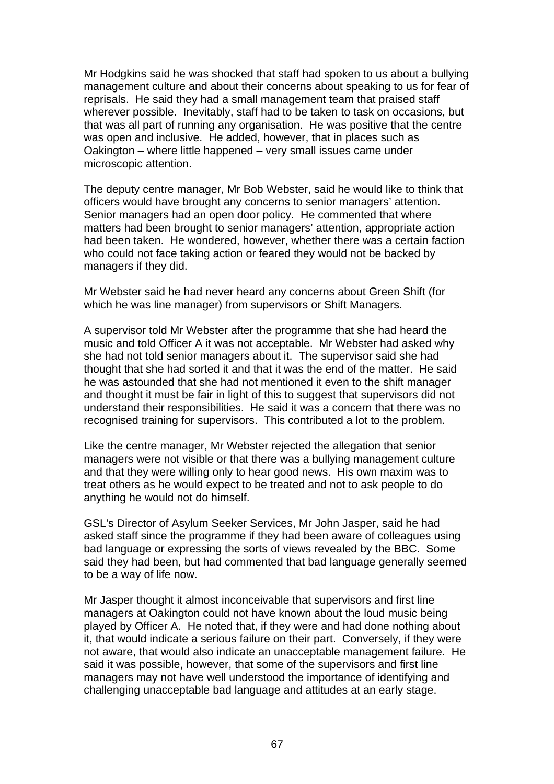Mr Hodgkins said he was shocked that staff had spoken to us about a bullying management culture and about their concerns about speaking to us for fear of reprisals. He said they had a small management team that praised staff wherever possible. Inevitably, staff had to be taken to task on occasions, but that was all part of running any organisation. He was positive that the centre was open and inclusive. He added, however, that in places such as Oakington – where little happened – very small issues came under microscopic attention.

The deputy centre manager, Mr Bob Webster, said he would like to think that officers would have brought any concerns to senior managers' attention. Senior managers had an open door policy. He commented that where matters had been brought to senior managers' attention, appropriate action had been taken. He wondered, however, whether there was a certain faction who could not face taking action or feared they would not be backed by managers if they did.

Mr Webster said he had never heard any concerns about Green Shift (for which he was line manager) from supervisors or Shift Managers.

A supervisor told Mr Webster after the programme that she had heard the music and told Officer A it was not acceptable. Mr Webster had asked why she had not told senior managers about it. The supervisor said she had thought that she had sorted it and that it was the end of the matter. He said he was astounded that she had not mentioned it even to the shift manager and thought it must be fair in light of this to suggest that supervisors did not understand their responsibilities. He said it was a concern that there was no recognised training for supervisors. This contributed a lot to the problem.

Like the centre manager, Mr Webster rejected the allegation that senior managers were not visible or that there was a bullying management culture and that they were willing only to hear good news. His own maxim was to treat others as he would expect to be treated and not to ask people to do anything he would not do himself.

GSL's Director of Asylum Seeker Services, Mr John Jasper, said he had asked staff since the programme if they had been aware of colleagues using bad language or expressing the sorts of views revealed by the BBC. Some said they had been, but had commented that bad language generally seemed to be a way of life now.

Mr Jasper thought it almost inconceivable that supervisors and first line managers at Oakington could not have known about the loud music being played by Officer A. He noted that, if they were and had done nothing about it, that would indicate a serious failure on their part. Conversely, if they were not aware, that would also indicate an unacceptable management failure. He said it was possible, however, that some of the supervisors and first line managers may not have well understood the importance of identifying and challenging unacceptable bad language and attitudes at an early stage.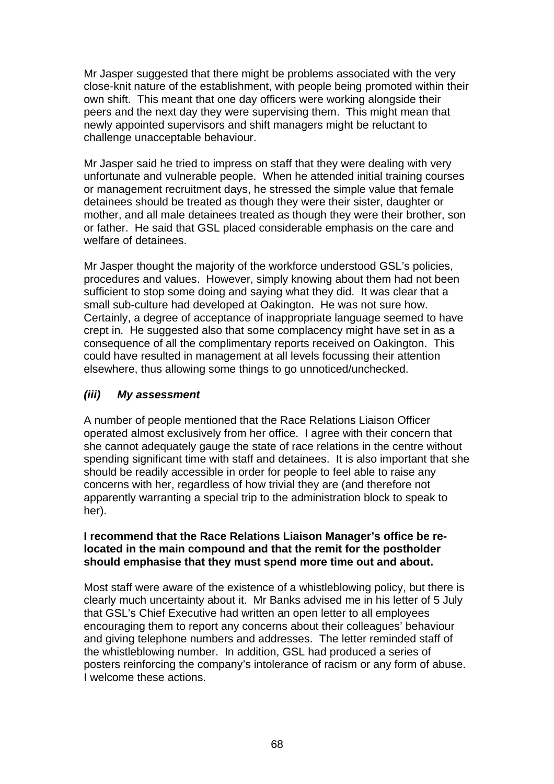Mr Jasper suggested that there might be problems associated with the very close-knit nature of the establishment, with people being promoted within their own shift. This meant that one day officers were working alongside their peers and the next day they were supervising them. This might mean that newly appointed supervisors and shift managers might be reluctant to challenge unacceptable behaviour.

Mr Jasper said he tried to impress on staff that they were dealing with very unfortunate and vulnerable people. When he attended initial training courses or management recruitment days, he stressed the simple value that female detainees should be treated as though they were their sister, daughter or mother, and all male detainees treated as though they were their brother, son or father. He said that GSL placed considerable emphasis on the care and welfare of detainees.

Mr Jasper thought the majority of the workforce understood GSL's policies, procedures and values. However, simply knowing about them had not been sufficient to stop some doing and saying what they did. It was clear that a small sub-culture had developed at Oakington. He was not sure how. Certainly, a degree of acceptance of inappropriate language seemed to have crept in. He suggested also that some complacency might have set in as a consequence of all the complimentary reports received on Oakington. This could have resulted in management at all levels focussing their attention elsewhere, thus allowing some things to go unnoticed/unchecked.

# *(iii) My assessment*

A number of people mentioned that the Race Relations Liaison Officer operated almost exclusively from her office. I agree with their concern that she cannot adequately gauge the state of race relations in the centre without spending significant time with staff and detainees. It is also important that she should be readily accessible in order for people to feel able to raise any concerns with her, regardless of how trivial they are (and therefore not apparently warranting a special trip to the administration block to speak to her).

## **I recommend that the Race Relations Liaison Manager's office be relocated in the main compound and that the remit for the postholder should emphasise that they must spend more time out and about.**

Most staff were aware of the existence of a whistleblowing policy, but there is clearly much uncertainty about it. Mr Banks advised me in his letter of 5 July that GSL's Chief Executive had written an open letter to all employees encouraging them to report any concerns about their colleagues' behaviour and giving telephone numbers and addresses. The letter reminded staff of the whistleblowing number. In addition, GSL had produced a series of posters reinforcing the company's intolerance of racism or any form of abuse. I welcome these actions.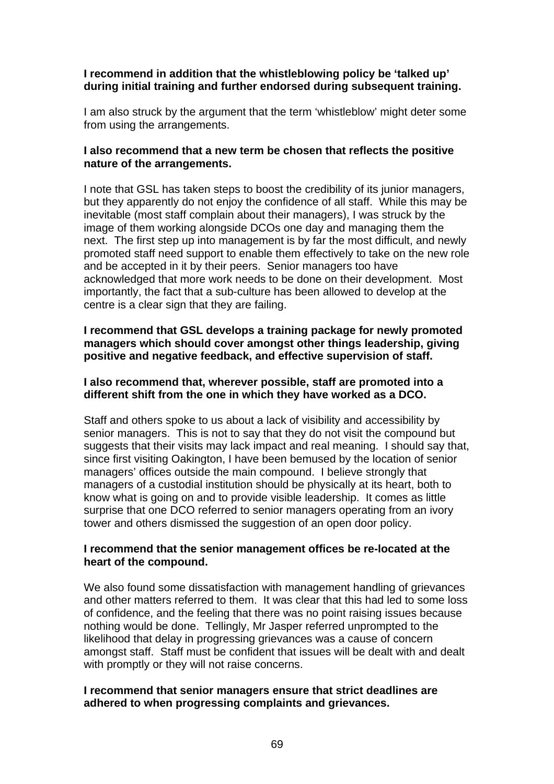## **I recommend in addition that the whistleblowing policy be 'talked up' during initial training and further endorsed during subsequent training.**

I am also struck by the argument that the term 'whistleblow' might deter some from using the arrangements.

## **I also recommend that a new term be chosen that reflects the positive nature of the arrangements.**

I note that GSL has taken steps to boost the credibility of its junior managers, but they apparently do not enjoy the confidence of all staff. While this may be inevitable (most staff complain about their managers), I was struck by the image of them working alongside DCOs one day and managing them the next. The first step up into management is by far the most difficult, and newly promoted staff need support to enable them effectively to take on the new role and be accepted in it by their peers. Senior managers too have acknowledged that more work needs to be done on their development. Most importantly, the fact that a sub-culture has been allowed to develop at the centre is a clear sign that they are failing.

## **I recommend that GSL develops a training package for newly promoted managers which should cover amongst other things leadership, giving positive and negative feedback, and effective supervision of staff.**

### **I also recommend that, wherever possible, staff are promoted into a different shift from the one in which they have worked as a DCO.**

Staff and others spoke to us about a lack of visibility and accessibility by senior managers. This is not to say that they do not visit the compound but suggests that their visits may lack impact and real meaning. I should say that, since first visiting Oakington, I have been bemused by the location of senior managers' offices outside the main compound. I believe strongly that managers of a custodial institution should be physically at its heart, both to know what is going on and to provide visible leadership. It comes as little surprise that one DCO referred to senior managers operating from an ivory tower and others dismissed the suggestion of an open door policy.

## **I recommend that the senior management offices be re-located at the heart of the compound.**

We also found some dissatisfaction with management handling of grievances and other matters referred to them. It was clear that this had led to some loss of confidence, and the feeling that there was no point raising issues because nothing would be done. Tellingly, Mr Jasper referred unprompted to the likelihood that delay in progressing grievances was a cause of concern amongst staff. Staff must be confident that issues will be dealt with and dealt with promptly or they will not raise concerns.

## **I recommend that senior managers ensure that strict deadlines are adhered to when progressing complaints and grievances.**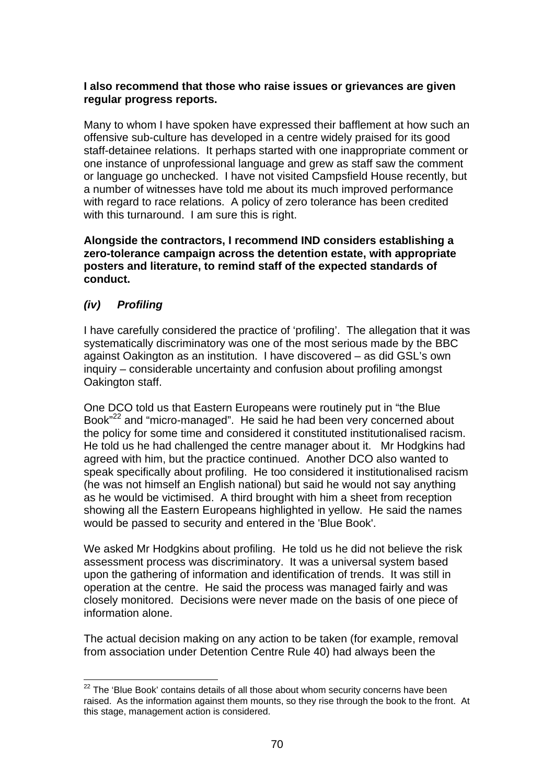## **I also recommend that those who raise issues or grievances are given regular progress reports.**

Many to whom I have spoken have expressed their bafflement at how such an offensive sub-culture has developed in a centre widely praised for its good staff-detainee relations. It perhaps started with one inappropriate comment or one instance of unprofessional language and grew as staff saw the comment or language go unchecked. I have not visited Campsfield House recently, but a number of witnesses have told me about its much improved performance with regard to race relations. A policy of zero tolerance has been credited with this turnaround. I am sure this is right.

**Alongside the contractors, I recommend IND considers establishing a zero-tolerance campaign across the detention estate, with appropriate posters and literature, to remind staff of the expected standards of conduct.** 

# *(iv) Profiling*

I have carefully considered the practice of 'profiling'. The allegation that it was systematically discriminatory was one of the most serious made by the BBC against Oakington as an institution. I have discovered – as did GSL's own inquiry – considerable uncertainty and confusion about profiling amongst Oakington staff.

One DCO told us that Eastern Europeans were routinely put in "the Blue Book<sup>"22</sup> and "micro-managed". He said he had been very concerned about the policy for some time and considered it constituted institutionalised racism. He told us he had challenged the centre manager about it. Mr Hodgkins had agreed with him, but the practice continued. Another DCO also wanted to speak specifically about profiling. He too considered it institutionalised racism (he was not himself an English national) but said he would not say anything as he would be victimised. A third brought with him a sheet from reception showing all the Eastern Europeans highlighted in yellow. He said the names would be passed to security and entered in the 'Blue Book'.

We asked Mr Hodgkins about profiling. He told us he did not believe the risk assessment process was discriminatory. It was a universal system based upon the gathering of information and identification of trends. It was still in operation at the centre. He said the process was managed fairly and was closely monitored. Decisions were never made on the basis of one piece of information alone.

The actual decision making on any action to be taken (for example, removal from association under Detention Centre Rule 40) had always been the

 $22$  The 'Blue Book' contains details of all those about whom security concerns have been raised. As the information against them mounts, so they rise through the book to the front. At this stage, management action is considered.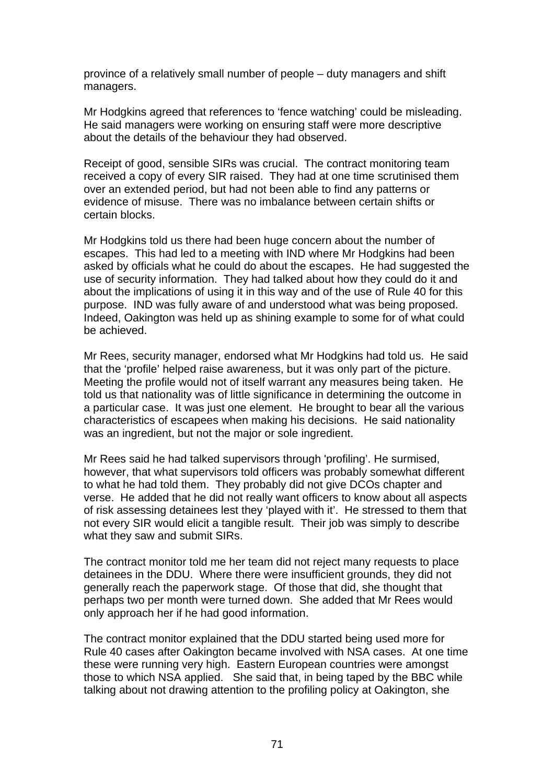province of a relatively small number of people – duty managers and shift managers.

Mr Hodgkins agreed that references to 'fence watching' could be misleading. He said managers were working on ensuring staff were more descriptive about the details of the behaviour they had observed.

Receipt of good, sensible SIRs was crucial. The contract monitoring team received a copy of every SIR raised. They had at one time scrutinised them over an extended period, but had not been able to find any patterns or evidence of misuse. There was no imbalance between certain shifts or certain blocks.

Mr Hodgkins told us there had been huge concern about the number of escapes. This had led to a meeting with IND where Mr Hodgkins had been asked by officials what he could do about the escapes. He had suggested the use of security information. They had talked about how they could do it and about the implications of using it in this way and of the use of Rule 40 for this purpose. IND was fully aware of and understood what was being proposed. Indeed, Oakington was held up as shining example to some for of what could be achieved.

Mr Rees, security manager, endorsed what Mr Hodgkins had told us. He said that the 'profile' helped raise awareness, but it was only part of the picture. Meeting the profile would not of itself warrant any measures being taken. He told us that nationality was of little significance in determining the outcome in a particular case. It was just one element. He brought to bear all the various characteristics of escapees when making his decisions. He said nationality was an ingredient, but not the major or sole ingredient.

Mr Rees said he had talked supervisors through 'profiling'. He surmised, however, that what supervisors told officers was probably somewhat different to what he had told them. They probably did not give DCOs chapter and verse. He added that he did not really want officers to know about all aspects of risk assessing detainees lest they 'played with it'. He stressed to them that not every SIR would elicit a tangible result. Their job was simply to describe what they saw and submit SIRs.

The contract monitor told me her team did not reject many requests to place detainees in the DDU. Where there were insufficient grounds, they did not generally reach the paperwork stage. Of those that did, she thought that perhaps two per month were turned down. She added that Mr Rees would only approach her if he had good information.

The contract monitor explained that the DDU started being used more for Rule 40 cases after Oakington became involved with NSA cases. At one time these were running very high. Eastern European countries were amongst those to which NSA applied. She said that, in being taped by the BBC while talking about not drawing attention to the profiling policy at Oakington, she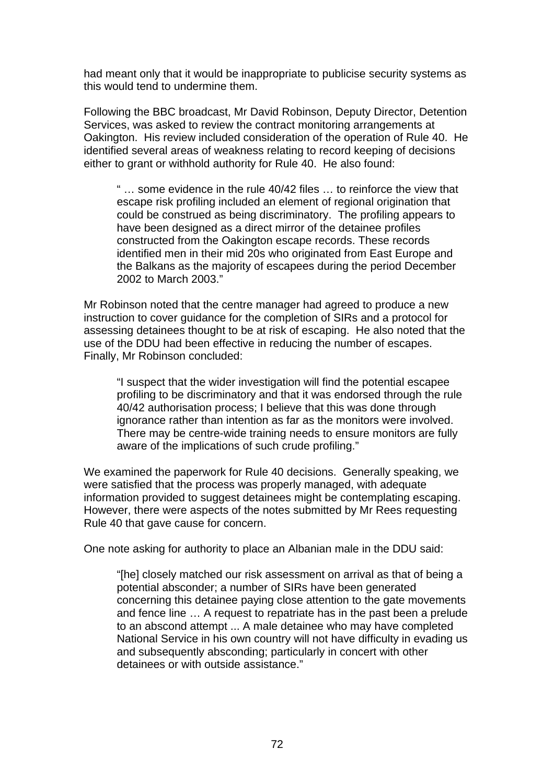had meant only that it would be inappropriate to publicise security systems as this would tend to undermine them.

Following the BBC broadcast, Mr David Robinson, Deputy Director, Detention Services, was asked to review the contract monitoring arrangements at Oakington. His review included consideration of the operation of Rule 40. He identified several areas of weakness relating to record keeping of decisions either to grant or withhold authority for Rule 40. He also found:

" … some evidence in the rule 40/42 files … to reinforce the view that escape risk profiling included an element of regional origination that could be construed as being discriminatory. The profiling appears to have been designed as a direct mirror of the detainee profiles constructed from the Oakington escape records. These records identified men in their mid 20s who originated from East Europe and the Balkans as the majority of escapees during the period December 2002 to March 2003."

Mr Robinson noted that the centre manager had agreed to produce a new instruction to cover guidance for the completion of SIRs and a protocol for assessing detainees thought to be at risk of escaping. He also noted that the use of the DDU had been effective in reducing the number of escapes. Finally, Mr Robinson concluded:

"I suspect that the wider investigation will find the potential escapee profiling to be discriminatory and that it was endorsed through the rule 40/42 authorisation process; I believe that this was done through ignorance rather than intention as far as the monitors were involved. There may be centre-wide training needs to ensure monitors are fully aware of the implications of such crude profiling."

We examined the paperwork for Rule 40 decisions. Generally speaking, we were satisfied that the process was properly managed, with adequate information provided to suggest detainees might be contemplating escaping. However, there were aspects of the notes submitted by Mr Rees requesting Rule 40 that gave cause for concern.

One note asking for authority to place an Albanian male in the DDU said:

"[he] closely matched our risk assessment on arrival as that of being a potential absconder; a number of SIRs have been generated concerning this detainee paying close attention to the gate movements and fence line … A request to repatriate has in the past been a prelude to an abscond attempt ... A male detainee who may have completed National Service in his own country will not have difficulty in evading us and subsequently absconding; particularly in concert with other detainees or with outside assistance."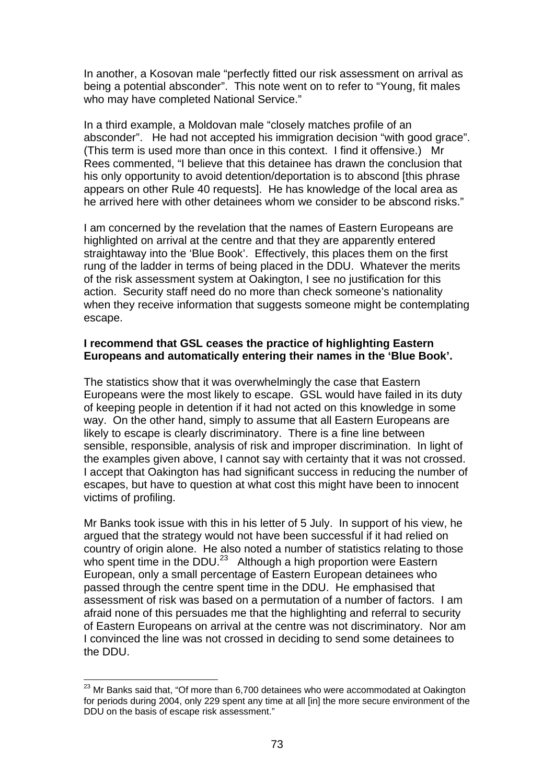In another, a Kosovan male "perfectly fitted our risk assessment on arrival as being a potential absconder". This note went on to refer to "Young, fit males who may have completed National Service."

In a third example, a Moldovan male "closely matches profile of an absconder". He had not accepted his immigration decision "with good grace". (This term is used more than once in this context. I find it offensive.) Mr Rees commented, "I believe that this detainee has drawn the conclusion that his only opportunity to avoid detention/deportation is to abscond [this phrase appears on other Rule 40 requests]. He has knowledge of the local area as he arrived here with other detainees whom we consider to be abscond risks."

I am concerned by the revelation that the names of Eastern Europeans are highlighted on arrival at the centre and that they are apparently entered straightaway into the 'Blue Book'. Effectively, this places them on the first rung of the ladder in terms of being placed in the DDU. Whatever the merits of the risk assessment system at Oakington, I see no justification for this action. Security staff need do no more than check someone's nationality when they receive information that suggests someone might be contemplating escape.

# **I recommend that GSL ceases the practice of highlighting Eastern Europeans and automatically entering their names in the 'Blue Book'.**

The statistics show that it was overwhelmingly the case that Eastern Europeans were the most likely to escape. GSL would have failed in its duty of keeping people in detention if it had not acted on this knowledge in some way. On the other hand, simply to assume that all Eastern Europeans are likely to escape is clearly discriminatory. There is a fine line between sensible, responsible, analysis of risk and improper discrimination. In light of the examples given above, I cannot say with certainty that it was not crossed. I accept that Oakington has had significant success in reducing the number of escapes, but have to question at what cost this might have been to innocent victims of profiling.

Mr Banks took issue with this in his letter of 5 July. In support of his view, he argued that the strategy would not have been successful if it had relied on country of origin alone. He also noted a number of statistics relating to those who spent time in the DDU.<sup>23</sup> Although a high proportion were Eastern European, only a small percentage of Eastern European detainees who passed through the centre spent time in the DDU. He emphasised that assessment of risk was based on a permutation of a number of factors. I am afraid none of this persuades me that the highlighting and referral to security of Eastern Europeans on arrival at the centre was not discriminatory. Nor am I convinced the line was not crossed in deciding to send some detainees to the DDU.

 $23$  Mr Banks said that, "Of more than 6,700 detainees who were accommodated at Oakington for periods during 2004, only 229 spent any time at all [in] the more secure environment of the DDU on the basis of escape risk assessment."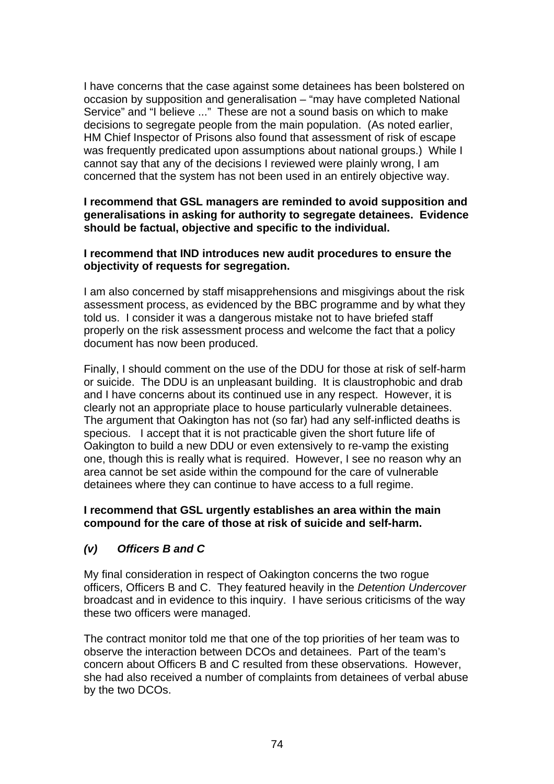I have concerns that the case against some detainees has been bolstered on occasion by supposition and generalisation – "may have completed National Service" and "I believe ..." These are not a sound basis on which to make decisions to segregate people from the main population. (As noted earlier, HM Chief Inspector of Prisons also found that assessment of risk of escape was frequently predicated upon assumptions about national groups.) While I cannot say that any of the decisions I reviewed were plainly wrong, I am concerned that the system has not been used in an entirely objective way.

# **I recommend that GSL managers are reminded to avoid supposition and generalisations in asking for authority to segregate detainees. Evidence should be factual, objective and specific to the individual.**

### **I recommend that IND introduces new audit procedures to ensure the objectivity of requests for segregation.**

I am also concerned by staff misapprehensions and misgivings about the risk assessment process, as evidenced by the BBC programme and by what they told us. I consider it was a dangerous mistake not to have briefed staff properly on the risk assessment process and welcome the fact that a policy document has now been produced.

Finally, I should comment on the use of the DDU for those at risk of self-harm or suicide. The DDU is an unpleasant building. It is claustrophobic and drab and I have concerns about its continued use in any respect. However, it is clearly not an appropriate place to house particularly vulnerable detainees. The argument that Oakington has not (so far) had any self-inflicted deaths is specious. I accept that it is not practicable given the short future life of Oakington to build a new DDU or even extensively to re-vamp the existing one, though this is really what is required. However, I see no reason why an area cannot be set aside within the compound for the care of vulnerable detainees where they can continue to have access to a full regime.

# **I recommend that GSL urgently establishes an area within the main compound for the care of those at risk of suicide and self-harm.**

# *(v) Officers B and C*

My final consideration in respect of Oakington concerns the two rogue officers, Officers B and C. They featured heavily in the *Detention Undercover* broadcast and in evidence to this inquiry. I have serious criticisms of the way these two officers were managed.

The contract monitor told me that one of the top priorities of her team was to observe the interaction between DCOs and detainees. Part of the team's concern about Officers B and C resulted from these observations. However, she had also received a number of complaints from detainees of verbal abuse by the two DCOs.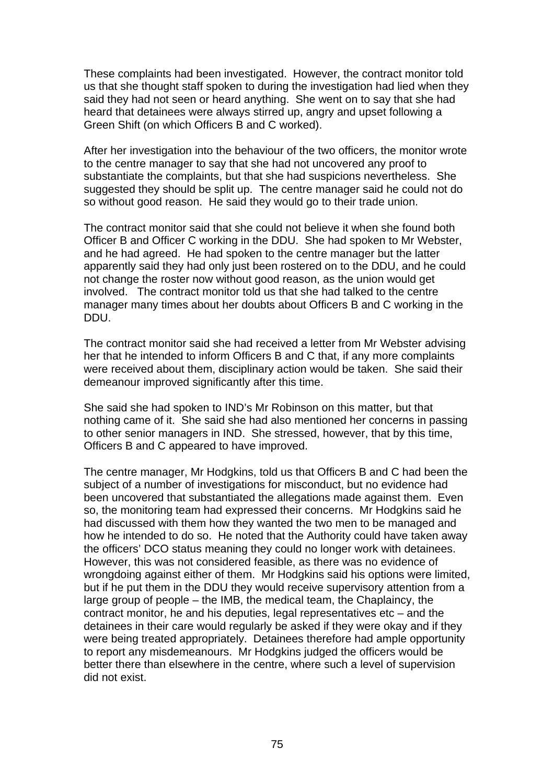These complaints had been investigated. However, the contract monitor told us that she thought staff spoken to during the investigation had lied when they said they had not seen or heard anything. She went on to say that she had heard that detainees were always stirred up, angry and upset following a Green Shift (on which Officers B and C worked).

After her investigation into the behaviour of the two officers, the monitor wrote to the centre manager to say that she had not uncovered any proof to substantiate the complaints, but that she had suspicions nevertheless. She suggested they should be split up. The centre manager said he could not do so without good reason. He said they would go to their trade union.

The contract monitor said that she could not believe it when she found both Officer B and Officer C working in the DDU. She had spoken to Mr Webster, and he had agreed. He had spoken to the centre manager but the latter apparently said they had only just been rostered on to the DDU, and he could not change the roster now without good reason, as the union would get involved. The contract monitor told us that she had talked to the centre manager many times about her doubts about Officers B and C working in the DDU.

The contract monitor said she had received a letter from Mr Webster advising her that he intended to inform Officers B and C that, if any more complaints were received about them, disciplinary action would be taken. She said their demeanour improved significantly after this time.

She said she had spoken to IND's Mr Robinson on this matter, but that nothing came of it. She said she had also mentioned her concerns in passing to other senior managers in IND. She stressed, however, that by this time, Officers B and C appeared to have improved.

The centre manager, Mr Hodgkins, told us that Officers B and C had been the subject of a number of investigations for misconduct, but no evidence had been uncovered that substantiated the allegations made against them. Even so, the monitoring team had expressed their concerns. Mr Hodgkins said he had discussed with them how they wanted the two men to be managed and how he intended to do so. He noted that the Authority could have taken away the officers' DCO status meaning they could no longer work with detainees. However, this was not considered feasible, as there was no evidence of wrongdoing against either of them. Mr Hodgkins said his options were limited, but if he put them in the DDU they would receive supervisory attention from a large group of people – the IMB, the medical team, the Chaplaincy, the contract monitor, he and his deputies, legal representatives etc – and the detainees in their care would regularly be asked if they were okay and if they were being treated appropriately. Detainees therefore had ample opportunity to report any misdemeanours. Mr Hodgkins judged the officers would be better there than elsewhere in the centre, where such a level of supervision did not exist.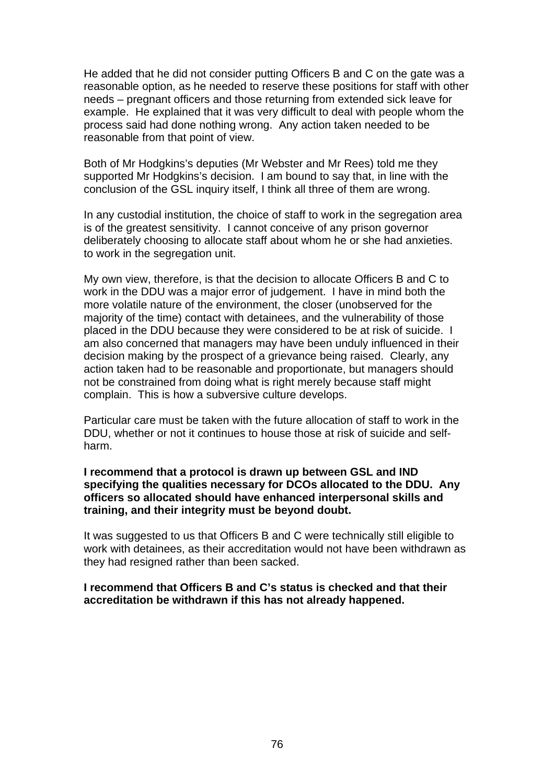He added that he did not consider putting Officers B and C on the gate was a reasonable option, as he needed to reserve these positions for staff with other needs – pregnant officers and those returning from extended sick leave for example. He explained that it was very difficult to deal with people whom the process said had done nothing wrong. Any action taken needed to be reasonable from that point of view.

Both of Mr Hodgkins's deputies (Mr Webster and Mr Rees) told me they supported Mr Hodgkins's decision. I am bound to say that, in line with the conclusion of the GSL inquiry itself, I think all three of them are wrong.

In any custodial institution, the choice of staff to work in the segregation area is of the greatest sensitivity. I cannot conceive of any prison governor deliberately choosing to allocate staff about whom he or she had anxieties. to work in the segregation unit.

My own view, therefore, is that the decision to allocate Officers B and C to work in the DDU was a major error of judgement. I have in mind both the more volatile nature of the environment, the closer (unobserved for the majority of the time) contact with detainees, and the vulnerability of those placed in the DDU because they were considered to be at risk of suicide. I am also concerned that managers may have been unduly influenced in their decision making by the prospect of a grievance being raised. Clearly, any action taken had to be reasonable and proportionate, but managers should not be constrained from doing what is right merely because staff might complain. This is how a subversive culture develops.

Particular care must be taken with the future allocation of staff to work in the DDU, whether or not it continues to house those at risk of suicide and selfharm.

### **I recommend that a protocol is drawn up between GSL and IND specifying the qualities necessary for DCOs allocated to the DDU. Any officers so allocated should have enhanced interpersonal skills and training, and their integrity must be beyond doubt.**

It was suggested to us that Officers B and C were technically still eligible to work with detainees, as their accreditation would not have been withdrawn as they had resigned rather than been sacked.

### **I recommend that Officers B and C's status is checked and that their accreditation be withdrawn if this has not already happened.**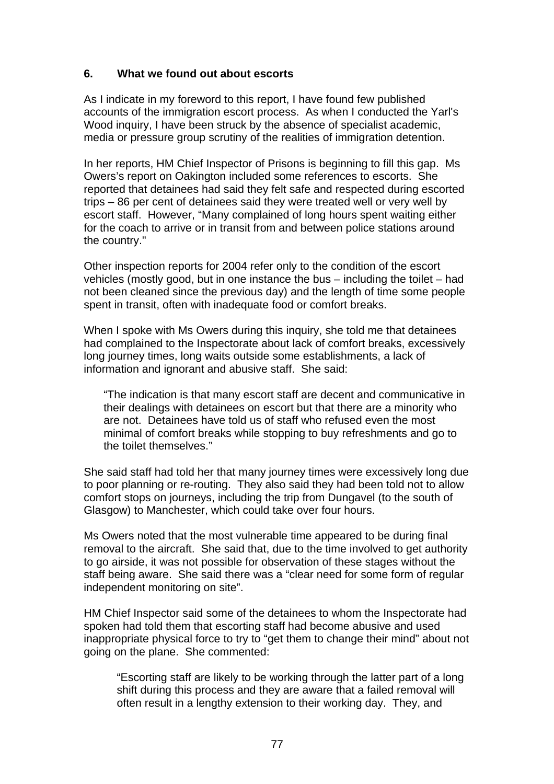# **6. What we found out about escorts**

As I indicate in my foreword to this report, I have found few published accounts of the immigration escort process. As when I conducted the Yarl's Wood inquiry, I have been struck by the absence of specialist academic, media or pressure group scrutiny of the realities of immigration detention.

In her reports, HM Chief Inspector of Prisons is beginning to fill this gap. Ms Owers's report on Oakington included some references to escorts. She reported that detainees had said they felt safe and respected during escorted trips – 86 per cent of detainees said they were treated well or very well by escort staff. However, "Many complained of long hours spent waiting either for the coach to arrive or in transit from and between police stations around the country."

Other inspection reports for 2004 refer only to the condition of the escort vehicles (mostly good, but in one instance the bus – including the toilet – had not been cleaned since the previous day) and the length of time some people spent in transit, often with inadequate food or comfort breaks.

When I spoke with Ms Owers during this inquiry, she told me that detainees had complained to the Inspectorate about lack of comfort breaks, excessively long journey times, long waits outside some establishments, a lack of information and ignorant and abusive staff. She said:

"The indication is that many escort staff are decent and communicative in their dealings with detainees on escort but that there are a minority who are not. Detainees have told us of staff who refused even the most minimal of comfort breaks while stopping to buy refreshments and go to the toilet themselves."

She said staff had told her that many journey times were excessively long due to poor planning or re-routing. They also said they had been told not to allow comfort stops on journeys, including the trip from Dungavel (to the south of Glasgow) to Manchester, which could take over four hours.

Ms Owers noted that the most vulnerable time appeared to be during final removal to the aircraft. She said that, due to the time involved to get authority to go airside, it was not possible for observation of these stages without the staff being aware. She said there was a "clear need for some form of regular independent monitoring on site".

HM Chief Inspector said some of the detainees to whom the Inspectorate had spoken had told them that escorting staff had become abusive and used inappropriate physical force to try to "get them to change their mind" about not going on the plane. She commented:

"Escorting staff are likely to be working through the latter part of a long shift during this process and they are aware that a failed removal will often result in a lengthy extension to their working day. They, and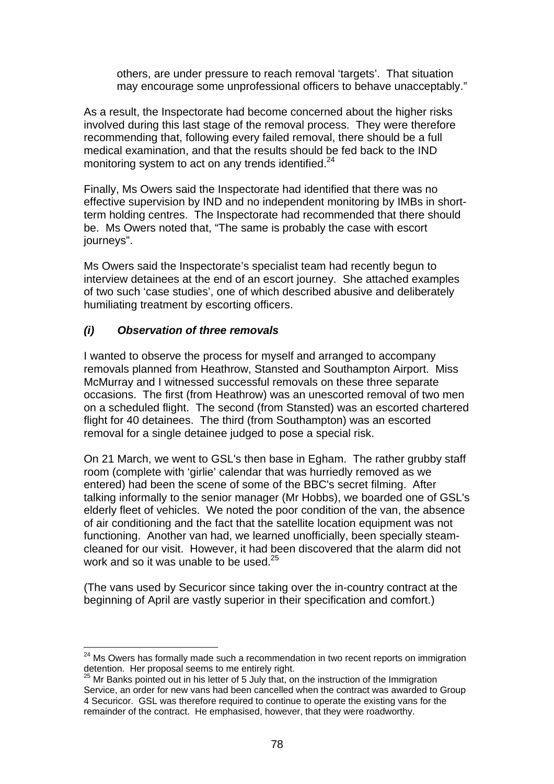others, are under pressure to reach removal 'targets'. That situation may encourage some unprofessional officers to behave unacceptably."

As a result, the Inspectorate had become concerned about the higher risks involved during this last stage of the removal process. They were therefore recommending that, following every failed removal, there should be a full medical examination, and that the results should be fed back to the IND monitoring system to act on any trends identified.<sup>24</sup>

Finally, Ms Owers said the Inspectorate had identified that there was no effective supervision by IND and no independent monitoring by IMBs in shortterm holding centres. The Inspectorate had recommended that there should be. Ms Owers noted that, "The same is probably the case with escort journeys".

Ms Owers said the Inspectorate's specialist team had recently begun to interview detainees at the end of an escort journey. She attached examples of two such 'case studies', one of which described abusive and deliberately humiliating treatment by escorting officers.

# *(i) Observation of three removals*

I wanted to observe the process for myself and arranged to accompany removals planned from Heathrow, Stansted and Southampton Airport. Miss McMurray and I witnessed successful removals on these three separate occasions. The first (from Heathrow) was an unescorted removal of two men on a scheduled flight. The second (from Stansted) was an escorted chartered flight for 40 detainees. The third (from Southampton) was an escorted removal for a single detainee judged to pose a special risk.

On 21 March, we went to GSL's then base in Egham. The rather grubby staff room (complete with 'girlie' calendar that was hurriedly removed as we entered) had been the scene of some of the BBC's secret filming. After talking informally to the senior manager (Mr Hobbs), we boarded one of GSL's elderly fleet of vehicles. We noted the poor condition of the van, the absence of air conditioning and the fact that the satellite location equipment was not functioning. Another van had, we learned unofficially, been specially steamcleaned for our visit. However, it had been discovered that the alarm did not work and so it was unable to be used.<sup>25</sup>

(The vans used by Securicor since taking over the in-country contract at the beginning of April are vastly superior in their specification and comfort.)

 $24$  Ms Owers has formally made such a recommendation in two recent reports on immigration detention. Her proposal seems to me entirely right.

<sup>&</sup>lt;sup>25</sup> Mr Banks pointed out in his letter of 5 July that, on the instruction of the Immigration Service, an order for new vans had been cancelled when the contract was awarded to Group 4 Securicor. GSL was therefore required to continue to operate the existing vans for the remainder of the contract. He emphasised, however, that they were roadworthy.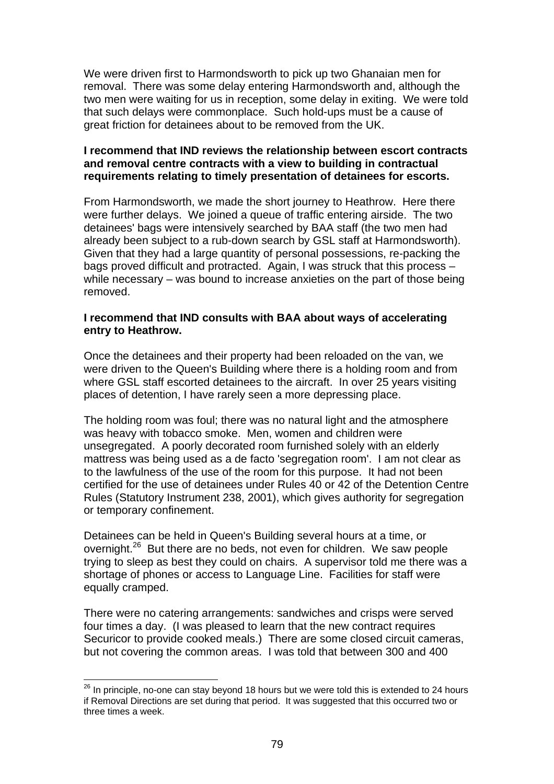We were driven first to Harmondsworth to pick up two Ghanaian men for removal. There was some delay entering Harmondsworth and, although the two men were waiting for us in reception, some delay in exiting. We were told that such delays were commonplace. Such hold-ups must be a cause of great friction for detainees about to be removed from the UK.

# **I recommend that IND reviews the relationship between escort contracts and removal centre contracts with a view to building in contractual requirements relating to timely presentation of detainees for escorts.**

From Harmondsworth, we made the short journey to Heathrow. Here there were further delays. We joined a queue of traffic entering airside. The two detainees' bags were intensively searched by BAA staff (the two men had already been subject to a rub-down search by GSL staff at Harmondsworth). Given that they had a large quantity of personal possessions, re-packing the bags proved difficult and protracted. Again, I was struck that this process – while necessary – was bound to increase anxieties on the part of those being removed.

### **I recommend that IND consults with BAA about ways of accelerating entry to Heathrow.**

Once the detainees and their property had been reloaded on the van, we were driven to the Queen's Building where there is a holding room and from where GSL staff escorted detainees to the aircraft. In over 25 years visiting places of detention, I have rarely seen a more depressing place.

The holding room was foul; there was no natural light and the atmosphere was heavy with tobacco smoke. Men, women and children were unsegregated. A poorly decorated room furnished solely with an elderly mattress was being used as a de facto 'segregation room'. I am not clear as to the lawfulness of the use of the room for this purpose. It had not been certified for the use of detainees under Rules 40 or 42 of the Detention Centre Rules (Statutory Instrument 238, 2001), which gives authority for segregation or temporary confinement.

Detainees can be held in Queen's Building several hours at a time, or overnight.<sup>26</sup> But there are no beds, not even for children. We saw people trying to sleep as best they could on chairs. A supervisor told me there was a shortage of phones or access to Language Line. Facilities for staff were equally cramped.

There were no catering arrangements: sandwiches and crisps were served four times a day. (I was pleased to learn that the new contract requires Securicor to provide cooked meals.) There are some closed circuit cameras, but not covering the common areas. I was told that between 300 and 400

 $^{26}$  In principle, no-one can stay beyond 18 hours but we were told this is extended to 24 hours if Removal Directions are set during that period. It was suggested that this occurred two or three times a week.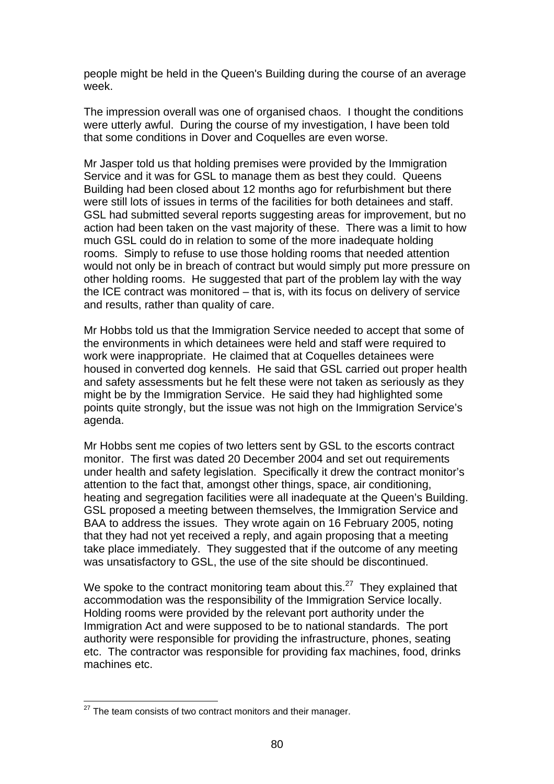people might be held in the Queen's Building during the course of an average week.

The impression overall was one of organised chaos. I thought the conditions were utterly awful. During the course of my investigation, I have been told that some conditions in Dover and Coquelles are even worse.

Mr Jasper told us that holding premises were provided by the Immigration Service and it was for GSL to manage them as best they could. Queens Building had been closed about 12 months ago for refurbishment but there were still lots of issues in terms of the facilities for both detainees and staff. GSL had submitted several reports suggesting areas for improvement, but no action had been taken on the vast majority of these. There was a limit to how much GSL could do in relation to some of the more inadequate holding rooms. Simply to refuse to use those holding rooms that needed attention would not only be in breach of contract but would simply put more pressure on other holding rooms. He suggested that part of the problem lay with the way the ICE contract was monitored – that is, with its focus on delivery of service and results, rather than quality of care.

Mr Hobbs told us that the Immigration Service needed to accept that some of the environments in which detainees were held and staff were required to work were inappropriate. He claimed that at Coquelles detainees were housed in converted dog kennels. He said that GSL carried out proper health and safety assessments but he felt these were not taken as seriously as they might be by the Immigration Service. He said they had highlighted some points quite strongly, but the issue was not high on the Immigration Service's agenda.

Mr Hobbs sent me copies of two letters sent by GSL to the escorts contract monitor. The first was dated 20 December 2004 and set out requirements under health and safety legislation. Specifically it drew the contract monitor's attention to the fact that, amongst other things, space, air conditioning, heating and segregation facilities were all inadequate at the Queen's Building. GSL proposed a meeting between themselves, the Immigration Service and BAA to address the issues. They wrote again on 16 February 2005, noting that they had not yet received a reply, and again proposing that a meeting take place immediately. They suggested that if the outcome of any meeting was unsatisfactory to GSL, the use of the site should be discontinued.

We spoke to the contract monitoring team about this.<sup>27</sup> They explained that accommodation was the responsibility of the Immigration Service locally. Holding rooms were provided by the relevant port authority under the Immigration Act and were supposed to be to national standards. The port authority were responsible for providing the infrastructure, phones, seating etc. The contractor was responsible for providing fax machines, food, drinks machines etc.

 $27$  The team consists of two contract monitors and their manager.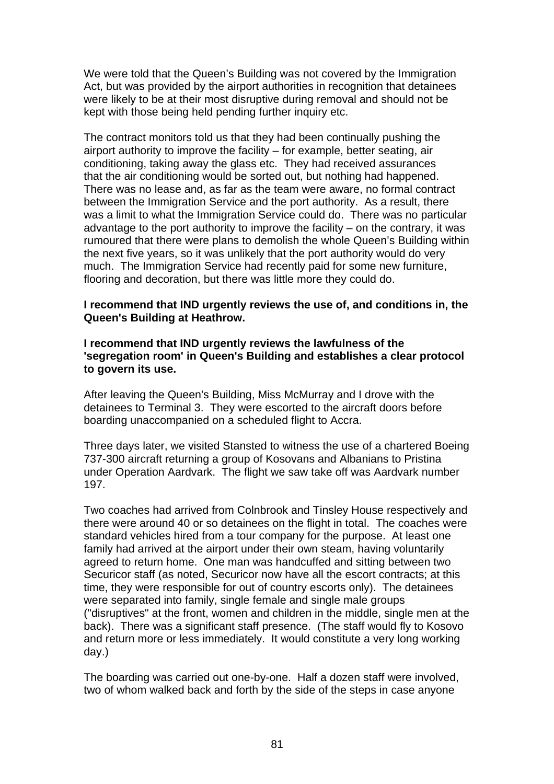We were told that the Queen's Building was not covered by the Immigration Act, but was provided by the airport authorities in recognition that detainees were likely to be at their most disruptive during removal and should not be kept with those being held pending further inquiry etc.

The contract monitors told us that they had been continually pushing the airport authority to improve the facility – for example, better seating, air conditioning, taking away the glass etc. They had received assurances that the air conditioning would be sorted out, but nothing had happened. There was no lease and, as far as the team were aware, no formal contract between the Immigration Service and the port authority. As a result, there was a limit to what the Immigration Service could do. There was no particular advantage to the port authority to improve the facility – on the contrary, it was rumoured that there were plans to demolish the whole Queen's Building within the next five years, so it was unlikely that the port authority would do very much. The Immigration Service had recently paid for some new furniture, flooring and decoration, but there was little more they could do.

### **I recommend that IND urgently reviews the use of, and conditions in, the Queen's Building at Heathrow.**

#### **I recommend that IND urgently reviews the lawfulness of the 'segregation room' in Queen's Building and establishes a clear protocol to govern its use.**

After leaving the Queen's Building, Miss McMurray and I drove with the detainees to Terminal 3. They were escorted to the aircraft doors before boarding unaccompanied on a scheduled flight to Accra.

Three days later, we visited Stansted to witness the use of a chartered Boeing 737-300 aircraft returning a group of Kosovans and Albanians to Pristina under Operation Aardvark. The flight we saw take off was Aardvark number 197.

Two coaches had arrived from Colnbrook and Tinsley House respectively and there were around 40 or so detainees on the flight in total. The coaches were standard vehicles hired from a tour company for the purpose. At least one family had arrived at the airport under their own steam, having voluntarily agreed to return home. One man was handcuffed and sitting between two Securicor staff (as noted, Securicor now have all the escort contracts; at this time, they were responsible for out of country escorts only). The detainees were separated into family, single female and single male groups ("disruptives" at the front, women and children in the middle, single men at the back). There was a significant staff presence. (The staff would fly to Kosovo and return more or less immediately. It would constitute a very long working day.)

The boarding was carried out one-by-one. Half a dozen staff were involved, two of whom walked back and forth by the side of the steps in case anyone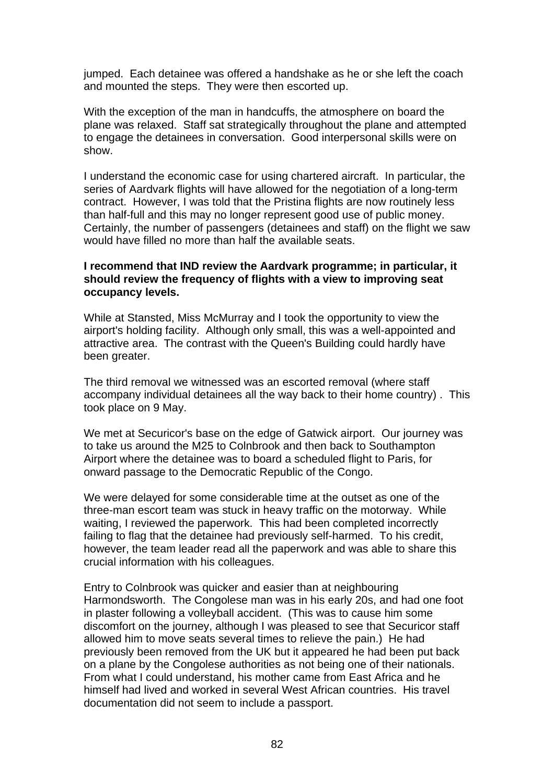jumped. Each detainee was offered a handshake as he or she left the coach and mounted the steps. They were then escorted up.

With the exception of the man in handcuffs, the atmosphere on board the plane was relaxed. Staff sat strategically throughout the plane and attempted to engage the detainees in conversation. Good interpersonal skills were on show.

I understand the economic case for using chartered aircraft. In particular, the series of Aardvark flights will have allowed for the negotiation of a long-term contract. However, I was told that the Pristina flights are now routinely less than half-full and this may no longer represent good use of public money. Certainly, the number of passengers (detainees and staff) on the flight we saw would have filled no more than half the available seats.

### **I recommend that IND review the Aardvark programme; in particular, it should review the frequency of flights with a view to improving seat occupancy levels.**

While at Stansted, Miss McMurray and I took the opportunity to view the airport's holding facility. Although only small, this was a well-appointed and attractive area. The contrast with the Queen's Building could hardly have been greater.

The third removal we witnessed was an escorted removal (where staff accompany individual detainees all the way back to their home country) . This took place on 9 May.

We met at Securicor's base on the edge of Gatwick airport. Our journey was to take us around the M25 to Colnbrook and then back to Southampton Airport where the detainee was to board a scheduled flight to Paris, for onward passage to the Democratic Republic of the Congo.

We were delayed for some considerable time at the outset as one of the three-man escort team was stuck in heavy traffic on the motorway. While waiting, I reviewed the paperwork. This had been completed incorrectly failing to flag that the detainee had previously self-harmed. To his credit, however, the team leader read all the paperwork and was able to share this crucial information with his colleagues.

Entry to Colnbrook was quicker and easier than at neighbouring Harmondsworth. The Congolese man was in his early 20s, and had one foot in plaster following a volleyball accident. (This was to cause him some discomfort on the journey, although I was pleased to see that Securicor staff allowed him to move seats several times to relieve the pain.) He had previously been removed from the UK but it appeared he had been put back on a plane by the Congolese authorities as not being one of their nationals. From what I could understand, his mother came from East Africa and he himself had lived and worked in several West African countries. His travel documentation did not seem to include a passport.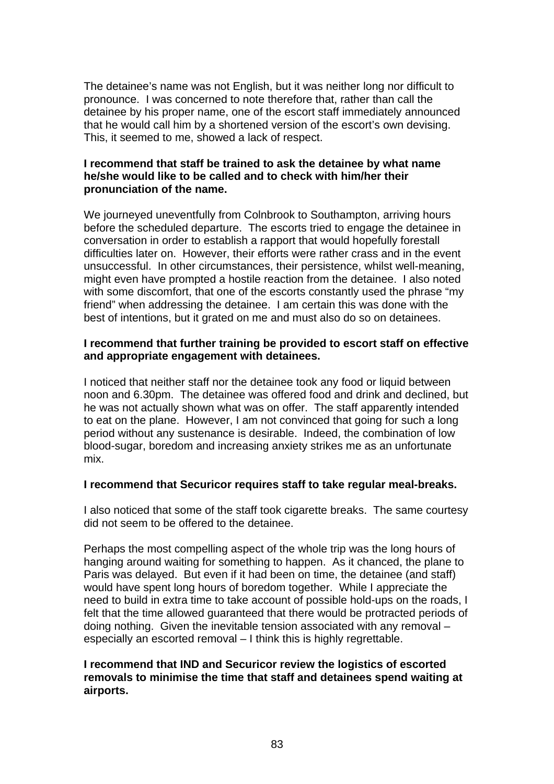The detainee's name was not English, but it was neither long nor difficult to pronounce. I was concerned to note therefore that, rather than call the detainee by his proper name, one of the escort staff immediately announced that he would call him by a shortened version of the escort's own devising. This, it seemed to me, showed a lack of respect.

# **I recommend that staff be trained to ask the detainee by what name he/she would like to be called and to check with him/her their pronunciation of the name.**

We journeyed uneventfully from Colnbrook to Southampton, arriving hours before the scheduled departure. The escorts tried to engage the detainee in conversation in order to establish a rapport that would hopefully forestall difficulties later on. However, their efforts were rather crass and in the event unsuccessful. In other circumstances, their persistence, whilst well-meaning, might even have prompted a hostile reaction from the detainee. I also noted with some discomfort, that one of the escorts constantly used the phrase "my friend" when addressing the detainee. I am certain this was done with the best of intentions, but it grated on me and must also do so on detainees.

# **I recommend that further training be provided to escort staff on effective and appropriate engagement with detainees.**

I noticed that neither staff nor the detainee took any food or liquid between noon and 6.30pm. The detainee was offered food and drink and declined, but he was not actually shown what was on offer. The staff apparently intended to eat on the plane. However, I am not convinced that going for such a long period without any sustenance is desirable. Indeed, the combination of low blood-sugar, boredom and increasing anxiety strikes me as an unfortunate mix.

# **I recommend that Securicor requires staff to take regular meal-breaks.**

I also noticed that some of the staff took cigarette breaks. The same courtesy did not seem to be offered to the detainee.

Perhaps the most compelling aspect of the whole trip was the long hours of hanging around waiting for something to happen. As it chanced, the plane to Paris was delayed. But even if it had been on time, the detainee (and staff) would have spent long hours of boredom together. While I appreciate the need to build in extra time to take account of possible hold-ups on the roads, I felt that the time allowed guaranteed that there would be protracted periods of doing nothing. Given the inevitable tension associated with any removal *–*  especially an escorted removal – I think this is highly regrettable.

# **I recommend that IND and Securicor review the logistics of escorted removals to minimise the time that staff and detainees spend waiting at airports.**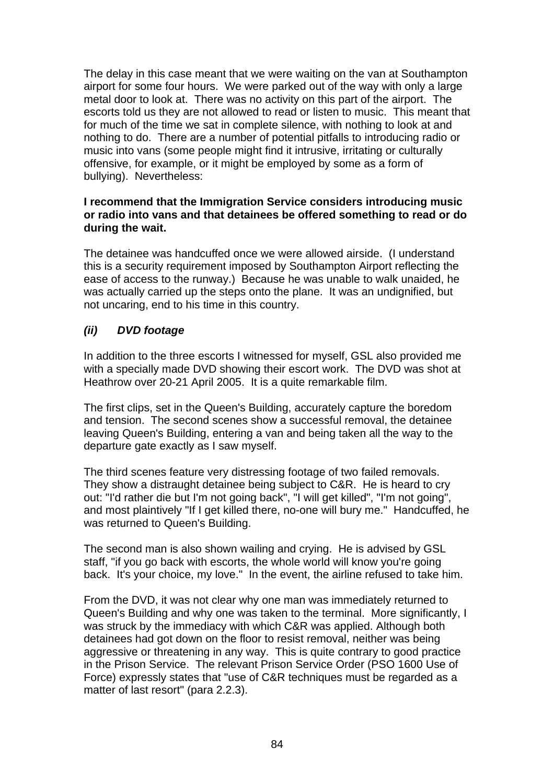The delay in this case meant that we were waiting on the van at Southampton airport for some four hours. We were parked out of the way with only a large metal door to look at. There was no activity on this part of the airport. The escorts told us they are not allowed to read or listen to music. This meant that for much of the time we sat in complete silence, with nothing to look at and nothing to do. There are a number of potential pitfalls to introducing radio or music into vans (some people might find it intrusive, irritating or culturally offensive, for example, or it might be employed by some as a form of bullying). Nevertheless:

# **I recommend that the Immigration Service considers introducing music or radio into vans and that detainees be offered something to read or do during the wait.**

The detainee was handcuffed once we were allowed airside. (I understand this is a security requirement imposed by Southampton Airport reflecting the ease of access to the runway.) Because he was unable to walk unaided, he was actually carried up the steps onto the plane. It was an undignified, but not uncaring, end to his time in this country.

# *(ii) DVD footage*

In addition to the three escorts I witnessed for myself, GSL also provided me with a specially made DVD showing their escort work. The DVD was shot at Heathrow over 20-21 April 2005. It is a quite remarkable film.

The first clips, set in the Queen's Building, accurately capture the boredom and tension. The second scenes show a successful removal, the detainee leaving Queen's Building, entering a van and being taken all the way to the departure gate exactly as I saw myself.

The third scenes feature very distressing footage of two failed removals. They show a distraught detainee being subject to C&R. He is heard to cry out: "I'd rather die but I'm not going back", "I will get killed", "I'm not going", and most plaintively "If I get killed there, no-one will bury me." Handcuffed, he was returned to Queen's Building.

The second man is also shown wailing and crying. He is advised by GSL staff, "if you go back with escorts, the whole world will know you're going back. It's your choice, my love." In the event, the airline refused to take him.

From the DVD, it was not clear why one man was immediately returned to Queen's Building and why one was taken to the terminal. More significantly, I was struck by the immediacy with which C&R was applied. Although both detainees had got down on the floor to resist removal, neither was being aggressive or threatening in any way. This is quite contrary to good practice in the Prison Service. The relevant Prison Service Order (PSO 1600 Use of Force) expressly states that "use of C&R techniques must be regarded as a matter of last resort" (para 2.2.3).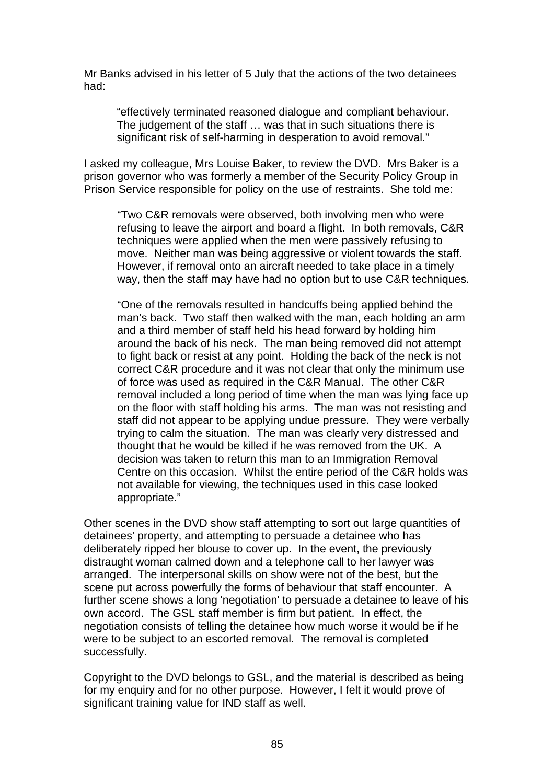Mr Banks advised in his letter of 5 July that the actions of the two detainees had:

"effectively terminated reasoned dialogue and compliant behaviour. The judgement of the staff … was that in such situations there is significant risk of self-harming in desperation to avoid removal."

I asked my colleague, Mrs Louise Baker, to review the DVD. Mrs Baker is a prison governor who was formerly a member of the Security Policy Group in Prison Service responsible for policy on the use of restraints. She told me:

"Two C&R removals were observed, both involving men who were refusing to leave the airport and board a flight. In both removals, C&R techniques were applied when the men were passively refusing to move. Neither man was being aggressive or violent towards the staff. However, if removal onto an aircraft needed to take place in a timely way, then the staff may have had no option but to use C&R techniques.

"One of the removals resulted in handcuffs being applied behind the man's back. Two staff then walked with the man, each holding an arm and a third member of staff held his head forward by holding him around the back of his neck. The man being removed did not attempt to fight back or resist at any point. Holding the back of the neck is not correct C&R procedure and it was not clear that only the minimum use of force was used as required in the C&R Manual. The other C&R removal included a long period of time when the man was lying face up on the floor with staff holding his arms. The man was not resisting and staff did not appear to be applying undue pressure. They were verbally trying to calm the situation. The man was clearly very distressed and thought that he would be killed if he was removed from the UK. A decision was taken to return this man to an Immigration Removal Centre on this occasion. Whilst the entire period of the C&R holds was not available for viewing, the techniques used in this case looked appropriate."

Other scenes in the DVD show staff attempting to sort out large quantities of detainees' property, and attempting to persuade a detainee who has deliberately ripped her blouse to cover up. In the event, the previously distraught woman calmed down and a telephone call to her lawyer was arranged. The interpersonal skills on show were not of the best, but the scene put across powerfully the forms of behaviour that staff encounter. A further scene shows a long 'negotiation' to persuade a detainee to leave of his own accord. The GSL staff member is firm but patient. In effect, the negotiation consists of telling the detainee how much worse it would be if he were to be subject to an escorted removal. The removal is completed successfully.

Copyright to the DVD belongs to GSL, and the material is described as being for my enquiry and for no other purpose. However, I felt it would prove of significant training value for IND staff as well.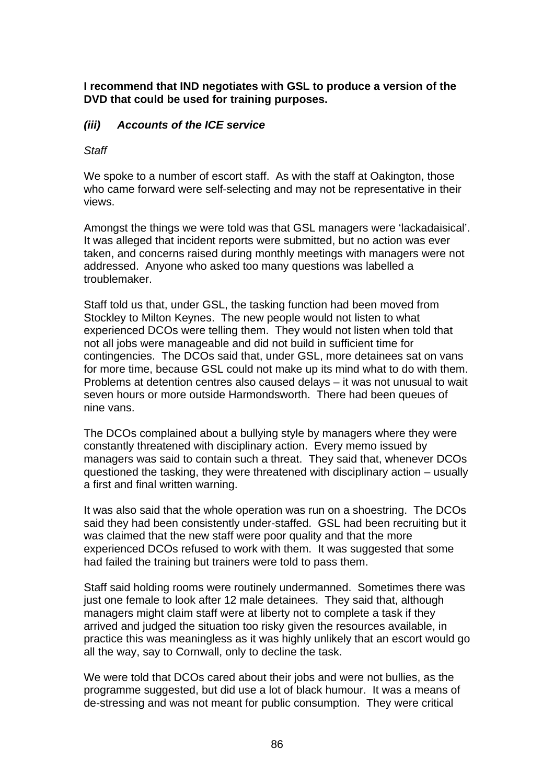**I recommend that IND negotiates with GSL to produce a version of the DVD that could be used for training purposes.** 

# *(iii) Accounts of the ICE service*

### *Staff*

We spoke to a number of escort staff. As with the staff at Oakington, those who came forward were self-selecting and may not be representative in their views.

Amongst the things we were told was that GSL managers were 'lackadaisical'. It was alleged that incident reports were submitted, but no action was ever taken, and concerns raised during monthly meetings with managers were not addressed. Anyone who asked too many questions was labelled a troublemaker.

Staff told us that, under GSL, the tasking function had been moved from Stockley to Milton Keynes. The new people would not listen to what experienced DCOs were telling them. They would not listen when told that not all jobs were manageable and did not build in sufficient time for contingencies. The DCOs said that, under GSL, more detainees sat on vans for more time, because GSL could not make up its mind what to do with them. Problems at detention centres also caused delays – it was not unusual to wait seven hours or more outside Harmondsworth. There had been queues of nine vans.

The DCOs complained about a bullying style by managers where they were constantly threatened with disciplinary action. Every memo issued by managers was said to contain such a threat. They said that, whenever DCOs questioned the tasking, they were threatened with disciplinary action – usually a first and final written warning.

It was also said that the whole operation was run on a shoestring. The DCOs said they had been consistently under-staffed. GSL had been recruiting but it was claimed that the new staff were poor quality and that the more experienced DCOs refused to work with them. It was suggested that some had failed the training but trainers were told to pass them.

Staff said holding rooms were routinely undermanned. Sometimes there was just one female to look after 12 male detainees. They said that, although managers might claim staff were at liberty not to complete a task if they arrived and judged the situation too risky given the resources available, in practice this was meaningless as it was highly unlikely that an escort would go all the way, say to Cornwall, only to decline the task.

We were told that DCOs cared about their jobs and were not bullies, as the programme suggested, but did use a lot of black humour. It was a means of de-stressing and was not meant for public consumption. They were critical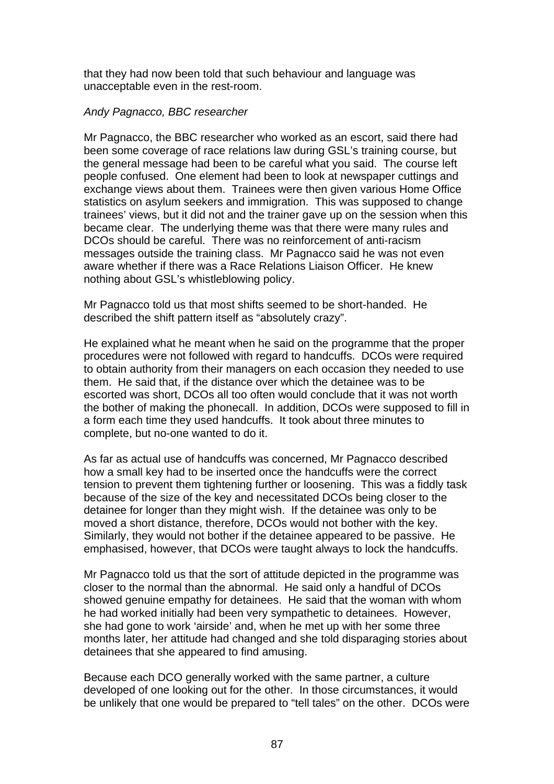that they had now been told that such behaviour and language was unacceptable even in the rest-room.

# *Andy Pagnacco, BBC researcher*

Mr Pagnacco, the BBC researcher who worked as an escort, said there had been some coverage of race relations law during GSL's training course, but the general message had been to be careful what you said. The course left people confused. One element had been to look at newspaper cuttings and exchange views about them. Trainees were then given various Home Office statistics on asylum seekers and immigration. This was supposed to change trainees' views, but it did not and the trainer gave up on the session when this became clear. The underlying theme was that there were many rules and DCOs should be careful. There was no reinforcement of anti-racism messages outside the training class. Mr Pagnacco said he was not even aware whether if there was a Race Relations Liaison Officer. He knew nothing about GSL's whistleblowing policy.

Mr Pagnacco told us that most shifts seemed to be short-handed. He described the shift pattern itself as "absolutely crazy".

He explained what he meant when he said on the programme that the proper procedures were not followed with regard to handcuffs. DCOs were required to obtain authority from their managers on each occasion they needed to use them. He said that, if the distance over which the detainee was to be escorted was short, DCOs all too often would conclude that it was not worth the bother of making the phonecall. In addition, DCOs were supposed to fill in a form each time they used handcuffs. It took about three minutes to complete, but no-one wanted to do it.

As far as actual use of handcuffs was concerned, Mr Pagnacco described how a small key had to be inserted once the handcuffs were the correct tension to prevent them tightening further or loosening. This was a fiddly task because of the size of the key and necessitated DCOs being closer to the detainee for longer than they might wish. If the detainee was only to be moved a short distance, therefore, DCOs would not bother with the key. Similarly, they would not bother if the detainee appeared to be passive. He emphasised, however, that DCOs were taught always to lock the handcuffs.

Mr Pagnacco told us that the sort of attitude depicted in the programme was closer to the normal than the abnormal. He said only a handful of DCOs showed genuine empathy for detainees. He said that the woman with whom he had worked initially had been very sympathetic to detainees. However, she had gone to work 'airside' and, when he met up with her some three months later, her attitude had changed and she told disparaging stories about detainees that she appeared to find amusing.

Because each DCO generally worked with the same partner, a culture developed of one looking out for the other. In those circumstances, it would be unlikely that one would be prepared to "tell tales" on the other. DCOs were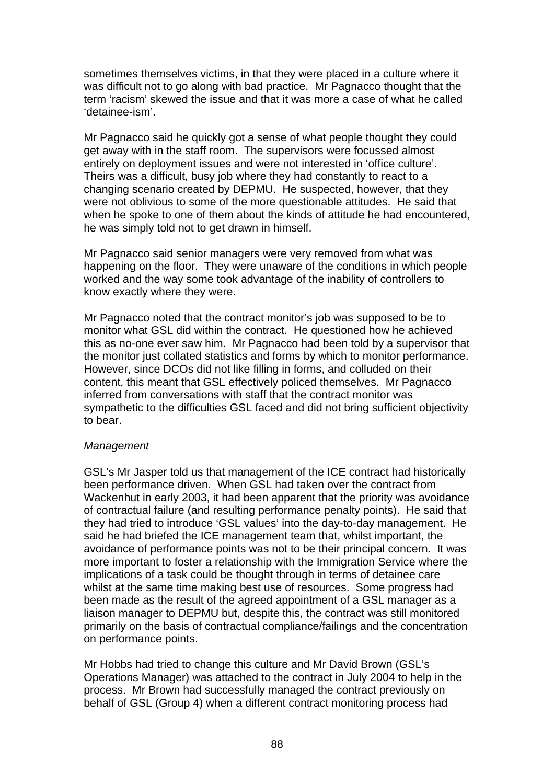sometimes themselves victims, in that they were placed in a culture where it was difficult not to go along with bad practice. Mr Pagnacco thought that the term 'racism' skewed the issue and that it was more a case of what he called 'detainee-ism'.

Mr Pagnacco said he quickly got a sense of what people thought they could get away with in the staff room. The supervisors were focussed almost entirely on deployment issues and were not interested in 'office culture'. Theirs was a difficult, busy job where they had constantly to react to a changing scenario created by DEPMU. He suspected, however, that they were not oblivious to some of the more questionable attitudes. He said that when he spoke to one of them about the kinds of attitude he had encountered, he was simply told not to get drawn in himself.

Mr Pagnacco said senior managers were very removed from what was happening on the floor. They were unaware of the conditions in which people worked and the way some took advantage of the inability of controllers to know exactly where they were.

Mr Pagnacco noted that the contract monitor's job was supposed to be to monitor what GSL did within the contract. He questioned how he achieved this as no-one ever saw him. Mr Pagnacco had been told by a supervisor that the monitor just collated statistics and forms by which to monitor performance. However, since DCOs did not like filling in forms, and colluded on their content, this meant that GSL effectively policed themselves. Mr Pagnacco inferred from conversations with staff that the contract monitor was sympathetic to the difficulties GSL faced and did not bring sufficient objectivity to bear.

# *Management*

GSL's Mr Jasper told us that management of the ICE contract had historically been performance driven. When GSL had taken over the contract from Wackenhut in early 2003, it had been apparent that the priority was avoidance of contractual failure (and resulting performance penalty points). He said that they had tried to introduce 'GSL values' into the day-to-day management. He said he had briefed the ICE management team that, whilst important, the avoidance of performance points was not to be their principal concern. It was more important to foster a relationship with the Immigration Service where the implications of a task could be thought through in terms of detainee care whilst at the same time making best use of resources. Some progress had been made as the result of the agreed appointment of a GSL manager as a liaison manager to DEPMU but, despite this, the contract was still monitored primarily on the basis of contractual compliance/failings and the concentration on performance points.

Mr Hobbs had tried to change this culture and Mr David Brown (GSL's Operations Manager) was attached to the contract in July 2004 to help in the process. Mr Brown had successfully managed the contract previously on behalf of GSL (Group 4) when a different contract monitoring process had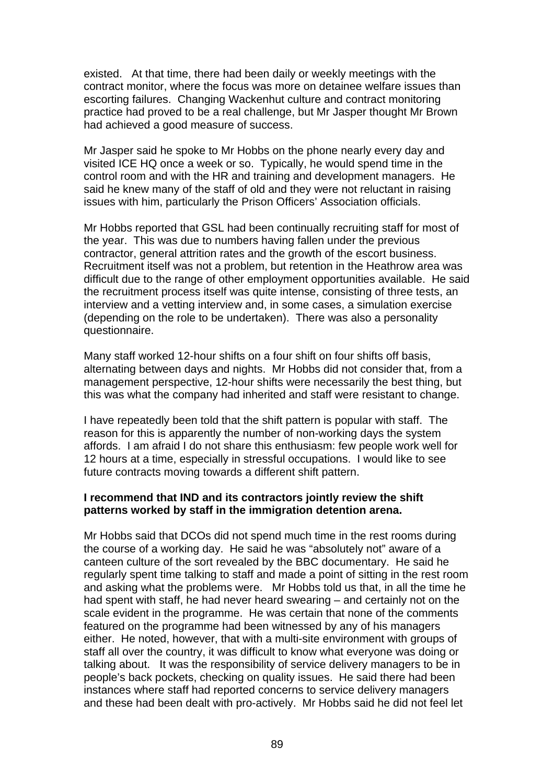existed. At that time, there had been daily or weekly meetings with the contract monitor, where the focus was more on detainee welfare issues than escorting failures. Changing Wackenhut culture and contract monitoring practice had proved to be a real challenge, but Mr Jasper thought Mr Brown had achieved a good measure of success.

Mr Jasper said he spoke to Mr Hobbs on the phone nearly every day and visited ICE HQ once a week or so. Typically, he would spend time in the control room and with the HR and training and development managers. He said he knew many of the staff of old and they were not reluctant in raising issues with him, particularly the Prison Officers' Association officials.

Mr Hobbs reported that GSL had been continually recruiting staff for most of the year. This was due to numbers having fallen under the previous contractor, general attrition rates and the growth of the escort business. Recruitment itself was not a problem, but retention in the Heathrow area was difficult due to the range of other employment opportunities available. He said the recruitment process itself was quite intense, consisting of three tests, an interview and a vetting interview and, in some cases, a simulation exercise (depending on the role to be undertaken). There was also a personality questionnaire.

Many staff worked 12-hour shifts on a four shift on four shifts off basis, alternating between days and nights. Mr Hobbs did not consider that, from a management perspective, 12-hour shifts were necessarily the best thing, but this was what the company had inherited and staff were resistant to change.

I have repeatedly been told that the shift pattern is popular with staff. The reason for this is apparently the number of non-working days the system affords. I am afraid I do not share this enthusiasm: few people work well for 12 hours at a time, especially in stressful occupations. I would like to see future contracts moving towards a different shift pattern.

# **I recommend that IND and its contractors jointly review the shift patterns worked by staff in the immigration detention arena.**

Mr Hobbs said that DCOs did not spend much time in the rest rooms during the course of a working day. He said he was "absolutely not" aware of a canteen culture of the sort revealed by the BBC documentary. He said he regularly spent time talking to staff and made a point of sitting in the rest room and asking what the problems were. Mr Hobbs told us that, in all the time he had spent with staff, he had never heard swearing – and certainly not on the scale evident in the programme. He was certain that none of the comments featured on the programme had been witnessed by any of his managers either. He noted, however, that with a multi-site environment with groups of staff all over the country, it was difficult to know what everyone was doing or talking about. It was the responsibility of service delivery managers to be in people's back pockets, checking on quality issues. He said there had been instances where staff had reported concerns to service delivery managers and these had been dealt with pro-actively. Mr Hobbs said he did not feel let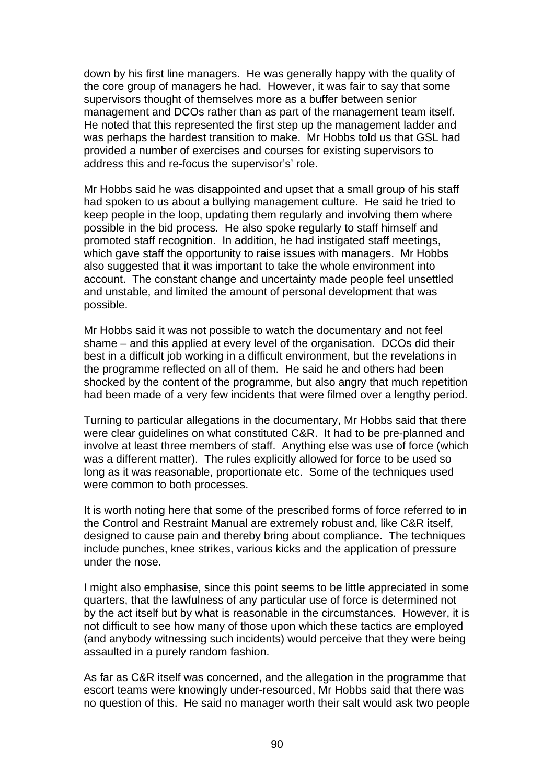down by his first line managers. He was generally happy with the quality of the core group of managers he had. However, it was fair to say that some supervisors thought of themselves more as a buffer between senior management and DCOs rather than as part of the management team itself. He noted that this represented the first step up the management ladder and was perhaps the hardest transition to make. Mr Hobbs told us that GSL had provided a number of exercises and courses for existing supervisors to address this and re-focus the supervisor's' role.

Mr Hobbs said he was disappointed and upset that a small group of his staff had spoken to us about a bullying management culture. He said he tried to keep people in the loop, updating them regularly and involving them where possible in the bid process. He also spoke regularly to staff himself and promoted staff recognition. In addition, he had instigated staff meetings, which gave staff the opportunity to raise issues with managers. Mr Hobbs also suggested that it was important to take the whole environment into account. The constant change and uncertainty made people feel unsettled and unstable, and limited the amount of personal development that was possible.

Mr Hobbs said it was not possible to watch the documentary and not feel shame – and this applied at every level of the organisation. DCOs did their best in a difficult job working in a difficult environment, but the revelations in the programme reflected on all of them. He said he and others had been shocked by the content of the programme, but also angry that much repetition had been made of a very few incidents that were filmed over a lengthy period.

Turning to particular allegations in the documentary, Mr Hobbs said that there were clear guidelines on what constituted C&R. It had to be pre-planned and involve at least three members of staff. Anything else was use of force (which was a different matter). The rules explicitly allowed for force to be used so long as it was reasonable, proportionate etc. Some of the techniques used were common to both processes.

It is worth noting here that some of the prescribed forms of force referred to in the Control and Restraint Manual are extremely robust and, like C&R itself, designed to cause pain and thereby bring about compliance. The techniques include punches, knee strikes, various kicks and the application of pressure under the nose.

I might also emphasise, since this point seems to be little appreciated in some quarters, that the lawfulness of any particular use of force is determined not by the act itself but by what is reasonable in the circumstances. However, it is not difficult to see how many of those upon which these tactics are employed (and anybody witnessing such incidents) would perceive that they were being assaulted in a purely random fashion.

As far as C&R itself was concerned, and the allegation in the programme that escort teams were knowingly under-resourced, Mr Hobbs said that there was no question of this. He said no manager worth their salt would ask two people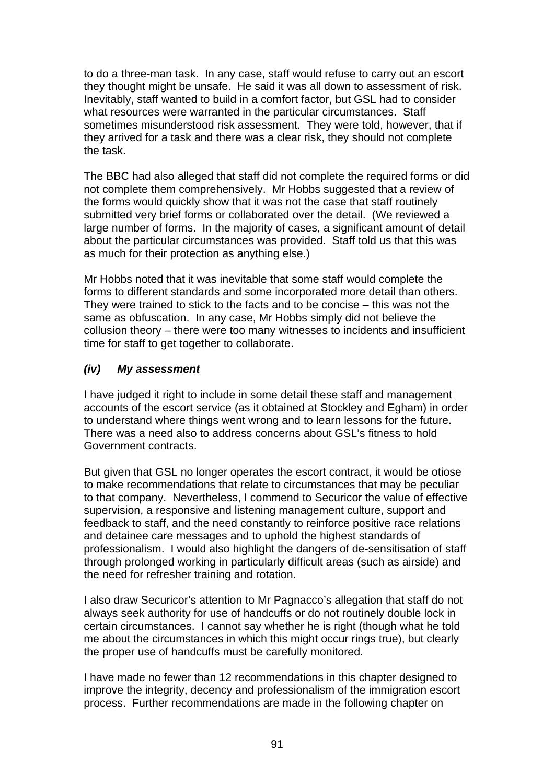to do a three-man task. In any case, staff would refuse to carry out an escort they thought might be unsafe. He said it was all down to assessment of risk. Inevitably, staff wanted to build in a comfort factor, but GSL had to consider what resources were warranted in the particular circumstances. Staff sometimes misunderstood risk assessment. They were told, however, that if they arrived for a task and there was a clear risk, they should not complete the task.

The BBC had also alleged that staff did not complete the required forms or did not complete them comprehensively. Mr Hobbs suggested that a review of the forms would quickly show that it was not the case that staff routinely submitted very brief forms or collaborated over the detail. (We reviewed a large number of forms. In the majority of cases, a significant amount of detail about the particular circumstances was provided. Staff told us that this was as much for their protection as anything else.)

Mr Hobbs noted that it was inevitable that some staff would complete the forms to different standards and some incorporated more detail than others. They were trained to stick to the facts and to be concise – this was not the same as obfuscation. In any case, Mr Hobbs simply did not believe the collusion theory – there were too many witnesses to incidents and insufficient time for staff to get together to collaborate.

# *(iv) My assessment*

I have judged it right to include in some detail these staff and management accounts of the escort service (as it obtained at Stockley and Egham) in order to understand where things went wrong and to learn lessons for the future. There was a need also to address concerns about GSL's fitness to hold Government contracts.

But given that GSL no longer operates the escort contract, it would be otiose to make recommendations that relate to circumstances that may be peculiar to that company. Nevertheless, I commend to Securicor the value of effective supervision, a responsive and listening management culture, support and feedback to staff, and the need constantly to reinforce positive race relations and detainee care messages and to uphold the highest standards of professionalism. I would also highlight the dangers of de-sensitisation of staff through prolonged working in particularly difficult areas (such as airside) and the need for refresher training and rotation.

I also draw Securicor's attention to Mr Pagnacco's allegation that staff do not always seek authority for use of handcuffs or do not routinely double lock in certain circumstances. I cannot say whether he is right (though what he told me about the circumstances in which this might occur rings true), but clearly the proper use of handcuffs must be carefully monitored.

I have made no fewer than 12 recommendations in this chapter designed to improve the integrity, decency and professionalism of the immigration escort process. Further recommendations are made in the following chapter on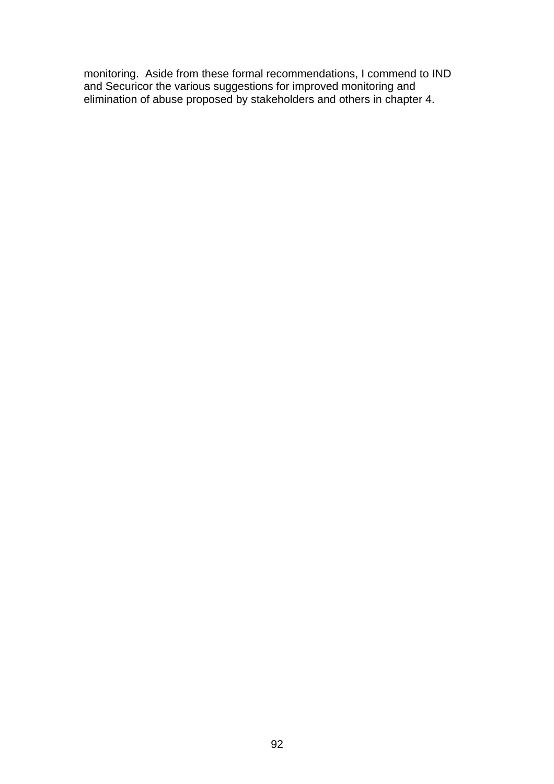monitoring. Aside from these formal recommendations, I commend to IND and Securicor the various suggestions for improved monitoring and elimination of abuse proposed by stakeholders and others in chapter 4.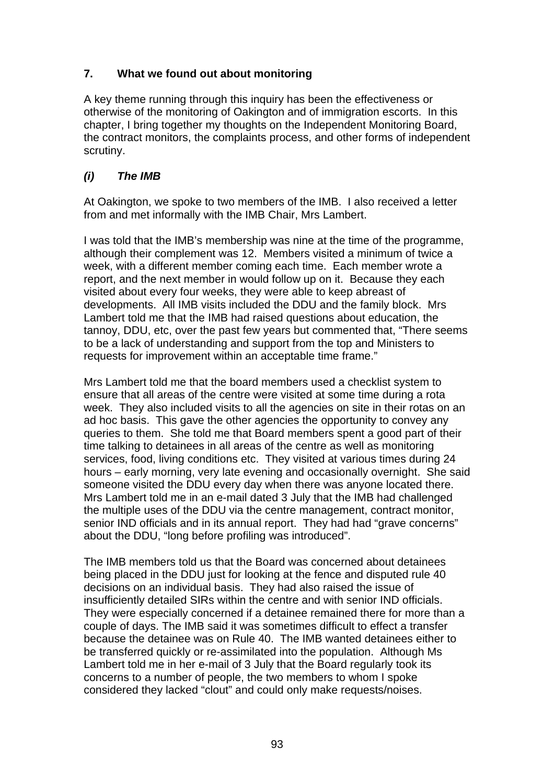# **7. What we found out about monitoring**

A key theme running through this inquiry has been the effectiveness or otherwise of the monitoring of Oakington and of immigration escorts. In this chapter, I bring together my thoughts on the Independent Monitoring Board, the contract monitors, the complaints process, and other forms of independent scrutiny.

# *(i) The IMB*

At Oakington, we spoke to two members of the IMB. I also received a letter from and met informally with the IMB Chair, Mrs Lambert.

I was told that the IMB's membership was nine at the time of the programme, although their complement was 12. Members visited a minimum of twice a week, with a different member coming each time. Each member wrote a report, and the next member in would follow up on it. Because they each visited about every four weeks, they were able to keep abreast of developments. All IMB visits included the DDU and the family block. Mrs Lambert told me that the IMB had raised questions about education, the tannoy, DDU, etc, over the past few years but commented that, "There seems to be a lack of understanding and support from the top and Ministers to requests for improvement within an acceptable time frame."

Mrs Lambert told me that the board members used a checklist system to ensure that all areas of the centre were visited at some time during a rota week. They also included visits to all the agencies on site in their rotas on an ad hoc basis. This gave the other agencies the opportunity to convey any queries to them. She told me that Board members spent a good part of their time talking to detainees in all areas of the centre as well as monitoring services, food, living conditions etc. They visited at various times during 24 hours – early morning, very late evening and occasionally overnight. She said someone visited the DDU every day when there was anyone located there. Mrs Lambert told me in an e-mail dated 3 July that the IMB had challenged the multiple uses of the DDU via the centre management, contract monitor, senior IND officials and in its annual report. They had had "grave concerns" about the DDU, "long before profiling was introduced".

The IMB members told us that the Board was concerned about detainees being placed in the DDU just for looking at the fence and disputed rule 40 decisions on an individual basis. They had also raised the issue of insufficiently detailed SIRs within the centre and with senior IND officials. They were especially concerned if a detainee remained there for more than a couple of days. The IMB said it was sometimes difficult to effect a transfer because the detainee was on Rule 40. The IMB wanted detainees either to be transferred quickly or re-assimilated into the population. Although Ms Lambert told me in her e-mail of 3 July that the Board regularly took its concerns to a number of people, the two members to whom I spoke considered they lacked "clout" and could only make requests/noises.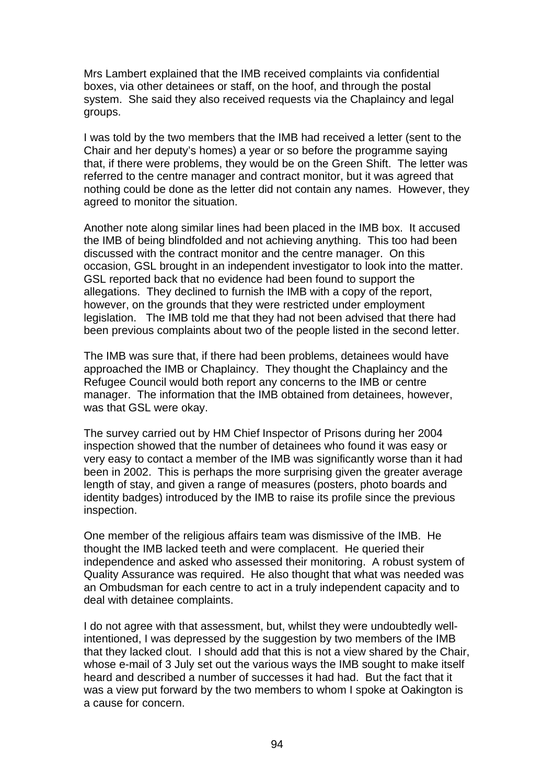Mrs Lambert explained that the IMB received complaints via confidential boxes, via other detainees or staff, on the hoof, and through the postal system. She said they also received requests via the Chaplaincy and legal groups.

I was told by the two members that the IMB had received a letter (sent to the Chair and her deputy's homes) a year or so before the programme saying that, if there were problems, they would be on the Green Shift. The letter was referred to the centre manager and contract monitor, but it was agreed that nothing could be done as the letter did not contain any names. However, they agreed to monitor the situation.

Another note along similar lines had been placed in the IMB box. It accused the IMB of being blindfolded and not achieving anything. This too had been discussed with the contract monitor and the centre manager. On this occasion, GSL brought in an independent investigator to look into the matter. GSL reported back that no evidence had been found to support the allegations. They declined to furnish the IMB with a copy of the report, however, on the grounds that they were restricted under employment legislation. The IMB told me that they had not been advised that there had been previous complaints about two of the people listed in the second letter.

The IMB was sure that, if there had been problems, detainees would have approached the IMB or Chaplaincy. They thought the Chaplaincy and the Refugee Council would both report any concerns to the IMB or centre manager. The information that the IMB obtained from detainees, however, was that GSL were okay.

The survey carried out by HM Chief Inspector of Prisons during her 2004 inspection showed that the number of detainees who found it was easy or very easy to contact a member of the IMB was significantly worse than it had been in 2002. This is perhaps the more surprising given the greater average length of stay, and given a range of measures (posters, photo boards and identity badges) introduced by the IMB to raise its profile since the previous inspection.

One member of the religious affairs team was dismissive of the IMB. He thought the IMB lacked teeth and were complacent. He queried their independence and asked who assessed their monitoring. A robust system of Quality Assurance was required. He also thought that what was needed was an Ombudsman for each centre to act in a truly independent capacity and to deal with detainee complaints.

I do not agree with that assessment, but, whilst they were undoubtedly wellintentioned, I was depressed by the suggestion by two members of the IMB that they lacked clout. I should add that this is not a view shared by the Chair, whose e-mail of 3 July set out the various ways the IMB sought to make itself heard and described a number of successes it had had. But the fact that it was a view put forward by the two members to whom I spoke at Oakington is a cause for concern.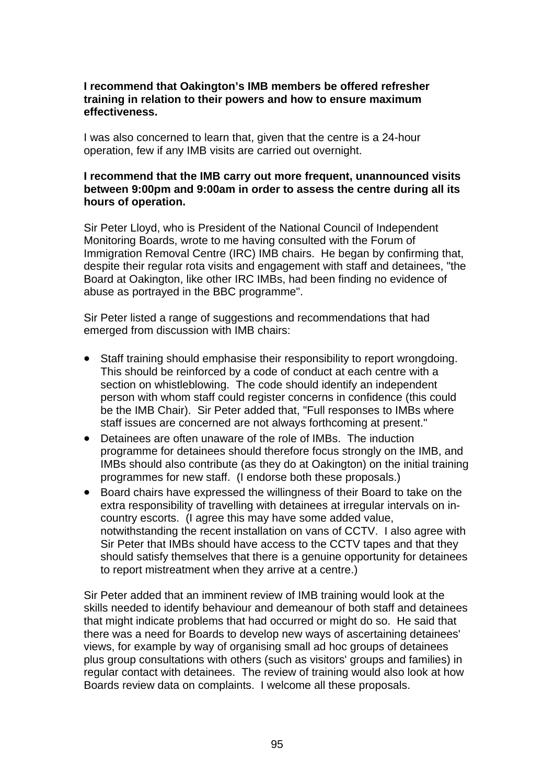# **I recommend that Oakington's IMB members be offered refresher training in relation to their powers and how to ensure maximum effectiveness.**

I was also concerned to learn that, given that the centre is a 24-hour operation, few if any IMB visits are carried out overnight.

### **I recommend that the IMB carry out more frequent, unannounced visits between 9:00pm and 9:00am in order to assess the centre during all its hours of operation.**

Sir Peter Lloyd, who is President of the National Council of Independent Monitoring Boards, wrote to me having consulted with the Forum of Immigration Removal Centre (IRC) IMB chairs. He began by confirming that, despite their regular rota visits and engagement with staff and detainees, "the Board at Oakington, like other IRC IMBs, had been finding no evidence of abuse as portrayed in the BBC programme".

Sir Peter listed a range of suggestions and recommendations that had emerged from discussion with IMB chairs:

- Staff training should emphasise their responsibility to report wrongdoing. This should be reinforced by a code of conduct at each centre with a section on whistleblowing. The code should identify an independent person with whom staff could register concerns in confidence (this could be the IMB Chair). Sir Peter added that, "Full responses to IMBs where staff issues are concerned are not always forthcoming at present."
- $\bullet$ Detainees are often unaware of the role of IMBs. The induction programme for detainees should therefore focus strongly on the IMB, and IMBs should also contribute (as they do at Oakington) on the initial training programmes for new staff. (I endorse both these proposals.)
- Board chairs have expressed the willingness of their Board to take on the extra responsibility of travelling with detainees at irregular intervals on incountry escorts. (I agree this may have some added value, notwithstanding the recent installation on vans of CCTV. I also agree with Sir Peter that IMBs should have access to the CCTV tapes and that they should satisfy themselves that there is a genuine opportunity for detainees to report mistreatment when they arrive at a centre.)

Sir Peter added that an imminent review of IMB training would look at the skills needed to identify behaviour and demeanour of both staff and detainees that might indicate problems that had occurred or might do so. He said that there was a need for Boards to develop new ways of ascertaining detainees' views, for example by way of organising small ad hoc groups of detainees plus group consultations with others (such as visitors' groups and families) in regular contact with detainees. The review of training would also look at how Boards review data on complaints. I welcome all these proposals.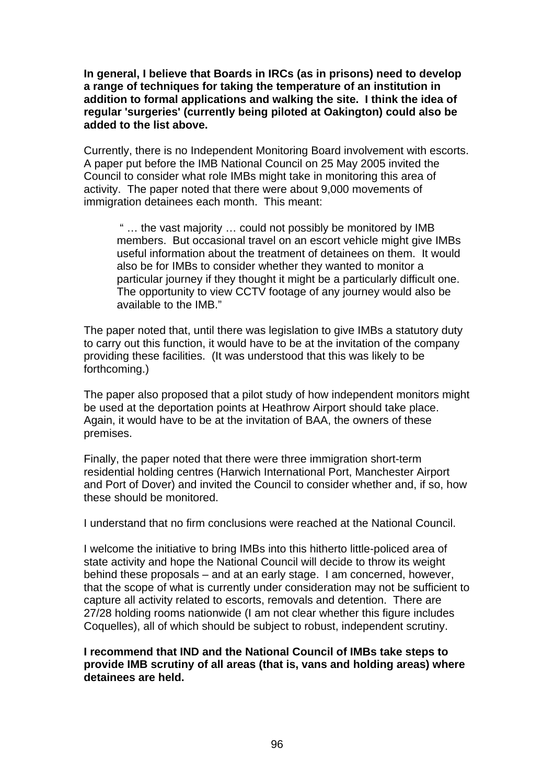**In general, I believe that Boards in IRCs (as in prisons) need to develop a range of techniques for taking the temperature of an institution in addition to formal applications and walking the site. I think the idea of regular 'surgeries' (currently being piloted at Oakington) could also be added to the list above.** 

Currently, there is no Independent Monitoring Board involvement with escorts. A paper put before the IMB National Council on 25 May 2005 invited the Council to consider what role IMBs might take in monitoring this area of activity. The paper noted that there were about 9,000 movements of immigration detainees each month. This meant:

 " … the vast majority … could not possibly be monitored by IMB members. But occasional travel on an escort vehicle might give IMBs useful information about the treatment of detainees on them. It would also be for IMBs to consider whether they wanted to monitor a particular journey if they thought it might be a particularly difficult one. The opportunity to view CCTV footage of any journey would also be available to the IMB."

The paper noted that, until there was legislation to give IMBs a statutory duty to carry out this function, it would have to be at the invitation of the company providing these facilities. (It was understood that this was likely to be forthcoming.)

The paper also proposed that a pilot study of how independent monitors might be used at the deportation points at Heathrow Airport should take place. Again, it would have to be at the invitation of BAA, the owners of these premises.

Finally, the paper noted that there were three immigration short-term residential holding centres (Harwich International Port, Manchester Airport and Port of Dover) and invited the Council to consider whether and, if so, how these should be monitored.

I understand that no firm conclusions were reached at the National Council.

I welcome the initiative to bring IMBs into this hitherto little-policed area of state activity and hope the National Council will decide to throw its weight behind these proposals – and at an early stage. I am concerned, however, that the scope of what is currently under consideration may not be sufficient to capture all activity related to escorts, removals and detention. There are 27/28 holding rooms nationwide (I am not clear whether this figure includes Coquelles), all of which should be subject to robust, independent scrutiny.

**I recommend that IND and the National Council of IMBs take steps to provide IMB scrutiny of all areas (that is, vans and holding areas) where detainees are held.**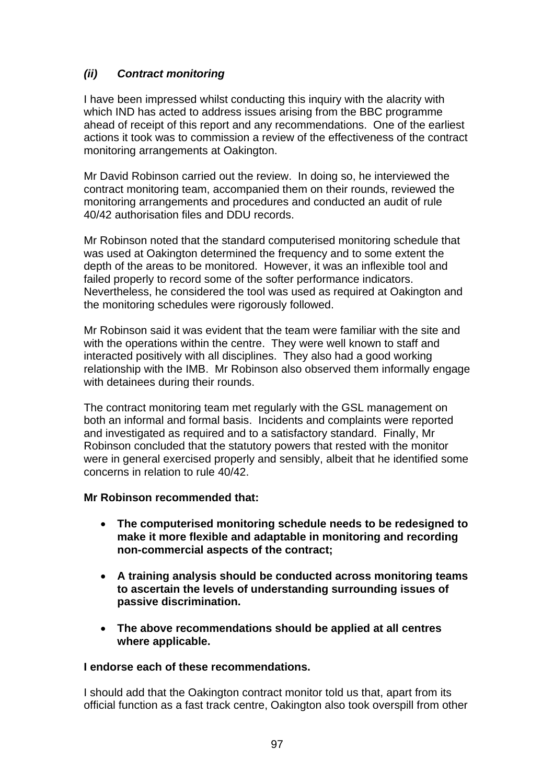# *(ii) Contract monitoring*

I have been impressed whilst conducting this inquiry with the alacrity with which IND has acted to address issues arising from the BBC programme ahead of receipt of this report and any recommendations. One of the earliest actions it took was to commission a review of the effectiveness of the contract monitoring arrangements at Oakington.

Mr David Robinson carried out the review. In doing so, he interviewed the contract monitoring team, accompanied them on their rounds, reviewed the monitoring arrangements and procedures and conducted an audit of rule 40/42 authorisation files and DDU records.

Mr Robinson noted that the standard computerised monitoring schedule that was used at Oakington determined the frequency and to some extent the depth of the areas to be monitored. However, it was an inflexible tool and failed properly to record some of the softer performance indicators. Nevertheless, he considered the tool was used as required at Oakington and the monitoring schedules were rigorously followed.

Mr Robinson said it was evident that the team were familiar with the site and with the operations within the centre. They were well known to staff and interacted positively with all disciplines. They also had a good working relationship with the IMB. Mr Robinson also observed them informally engage with detainees during their rounds.

The contract monitoring team met regularly with the GSL management on both an informal and formal basis. Incidents and complaints were reported and investigated as required and to a satisfactory standard. Finally, Mr Robinson concluded that the statutory powers that rested with the monitor were in general exercised properly and sensibly, albeit that he identified some concerns in relation to rule 40/42.

# **Mr Robinson recommended that:**

- **The computerised monitoring schedule needs to be redesigned to make it more flexible and adaptable in monitoring and recording non-commercial aspects of the contract;**
- **A training analysis should be conducted across monitoring teams to ascertain the levels of understanding surrounding issues of passive discrimination.**
- **The above recommendations should be applied at all centres where applicable.**

# **I endorse each of these recommendations.**

I should add that the Oakington contract monitor told us that, apart from its official function as a fast track centre, Oakington also took overspill from other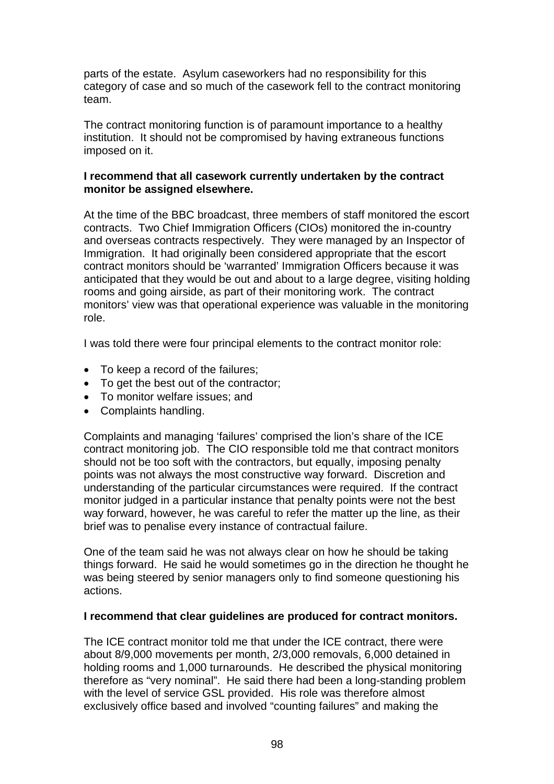parts of the estate. Asylum caseworkers had no responsibility for this category of case and so much of the casework fell to the contract monitoring team.

The contract monitoring function is of paramount importance to a healthy institution. It should not be compromised by having extraneous functions imposed on it.

# **I recommend that all casework currently undertaken by the contract monitor be assigned elsewhere.**

At the time of the BBC broadcast, three members of staff monitored the escort contracts. Two Chief Immigration Officers (CIOs) monitored the in-country and overseas contracts respectively. They were managed by an Inspector of Immigration. It had originally been considered appropriate that the escort contract monitors should be 'warranted' Immigration Officers because it was anticipated that they would be out and about to a large degree, visiting holding rooms and going airside, as part of their monitoring work. The contract monitors' view was that operational experience was valuable in the monitoring role.

I was told there were four principal elements to the contract monitor role:

- To keep a record of the failures;
- To get the best out of the contractor;
- To monitor welfare issues; and
- Complaints handling.

Complaints and managing 'failures' comprised the lion's share of the ICE contract monitoring job. The CIO responsible told me that contract monitors should not be too soft with the contractors, but equally, imposing penalty points was not always the most constructive way forward. Discretion and understanding of the particular circumstances were required. If the contract monitor judged in a particular instance that penalty points were not the best way forward, however, he was careful to refer the matter up the line, as their brief was to penalise every instance of contractual failure.

One of the team said he was not always clear on how he should be taking things forward. He said he would sometimes go in the direction he thought he was being steered by senior managers only to find someone questioning his actions.

#### **I recommend that clear guidelines are produced for contract monitors.**

The ICE contract monitor told me that under the ICE contract, there were about 8/9,000 movements per month, 2/3,000 removals, 6,000 detained in holding rooms and 1,000 turnarounds. He described the physical monitoring therefore as "very nominal". He said there had been a long-standing problem with the level of service GSL provided. His role was therefore almost exclusively office based and involved "counting failures" and making the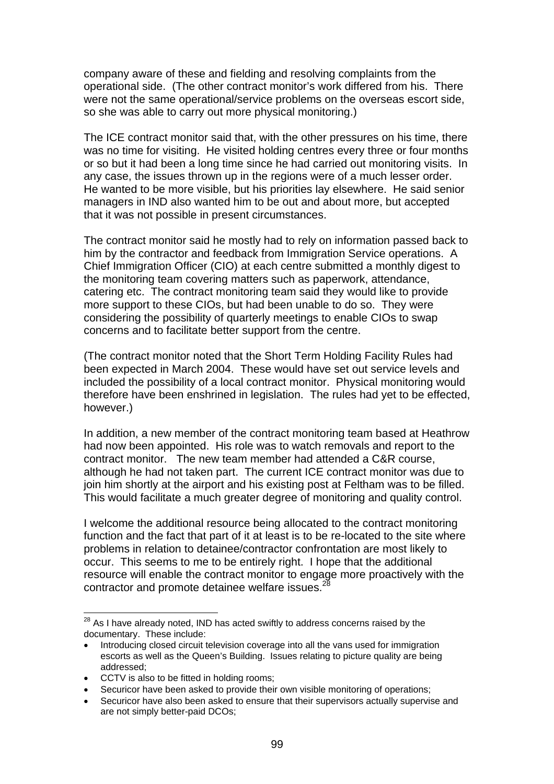company aware of these and fielding and resolving complaints from the operational side. (The other contract monitor's work differed from his. There were not the same operational/service problems on the overseas escort side, so she was able to carry out more physical monitoring.)

The ICE contract monitor said that, with the other pressures on his time, there was no time for visiting. He visited holding centres every three or four months or so but it had been a long time since he had carried out monitoring visits. In any case, the issues thrown up in the regions were of a much lesser order. He wanted to be more visible, but his priorities lay elsewhere. He said senior managers in IND also wanted him to be out and about more, but accepted that it was not possible in present circumstances.

The contract monitor said he mostly had to rely on information passed back to him by the contractor and feedback from Immigration Service operations. A Chief Immigration Officer (CIO) at each centre submitted a monthly digest to the monitoring team covering matters such as paperwork, attendance, catering etc. The contract monitoring team said they would like to provide more support to these CIOs, but had been unable to do so. They were considering the possibility of quarterly meetings to enable CIOs to swap concerns and to facilitate better support from the centre.

(The contract monitor noted that the Short Term Holding Facility Rules had been expected in March 2004. These would have set out service levels and included the possibility of a local contract monitor. Physical monitoring would therefore have been enshrined in legislation. The rules had yet to be effected, however.)

In addition, a new member of the contract monitoring team based at Heathrow had now been appointed. His role was to watch removals and report to the contract monitor. The new team member had attended a C&R course, although he had not taken part. The current ICE contract monitor was due to join him shortly at the airport and his existing post at Feltham was to be filled. This would facilitate a much greater degree of monitoring and quality control.

I welcome the additional resource being allocated to the contract monitoring function and the fact that part of it at least is to be re-located to the site where problems in relation to detainee/contractor confrontation are most likely to occur. This seems to me to be entirely right. I hope that the additional resource will enable the contract monitor to engage more proactively with the contractor and promote detainee welfare issues.<sup>28</sup>

 $28$  As I have already noted, IND has acted swiftly to address concerns raised by the documentary. These include:

<sup>•</sup> Introducing closed circuit television coverage into all the vans used for immigration escorts as well as the Queen's Building. Issues relating to picture quality are being addressed;

<sup>•</sup> CCTV is also to be fitted in holding rooms;

<sup>•</sup> Securicor have been asked to provide their own visible monitoring of operations;

<sup>•</sup> Securicor have also been asked to ensure that their supervisors actually supervise and are not simply better-paid DCOs;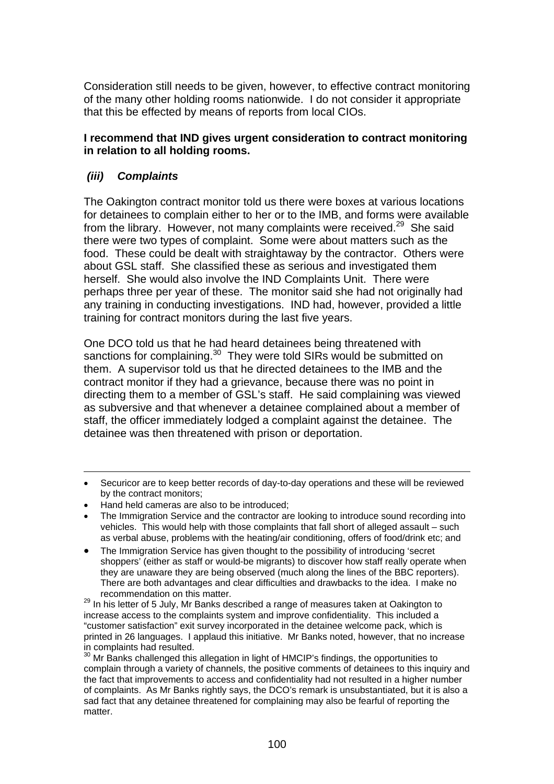Consideration still needs to be given, however, to effective contract monitoring of the many other holding rooms nationwide. I do not consider it appropriate that this be effected by means of reports from local CIOs.

# **I recommend that IND gives urgent consideration to contract monitoring in relation to all holding rooms.**

# *(iii) Complaints*

 $\overline{a}$ 

The Oakington contract monitor told us there were boxes at various locations for detainees to complain either to her or to the IMB, and forms were available from the library. However, not many complaints were received.<sup>29</sup> She said there were two types of complaint. Some were about matters such as the food. These could be dealt with straightaway by the contractor. Others were about GSL staff. She classified these as serious and investigated them herself. She would also involve the IND Complaints Unit. There were perhaps three per year of these. The monitor said she had not originally had any training in conducting investigations. IND had, however, provided a little training for contract monitors during the last five years.

One DCO told us that he had heard detainees being threatened with sanctions for complaining.<sup>30</sup> They were told SIRs would be submitted on them. A supervisor told us that he directed detainees to the IMB and the contract monitor if they had a grievance, because there was no point in directing them to a member of GSL's staff. He said complaining was viewed as subversive and that whenever a detainee complained about a member of staff, the officer immediately lodged a complaint against the detainee. The detainee was then threatened with prison or deportation.

- Securicor are to keep better records of day-to-day operations and these will be reviewed by the contract monitors;
- Hand held cameras are also to be introduced;
- The Immigration Service and the contractor are looking to introduce sound recording into vehicles. This would help with those complaints that fall short of alleged assault – such as verbal abuse, problems with the heating/air conditioning, offers of food/drink etc; and
- The Immigration Service has given thought to the possibility of introducing 'secret shoppers' (either as staff or would-be migrants) to discover how staff really operate when they are unaware they are being observed (much along the lines of the BBC reporters). There are both advantages and clear difficulties and drawbacks to the idea. I make no recommendation on this matter.

<sup>29</sup> In his letter of 5 July, Mr Banks described a range of measures taken at Oakington to increase access to the complaints system and improve confidentiality. This included a "customer satisfaction" exit survey incorporated in the detainee welcome pack, which is printed in 26 languages. I applaud this initiative. Mr Banks noted, however, that no increase

in complaints had resulted.<br><sup>30</sup> Mr Banks challenged this allegation in light of HMCIP's findings, the opportunities to complain through a variety of channels, the positive comments of detainees to this inquiry and the fact that improvements to access and confidentiality had not resulted in a higher number of complaints. As Mr Banks rightly says, the DCO's remark is unsubstantiated, but it is also a sad fact that any detainee threatened for complaining may also be fearful of reporting the matter.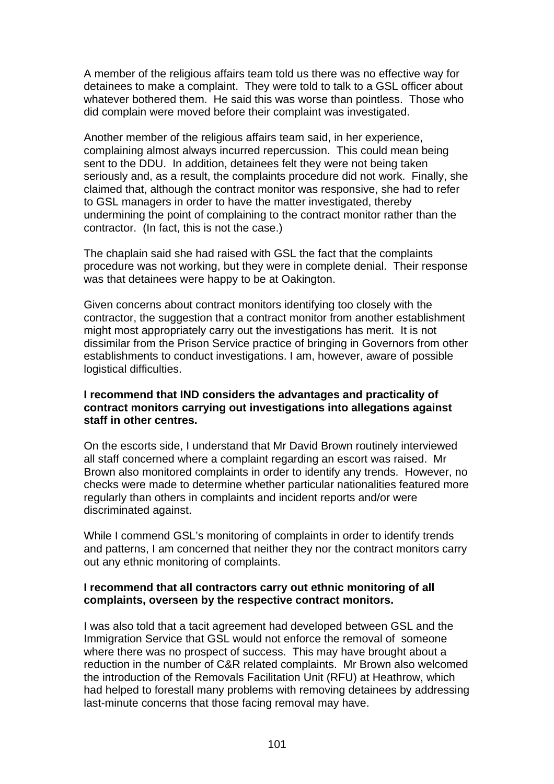A member of the religious affairs team told us there was no effective way for detainees to make a complaint. They were told to talk to a GSL officer about whatever bothered them. He said this was worse than pointless. Those who did complain were moved before their complaint was investigated.

Another member of the religious affairs team said, in her experience, complaining almost always incurred repercussion. This could mean being sent to the DDU. In addition, detainees felt they were not being taken seriously and, as a result, the complaints procedure did not work. Finally, she claimed that, although the contract monitor was responsive, she had to refer to GSL managers in order to have the matter investigated, thereby undermining the point of complaining to the contract monitor rather than the contractor. (In fact, this is not the case.)

The chaplain said she had raised with GSL the fact that the complaints procedure was not working, but they were in complete denial. Their response was that detainees were happy to be at Oakington.

Given concerns about contract monitors identifying too closely with the contractor, the suggestion that a contract monitor from another establishment might most appropriately carry out the investigations has merit. It is not dissimilar from the Prison Service practice of bringing in Governors from other establishments to conduct investigations. I am, however, aware of possible logistical difficulties.

### **I recommend that IND considers the advantages and practicality of contract monitors carrying out investigations into allegations against staff in other centres.**

On the escorts side, I understand that Mr David Brown routinely interviewed all staff concerned where a complaint regarding an escort was raised. Mr Brown also monitored complaints in order to identify any trends. However, no checks were made to determine whether particular nationalities featured more regularly than others in complaints and incident reports and/or were discriminated against.

While I commend GSL's monitoring of complaints in order to identify trends and patterns, I am concerned that neither they nor the contract monitors carry out any ethnic monitoring of complaints.

### **I recommend that all contractors carry out ethnic monitoring of all complaints, overseen by the respective contract monitors.**

I was also told that a tacit agreement had developed between GSL and the Immigration Service that GSL would not enforce the removal of someone where there was no prospect of success. This may have brought about a reduction in the number of C&R related complaints. Mr Brown also welcomed the introduction of the Removals Facilitation Unit (RFU) at Heathrow, which had helped to forestall many problems with removing detainees by addressing last-minute concerns that those facing removal may have.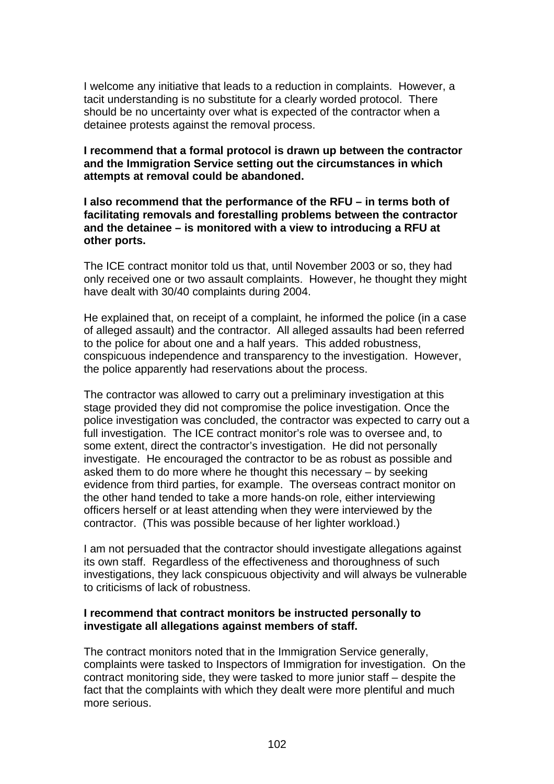I welcome any initiative that leads to a reduction in complaints. However, a tacit understanding is no substitute for a clearly worded protocol. There should be no uncertainty over what is expected of the contractor when a detainee protests against the removal process.

# **I recommend that a formal protocol is drawn up between the contractor and the Immigration Service setting out the circumstances in which attempts at removal could be abandoned.**

**I also recommend that the performance of the RFU – in terms both of facilitating removals and forestalling problems between the contractor and the detainee – is monitored with a view to introducing a RFU at other ports.** 

The ICE contract monitor told us that, until November 2003 or so, they had only received one or two assault complaints. However, he thought they might have dealt with 30/40 complaints during 2004.

He explained that, on receipt of a complaint, he informed the police (in a case of alleged assault) and the contractor. All alleged assaults had been referred to the police for about one and a half years. This added robustness, conspicuous independence and transparency to the investigation. However, the police apparently had reservations about the process.

The contractor was allowed to carry out a preliminary investigation at this stage provided they did not compromise the police investigation. Once the police investigation was concluded, the contractor was expected to carry out a full investigation. The ICE contract monitor's role was to oversee and, to some extent, direct the contractor's investigation. He did not personally investigate. He encouraged the contractor to be as robust as possible and asked them to do more where he thought this necessary – by seeking evidence from third parties, for example. The overseas contract monitor on the other hand tended to take a more hands-on role, either interviewing officers herself or at least attending when they were interviewed by the contractor. (This was possible because of her lighter workload.)

I am not persuaded that the contractor should investigate allegations against its own staff. Regardless of the effectiveness and thoroughness of such investigations, they lack conspicuous objectivity and will always be vulnerable to criticisms of lack of robustness.

### **I recommend that contract monitors be instructed personally to investigate all allegations against members of staff.**

The contract monitors noted that in the Immigration Service generally, complaints were tasked to Inspectors of Immigration for investigation. On the contract monitoring side, they were tasked to more junior staff – despite the fact that the complaints with which they dealt were more plentiful and much more serious.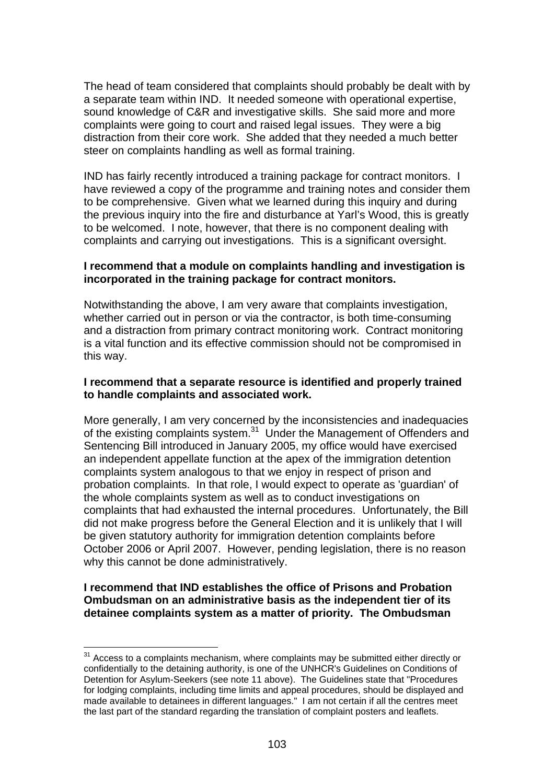The head of team considered that complaints should probably be dealt with by a separate team within IND. It needed someone with operational expertise, sound knowledge of C&R and investigative skills. She said more and more complaints were going to court and raised legal issues. They were a big distraction from their core work. She added that they needed a much better steer on complaints handling as well as formal training.

IND has fairly recently introduced a training package for contract monitors. I have reviewed a copy of the programme and training notes and consider them to be comprehensive. Given what we learned during this inquiry and during the previous inquiry into the fire and disturbance at Yarl's Wood, this is greatly to be welcomed. I note, however, that there is no component dealing with complaints and carrying out investigations. This is a significant oversight.

### **I recommend that a module on complaints handling and investigation is incorporated in the training package for contract monitors.**

Notwithstanding the above, I am very aware that complaints investigation, whether carried out in person or via the contractor, is both time-consuming and a distraction from primary contract monitoring work. Contract monitoring is a vital function and its effective commission should not be compromised in this way.

### **I recommend that a separate resource is identified and properly trained to handle complaints and associated work.**

More generally, I am very concerned by the inconsistencies and inadequacies of the existing complaints system.<sup>31</sup> Under the Management of Offenders and Sentencing Bill introduced in January 2005, my office would have exercised an independent appellate function at the apex of the immigration detention complaints system analogous to that we enjoy in respect of prison and probation complaints. In that role, I would expect to operate as 'guardian' of the whole complaints system as well as to conduct investigations on complaints that had exhausted the internal procedures. Unfortunately, the Bill did not make progress before the General Election and it is unlikely that I will be given statutory authority for immigration detention complaints before October 2006 or April 2007. However, pending legislation, there is no reason why this cannot be done administratively.

# **I recommend that IND establishes the office of Prisons and Probation Ombudsman on an administrative basis as the independent tier of its detainee complaints system as a matter of priority. The Ombudsman**

 $31$  Access to a complaints mechanism, where complaints may be submitted either directly or confidentially to the detaining authority, is one of the UNHCR's Guidelines on Conditions of Detention for Asylum-Seekers (see note 11 above). The Guidelines state that "Procedures for lodging complaints, including time limits and appeal procedures, should be displayed and made available to detainees in different languages." I am not certain if all the centres meet the last part of the standard regarding the translation of complaint posters and leaflets.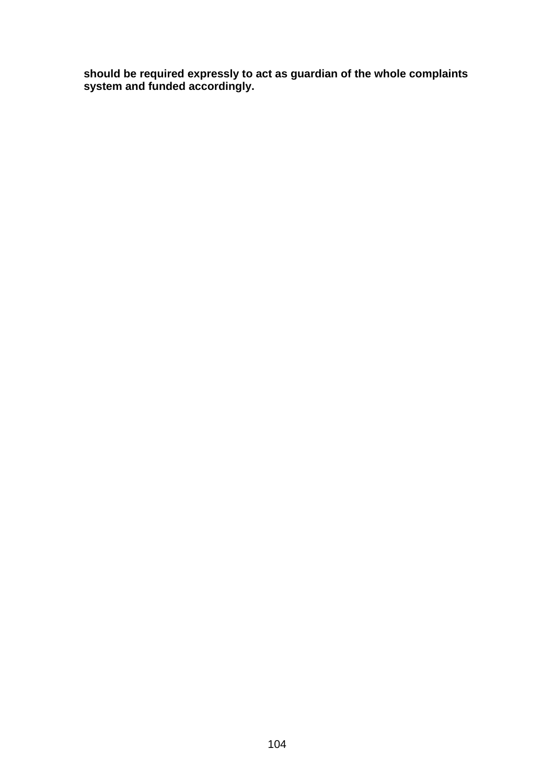**should be required expressly to act as guardian of the whole complaints system and funded accordingly.**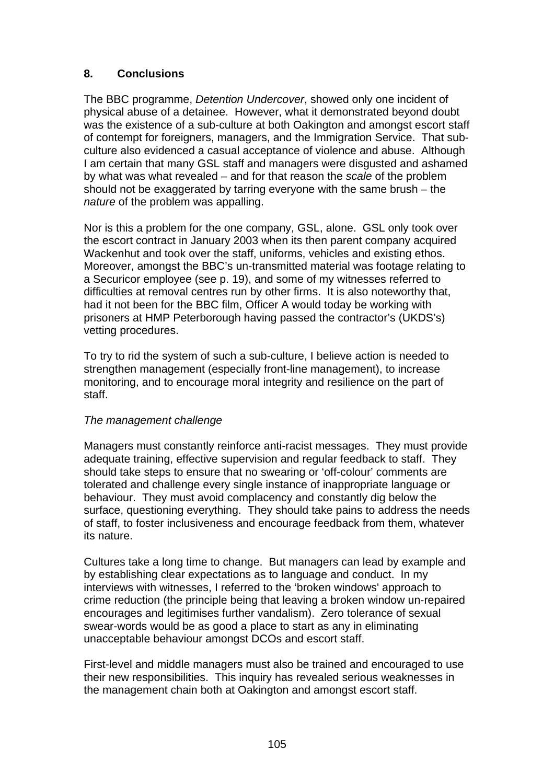# **8. Conclusions**

The BBC programme, *Detention Undercover*, showed only one incident of physical abuse of a detainee. However, what it demonstrated beyond doubt was the existence of a sub-culture at both Oakington and amongst escort staff of contempt for foreigners, managers, and the Immigration Service. That subculture also evidenced a casual acceptance of violence and abuse. Although I am certain that many GSL staff and managers were disgusted and ashamed by what was what revealed – and for that reason the *scale* of the problem should not be exaggerated by tarring everyone with the same brush – the *nature* of the problem was appalling.

Nor is this a problem for the one company, GSL, alone. GSL only took over the escort contract in January 2003 when its then parent company acquired Wackenhut and took over the staff, uniforms, vehicles and existing ethos. Moreover, amongst the BBC's un-transmitted material was footage relating to a Securicor employee (see p. 19), and some of my witnesses referred to difficulties at removal centres run by other firms. It is also noteworthy that, had it not been for the BBC film, Officer A would today be working with prisoners at HMP Peterborough having passed the contractor's (UKDS's) vetting procedures.

To try to rid the system of such a sub-culture, I believe action is needed to strengthen management (especially front-line management), to increase monitoring, and to encourage moral integrity and resilience on the part of staff.

# *The management challenge*

Managers must constantly reinforce anti-racist messages. They must provide adequate training, effective supervision and regular feedback to staff. They should take steps to ensure that no swearing or 'off-colour' comments are tolerated and challenge every single instance of inappropriate language or behaviour. They must avoid complacency and constantly dig below the surface, questioning everything. They should take pains to address the needs of staff, to foster inclusiveness and encourage feedback from them, whatever its nature.

Cultures take a long time to change. But managers can lead by example and by establishing clear expectations as to language and conduct. In my interviews with witnesses, I referred to the 'broken windows' approach to crime reduction (the principle being that leaving a broken window un-repaired encourages and legitimises further vandalism). Zero tolerance of sexual swear-words would be as good a place to start as any in eliminating unacceptable behaviour amongst DCOs and escort staff.

First-level and middle managers must also be trained and encouraged to use their new responsibilities. This inquiry has revealed serious weaknesses in the management chain both at Oakington and amongst escort staff.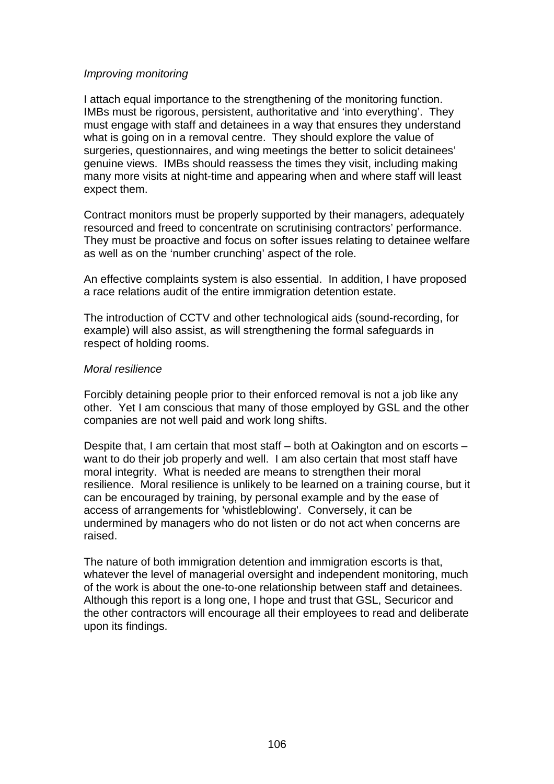### *Improving monitoring*

I attach equal importance to the strengthening of the monitoring function. IMBs must be rigorous, persistent, authoritative and 'into everything'. They must engage with staff and detainees in a way that ensures they understand what is going on in a removal centre. They should explore the value of surgeries, questionnaires, and wing meetings the better to solicit detainees' genuine views. IMBs should reassess the times they visit, including making many more visits at night-time and appearing when and where staff will least expect them.

Contract monitors must be properly supported by their managers, adequately resourced and freed to concentrate on scrutinising contractors' performance. They must be proactive and focus on softer issues relating to detainee welfare as well as on the 'number crunching' aspect of the role.

An effective complaints system is also essential. In addition, I have proposed a race relations audit of the entire immigration detention estate.

The introduction of CCTV and other technological aids (sound-recording, for example) will also assist, as will strengthening the formal safeguards in respect of holding rooms.

### *Moral resilience*

Forcibly detaining people prior to their enforced removal is not a job like any other. Yet I am conscious that many of those employed by GSL and the other companies are not well paid and work long shifts.

Despite that, I am certain that most staff – both at Oakington and on escorts – want to do their job properly and well. I am also certain that most staff have moral integrity. What is needed are means to strengthen their moral resilience. Moral resilience is unlikely to be learned on a training course, but it can be encouraged by training, by personal example and by the ease of access of arrangements for 'whistleblowing'. Conversely, it can be undermined by managers who do not listen or do not act when concerns are raised.

The nature of both immigration detention and immigration escorts is that, whatever the level of managerial oversight and independent monitoring, much of the work is about the one-to-one relationship between staff and detainees. Although this report is a long one, I hope and trust that GSL, Securicor and the other contractors will encourage all their employees to read and deliberate upon its findings.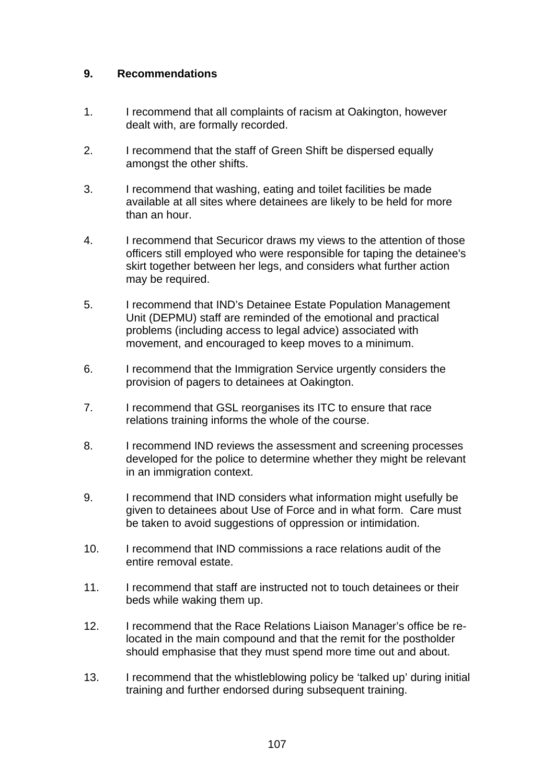# **9. Recommendations**

- 1. I recommend that all complaints of racism at Oakington, however dealt with, are formally recorded.
- 2. I recommend that the staff of Green Shift be dispersed equally amongst the other shifts.
- 3. I recommend that washing, eating and toilet facilities be made available at all sites where detainees are likely to be held for more than an hour.
- 4. I recommend that Securicor draws my views to the attention of those officers still employed who were responsible for taping the detainee's skirt together between her legs, and considers what further action may be required.
- 5. I recommend that IND's Detainee Estate Population Management Unit (DEPMU) staff are reminded of the emotional and practical problems (including access to legal advice) associated with movement, and encouraged to keep moves to a minimum.
- 6. I recommend that the Immigration Service urgently considers the provision of pagers to detainees at Oakington.
- 7. I recommend that GSL reorganises its ITC to ensure that race relations training informs the whole of the course.
- 8. I recommend IND reviews the assessment and screening processes developed for the police to determine whether they might be relevant in an immigration context.
- 9. I recommend that IND considers what information might usefully be given to detainees about Use of Force and in what form. Care must be taken to avoid suggestions of oppression or intimidation.
- 10. I recommend that IND commissions a race relations audit of the entire removal estate.
- 11. I recommend that staff are instructed not to touch detainees or their beds while waking them up.
- 12. I recommend that the Race Relations Liaison Manager's office be relocated in the main compound and that the remit for the postholder should emphasise that they must spend more time out and about.
- 13. I recommend that the whistleblowing policy be 'talked up' during initial training and further endorsed during subsequent training.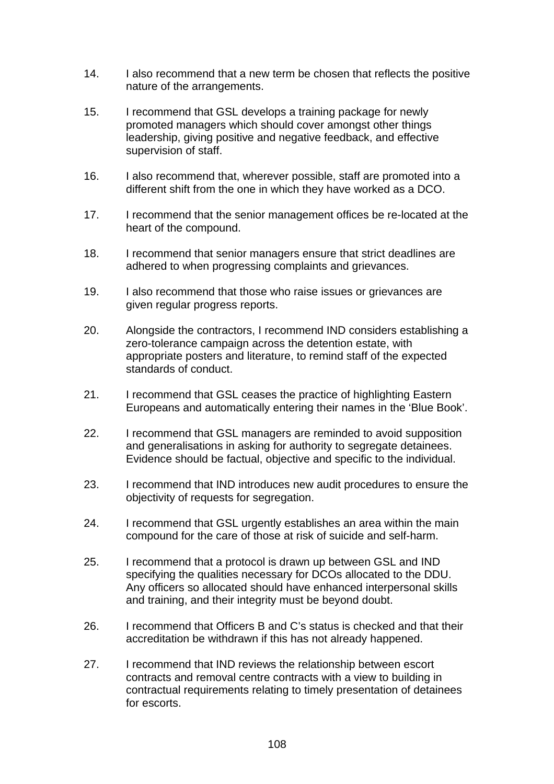- 14. I also recommend that a new term be chosen that reflects the positive nature of the arrangements.
- 15. I recommend that GSL develops a training package for newly promoted managers which should cover amongst other things leadership, giving positive and negative feedback, and effective supervision of staff.
- 16. I also recommend that, wherever possible, staff are promoted into a different shift from the one in which they have worked as a DCO.
- 17. I recommend that the senior management offices be re-located at the heart of the compound.
- 18. I recommend that senior managers ensure that strict deadlines are adhered to when progressing complaints and grievances.
- 19. I also recommend that those who raise issues or grievances are given regular progress reports.
- 20. Alongside the contractors, I recommend IND considers establishing a zero-tolerance campaign across the detention estate, with appropriate posters and literature, to remind staff of the expected standards of conduct.
- 21. I recommend that GSL ceases the practice of highlighting Eastern Europeans and automatically entering their names in the 'Blue Book'.
- 22. I recommend that GSL managers are reminded to avoid supposition and generalisations in asking for authority to segregate detainees. Evidence should be factual, objective and specific to the individual.
- 23. I recommend that IND introduces new audit procedures to ensure the objectivity of requests for segregation.
- 24. I recommend that GSL urgently establishes an area within the main compound for the care of those at risk of suicide and self-harm.
- 25. I recommend that a protocol is drawn up between GSL and IND specifying the qualities necessary for DCOs allocated to the DDU. Any officers so allocated should have enhanced interpersonal skills and training, and their integrity must be beyond doubt.
- 26. I recommend that Officers B and C's status is checked and that their accreditation be withdrawn if this has not already happened.
- 27. I recommend that IND reviews the relationship between escort contracts and removal centre contracts with a view to building in contractual requirements relating to timely presentation of detainees for escorts.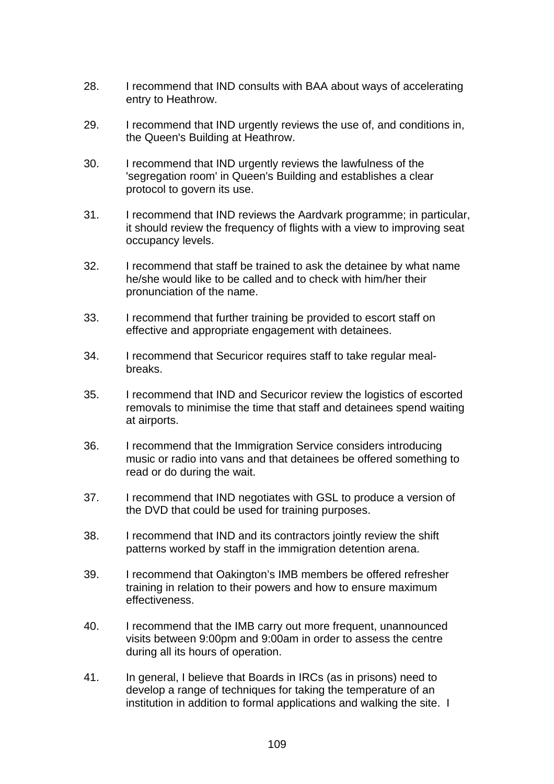- 28. I recommend that IND consults with BAA about ways of accelerating entry to Heathrow.
- 29. I recommend that IND urgently reviews the use of, and conditions in, the Queen's Building at Heathrow.
- 30. I recommend that IND urgently reviews the lawfulness of the 'segregation room' in Queen's Building and establishes a clear protocol to govern its use.
- 31. I recommend that IND reviews the Aardvark programme; in particular, it should review the frequency of flights with a view to improving seat occupancy levels.
- 32. I recommend that staff be trained to ask the detainee by what name he/she would like to be called and to check with him/her their pronunciation of the name.
- 33. I recommend that further training be provided to escort staff on effective and appropriate engagement with detainees.
- 34. I recommend that Securicor requires staff to take regular mealbreaks.
- 35. I recommend that IND and Securicor review the logistics of escorted removals to minimise the time that staff and detainees spend waiting at airports.
- 36. I recommend that the Immigration Service considers introducing music or radio into vans and that detainees be offered something to read or do during the wait.
- 37. I recommend that IND negotiates with GSL to produce a version of the DVD that could be used for training purposes.
- 38. I recommend that IND and its contractors jointly review the shift patterns worked by staff in the immigration detention arena.
- 39. I recommend that Oakington's IMB members be offered refresher training in relation to their powers and how to ensure maximum effectiveness.
- 40. I recommend that the IMB carry out more frequent, unannounced visits between 9:00pm and 9:00am in order to assess the centre during all its hours of operation.
- 41. In general, I believe that Boards in IRCs (as in prisons) need to develop a range of techniques for taking the temperature of an institution in addition to formal applications and walking the site. I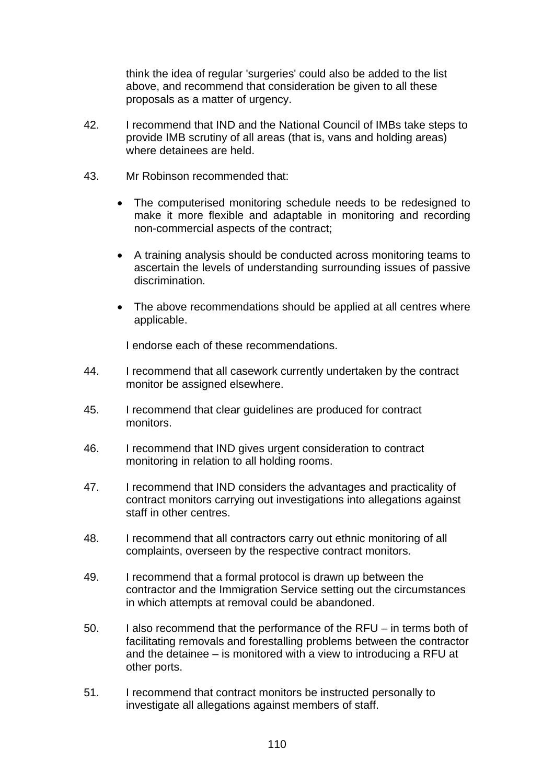think the idea of regular 'surgeries' could also be added to the list above, and recommend that consideration be given to all these proposals as a matter of urgency.

- 42. I recommend that IND and the National Council of IMBs take steps to provide IMB scrutiny of all areas (that is, vans and holding areas) where detainees are held.
- 43. Mr Robinson recommended that:
	- The computerised monitoring schedule needs to be redesigned to make it more flexible and adaptable in monitoring and recording non-commercial aspects of the contract;
	- A training analysis should be conducted across monitoring teams to ascertain the levels of understanding surrounding issues of passive discrimination.
	- The above recommendations should be applied at all centres where applicable.

I endorse each of these recommendations.

- 44. I recommend that all casework currently undertaken by the contract monitor be assigned elsewhere.
- 45. I recommend that clear guidelines are produced for contract monitors.
- 46. I recommend that IND gives urgent consideration to contract monitoring in relation to all holding rooms.
- 47. I recommend that IND considers the advantages and practicality of contract monitors carrying out investigations into allegations against staff in other centres.
- 48. I recommend that all contractors carry out ethnic monitoring of all complaints, overseen by the respective contract monitors.
- 49. I recommend that a formal protocol is drawn up between the contractor and the Immigration Service setting out the circumstances in which attempts at removal could be abandoned.
- 50. I also recommend that the performance of the RFU in terms both of facilitating removals and forestalling problems between the contractor and the detainee – is monitored with a view to introducing a RFU at other ports.
- 51. I recommend that contract monitors be instructed personally to investigate all allegations against members of staff.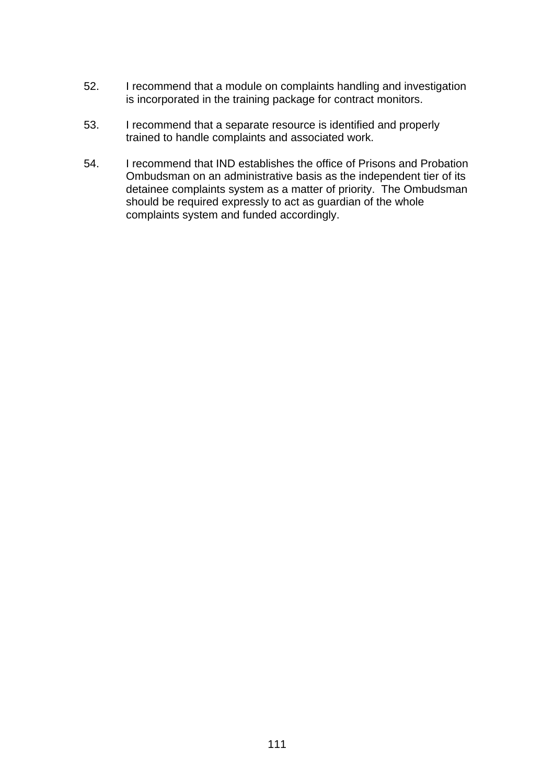- 52. I recommend that a module on complaints handling and investigation is incorporated in the training package for contract monitors.
- 53. I recommend that a separate resource is identified and properly trained to handle complaints and associated work.
- 54. I recommend that IND establishes the office of Prisons and Probation Ombudsman on an administrative basis as the independent tier of its detainee complaints system as a matter of priority. The Ombudsman should be required expressly to act as guardian of the whole complaints system and funded accordingly.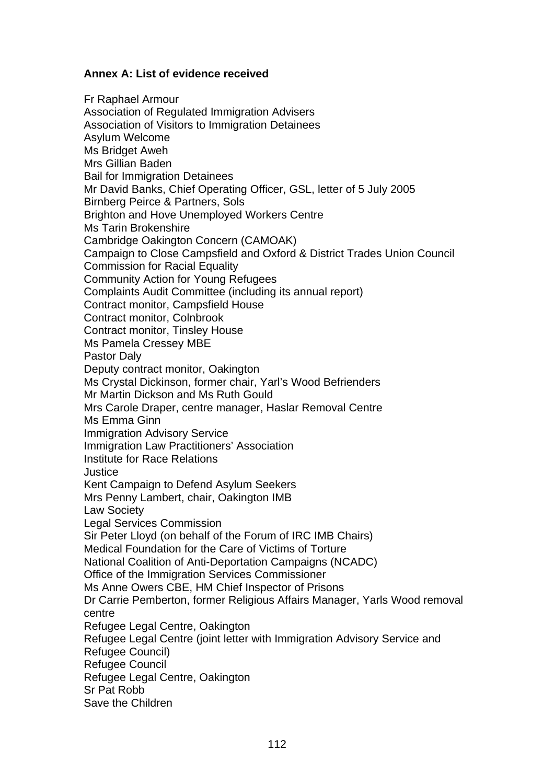### **Annex A: List of evidence received**

Fr Raphael Armour Association of Regulated Immigration Advisers Association of Visitors to Immigration Detainees Asylum Welcome Ms Bridget Aweh Mrs Gillian Baden Bail for Immigration Detainees Mr David Banks, Chief Operating Officer, GSL, letter of 5 July 2005 Birnberg Peirce & Partners, Sols Brighton and Hove Unemployed Workers Centre Ms Tarin Brokenshire Cambridge Oakington Concern (CAMOAK) Campaign to Close Campsfield and Oxford & District Trades Union Council Commission for Racial Equality Community Action for Young Refugees Complaints Audit Committee (including its annual report) Contract monitor, Campsfield House Contract monitor, Colnbrook Contract monitor, Tinsley House Ms Pamela Cressey MBE Pastor Daly Deputy contract monitor, Oakington Ms Crystal Dickinson, former chair, Yarl's Wood Befrienders Mr Martin Dickson and Ms Ruth Gould Mrs Carole Draper, centre manager, Haslar Removal Centre Ms Emma Ginn Immigration Advisory Service Immigration Law Practitioners' Association Institute for Race Relations Justice Kent Campaign to Defend Asylum Seekers Mrs Penny Lambert, chair, Oakington IMB Law Society Legal Services Commission Sir Peter Lloyd (on behalf of the Forum of IRC IMB Chairs) Medical Foundation for the Care of Victims of Torture National Coalition of Anti-Deportation Campaigns (NCADC) Office of the Immigration Services Commissioner Ms Anne Owers CBE, HM Chief Inspector of Prisons Dr Carrie Pemberton, former Religious Affairs Manager, Yarls Wood removal centre Refugee Legal Centre, Oakington Refugee Legal Centre (joint letter with Immigration Advisory Service and Refugee Council) Refugee Council Refugee Legal Centre, Oakington Sr Pat Robb Save the Children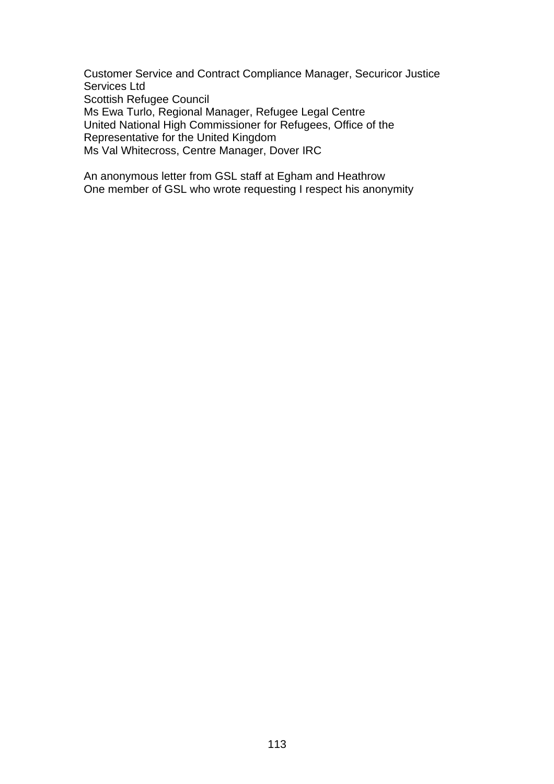Customer Service and Contract Compliance Manager, Securicor Justice Services Ltd Scottish Refugee Council Ms Ewa Turlo, Regional Manager, Refugee Legal Centre United National High Commissioner for Refugees, Office of the Representative for the United Kingdom Ms Val Whitecross, Centre Manager, Dover IRC

An anonymous letter from GSL staff at Egham and Heathrow One member of GSL who wrote requesting I respect his anonymity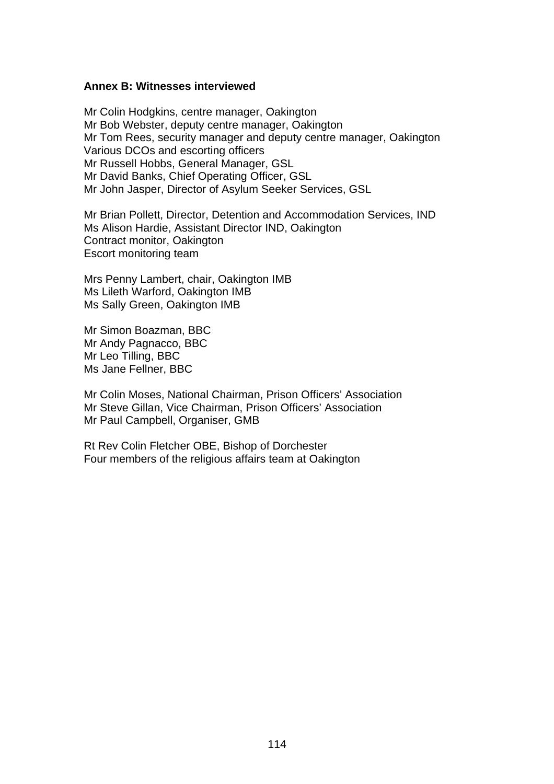#### **Annex B: Witnesses interviewed**

Mr Colin Hodgkins, centre manager, Oakington Mr Bob Webster, deputy centre manager, Oakington Mr Tom Rees, security manager and deputy centre manager, Oakington Various DCOs and escorting officers Mr Russell Hobbs, General Manager, GSL Mr David Banks, Chief Operating Officer, GSL Mr John Jasper, Director of Asylum Seeker Services, GSL

Mr Brian Pollett, Director, Detention and Accommodation Services, IND Ms Alison Hardie, Assistant Director IND, Oakington Contract monitor, Oakington Escort monitoring team

Mrs Penny Lambert, chair, Oakington IMB Ms Lileth Warford, Oakington IMB Ms Sally Green, Oakington IMB

Mr Simon Boazman, BBC Mr Andy Pagnacco, BBC Mr Leo Tilling, BBC Ms Jane Fellner, BBC

Mr Colin Moses, National Chairman, Prison Officers' Association Mr Steve Gillan, Vice Chairman, Prison Officers' Association Mr Paul Campbell, Organiser, GMB

Rt Rev Colin Fletcher OBE, Bishop of Dorchester Four members of the religious affairs team at Oakington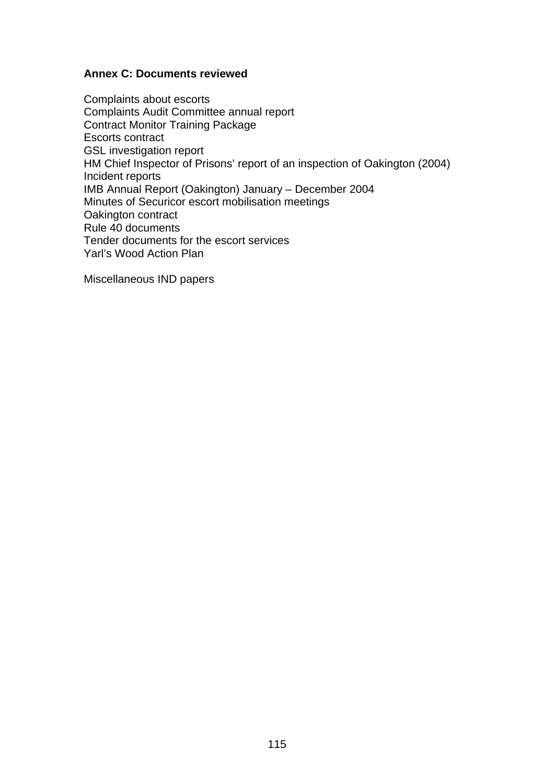### **Annex C: Documents reviewed**

Complaints about escorts Complaints Audit Committee annual report Contract Monitor Training Package Escorts contract GSL investigation report HM Chief Inspector of Prisons' report of an inspection of Oakington (2004) Incident reports IMB Annual Report (Oakington) January – December 2004 Minutes of Securicor escort mobilisation meetings Oakington contract Rule 40 documents Tender documents for the escort services Yarl's Wood Action Plan

Miscellaneous IND papers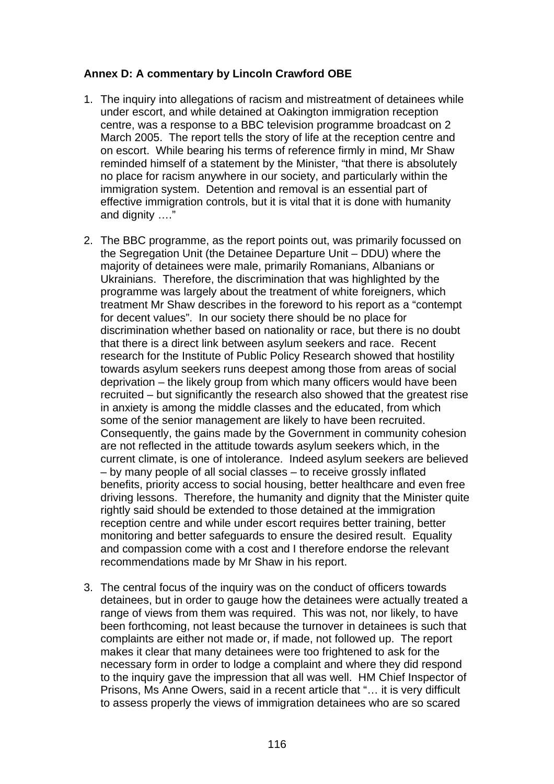## **Annex D: A commentary by Lincoln Crawford OBE**

- 1. The inquiry into allegations of racism and mistreatment of detainees while under escort, and while detained at Oakington immigration reception centre, was a response to a BBC television programme broadcast on 2 March 2005. The report tells the story of life at the reception centre and on escort. While bearing his terms of reference firmly in mind, Mr Shaw reminded himself of a statement by the Minister, "that there is absolutely no place for racism anywhere in our society, and particularly within the immigration system. Detention and removal is an essential part of effective immigration controls, but it is vital that it is done with humanity and dignity …."
- 2. The BBC programme, as the report points out, was primarily focussed on the Segregation Unit (the Detainee Departure Unit – DDU) where the majority of detainees were male, primarily Romanians, Albanians or Ukrainians. Therefore, the discrimination that was highlighted by the programme was largely about the treatment of white foreigners, which treatment Mr Shaw describes in the foreword to his report as a "contempt for decent values". In our society there should be no place for discrimination whether based on nationality or race, but there is no doubt that there is a direct link between asylum seekers and race. Recent research for the Institute of Public Policy Research showed that hostility towards asylum seekers runs deepest among those from areas of social deprivation – the likely group from which many officers would have been recruited – but significantly the research also showed that the greatest rise in anxiety is among the middle classes and the educated, from which some of the senior management are likely to have been recruited. Consequently, the gains made by the Government in community cohesion are not reflected in the attitude towards asylum seekers which, in the current climate, is one of intolerance. Indeed asylum seekers are believed – by many people of all social classes – to receive grossly inflated benefits, priority access to social housing, better healthcare and even free driving lessons. Therefore, the humanity and dignity that the Minister quite rightly said should be extended to those detained at the immigration reception centre and while under escort requires better training, better monitoring and better safeguards to ensure the desired result. Equality and compassion come with a cost and I therefore endorse the relevant recommendations made by Mr Shaw in his report.
- 3. The central focus of the inquiry was on the conduct of officers towards detainees, but in order to gauge how the detainees were actually treated a range of views from them was required. This was not, nor likely, to have been forthcoming, not least because the turnover in detainees is such that complaints are either not made or, if made, not followed up. The report makes it clear that many detainees were too frightened to ask for the necessary form in order to lodge a complaint and where they did respond to the inquiry gave the impression that all was well. HM Chief Inspector of Prisons, Ms Anne Owers, said in a recent article that "… it is very difficult to assess properly the views of immigration detainees who are so scared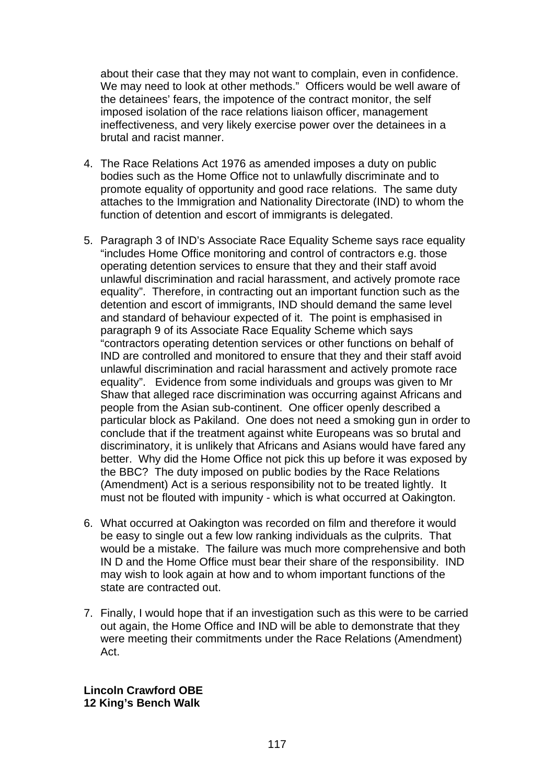about their case that they may not want to complain, even in confidence. We may need to look at other methods." Officers would be well aware of the detainees' fears, the impotence of the contract monitor, the self imposed isolation of the race relations liaison officer, management ineffectiveness, and very likely exercise power over the detainees in a brutal and racist manner.

- 4. The Race Relations Act 1976 as amended imposes a duty on public bodies such as the Home Office not to unlawfully discriminate and to promote equality of opportunity and good race relations. The same duty attaches to the Immigration and Nationality Directorate (IND) to whom the function of detention and escort of immigrants is delegated.
- 5. Paragraph 3 of IND's Associate Race Equality Scheme says race equality "includes Home Office monitoring and control of contractors e.g. those operating detention services to ensure that they and their staff avoid unlawful discrimination and racial harassment, and actively promote race equality". Therefore, in contracting out an important function such as the detention and escort of immigrants, IND should demand the same level and standard of behaviour expected of it. The point is emphasised in paragraph 9 of its Associate Race Equality Scheme which says "contractors operating detention services or other functions on behalf of IND are controlled and monitored to ensure that they and their staff avoid unlawful discrimination and racial harassment and actively promote race equality". Evidence from some individuals and groups was given to Mr Shaw that alleged race discrimination was occurring against Africans and people from the Asian sub-continent. One officer openly described a particular block as Pakiland. One does not need a smoking gun in order to conclude that if the treatment against white Europeans was so brutal and discriminatory, it is unlikely that Africans and Asians would have fared any better. Why did the Home Office not pick this up before it was exposed by the BBC? The duty imposed on public bodies by the Race Relations (Amendment) Act is a serious responsibility not to be treated lightly. It must not be flouted with impunity - which is what occurred at Oakington.
- 6. What occurred at Oakington was recorded on film and therefore it would be easy to single out a few low ranking individuals as the culprits. That would be a mistake. The failure was much more comprehensive and both IN D and the Home Office must bear their share of the responsibility. IND may wish to look again at how and to whom important functions of the state are contracted out.
- 7. Finally, I would hope that if an investigation such as this were to be carried out again, the Home Office and IND will be able to demonstrate that they were meeting their commitments under the Race Relations (Amendment) Act.

**Lincoln Crawford OBE 12 King's Bench Walk**